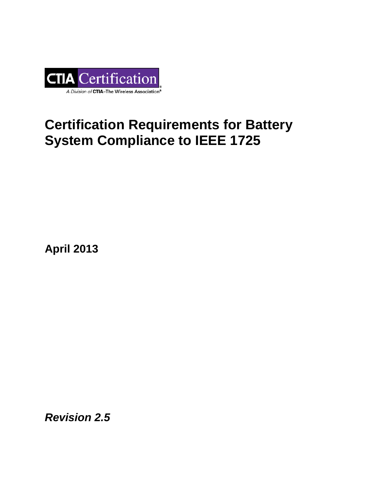

# **Certification Requirements for Battery System Compliance to IEEE 1725**

**April 2013**

*Revision 2.5*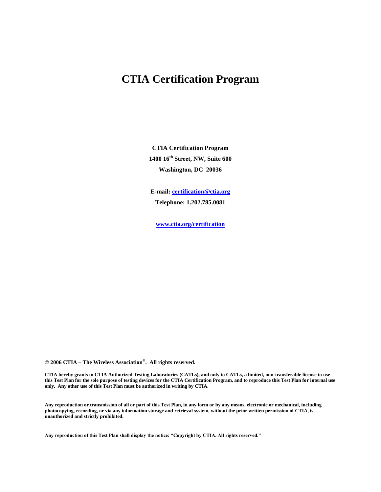# **CTIA Certification Program**

**CTIA Certification Program 1400 16th Street, NW, Suite 600 Washington, DC 20036**

**E-mail[: certification@ctia.org](mailto:certification@ctia.org) Telephone: 1.202.785.0081**

**[www.ctia.org/certification](http://www.ctia.org/certification)**

**© 2006 CTIA – The Wireless Association® . All rights reserved.**

**CTIA hereby grants to CTIA Authorized Testing Laboratories (CATLs), and only to CATLs, a limited, non-transferable license to use this Test Plan for the sole purpose of testing devices for the CTIA Certification Program, and to reproduce this Test Plan for internal use only. Any other use of this Test Plan must be authorized in writing by CTIA.**

**Any reproduction or transmission of all or part of this Test Plan, in any form or by any means, electronic or mechanical, including photocopying, recording, or via any information storage and retrieval system, without the prior written permission of CTIA, is unauthorized and strictly prohibited.**

**Any reproduction of this Test Plan shall display the notice: "Copyright by CTIA. All rights reserved."**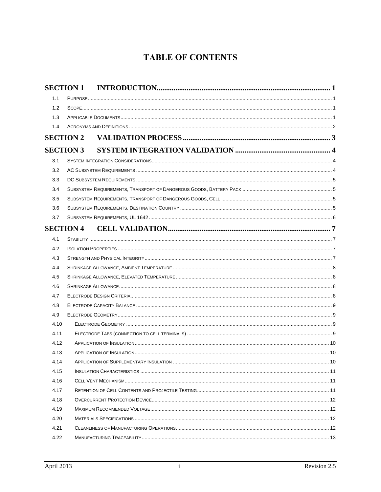# **TABLE OF CONTENTS**

|      | <b>SECTION 1</b> |  |
|------|------------------|--|
| 1.1  |                  |  |
| 1.2  |                  |  |
| 1.3  |                  |  |
| 1.4  |                  |  |
|      | <b>SECTION 2</b> |  |
|      | <b>SECTION 3</b> |  |
| 3.1  |                  |  |
| 3.2  |                  |  |
| 3.3  |                  |  |
| 3.4  |                  |  |
| 3.5  |                  |  |
| 3.6  |                  |  |
| 3.7  |                  |  |
|      | <b>SECTION 4</b> |  |
| 4.1  |                  |  |
| 4.2  |                  |  |
| 4.3  |                  |  |
| 4.4  |                  |  |
| 4.5  |                  |  |
| 4.6  |                  |  |
| 4.7  |                  |  |
| 4.8  |                  |  |
| 4.9  |                  |  |
| 4.10 |                  |  |
| 4.11 |                  |  |
| 4.12 |                  |  |
| 4.13 |                  |  |
| 4.14 |                  |  |
| 4.15 |                  |  |
| 4.16 |                  |  |
| 4.17 |                  |  |
| 4.18 |                  |  |
| 4.19 |                  |  |
| 4.20 |                  |  |
| 4.21 |                  |  |
| 4.22 |                  |  |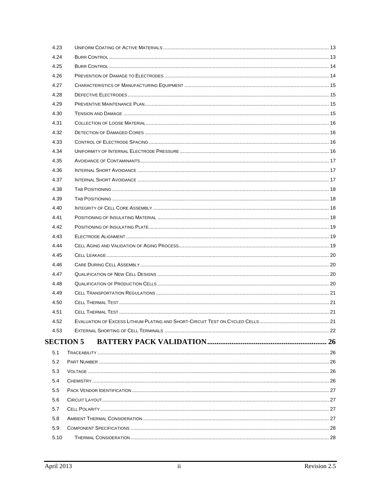| 4.23 |                  |  |
|------|------------------|--|
| 4.24 |                  |  |
| 4.25 |                  |  |
| 4.26 |                  |  |
| 4.27 |                  |  |
| 4.28 |                  |  |
| 4.29 |                  |  |
| 4.30 |                  |  |
| 4.31 |                  |  |
| 4.32 |                  |  |
| 4.33 |                  |  |
| 4.34 |                  |  |
| 4.35 |                  |  |
| 4.36 |                  |  |
| 4.37 |                  |  |
| 4.38 |                  |  |
| 4.39 |                  |  |
| 4.40 |                  |  |
| 4.41 |                  |  |
| 4.42 |                  |  |
| 4.43 |                  |  |
| 4.44 |                  |  |
| 4.45 |                  |  |
| 4.46 |                  |  |
| 4.47 |                  |  |
| 4.48 |                  |  |
| 4.49 |                  |  |
| 4.50 |                  |  |
| 4.51 |                  |  |
| 4.52 |                  |  |
| 4.53 |                  |  |
|      | <b>SECTION 5</b> |  |
| 5.1  |                  |  |
| 5.2  |                  |  |
| 5.3  |                  |  |
| 5.4  |                  |  |
| 5.5  |                  |  |
| 5.6  |                  |  |
| 5.7  |                  |  |
| 5.8  |                  |  |
| 5.9  |                  |  |
| 5.10 |                  |  |
|      |                  |  |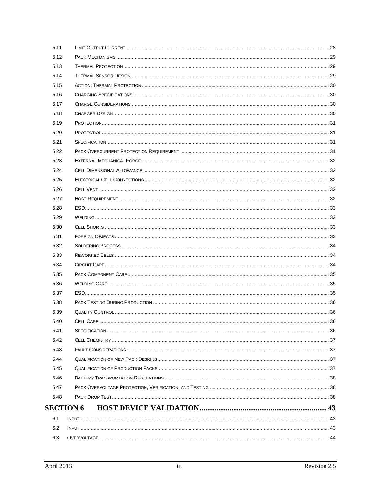| 6.2          |                  |  |
|--------------|------------------|--|
| 6.1          |                  |  |
|              | <b>SECTION 6</b> |  |
| 5.48         |                  |  |
| 5.47         |                  |  |
| 5.46         |                  |  |
| 5.45         |                  |  |
| 5.44         |                  |  |
| 5.43         |                  |  |
| 5.42         |                  |  |
| 5.41         |                  |  |
| 5.40         |                  |  |
| 5.39         |                  |  |
| 5.38         |                  |  |
| 5.37         |                  |  |
| 5.36         |                  |  |
| 5.35         |                  |  |
| 5.34         |                  |  |
| 5.33         |                  |  |
| 5.32         |                  |  |
| 5.31         |                  |  |
| 5.30         |                  |  |
| 5.29         |                  |  |
| 5.28         |                  |  |
| 5.27         |                  |  |
| 5.26         |                  |  |
| 5.25         |                  |  |
| 5.24         |                  |  |
| 5.23         |                  |  |
| 5.22         |                  |  |
| 5.21         |                  |  |
| 5.20         |                  |  |
| 5.19         |                  |  |
| 5.18         |                  |  |
| 5.17         |                  |  |
| 5.16         |                  |  |
| 5.14<br>5.15 |                  |  |
| 5.13         |                  |  |
| 5.12         |                  |  |
| 5.11         |                  |  |
|              |                  |  |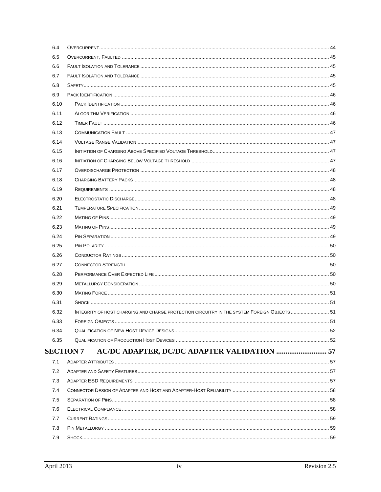| INTEGRITY OF HOST CHARGING AND CHARGE PROTECTION CIRCUITRY IN THE SYSTEM FOREIGN OBJECTS 51 |    |
|---------------------------------------------------------------------------------------------|----|
| FOREIGN OBJECTS                                                                             | 51 |
|                                                                                             |    |
|                                                                                             |    |
| <b>SECTION 7</b><br>AC/DC ADAPTER, DC/DC ADAPTER VALIDATION  57                             |    |
|                                                                                             |    |
|                                                                                             |    |
|                                                                                             |    |
|                                                                                             |    |
|                                                                                             |    |
|                                                                                             |    |
|                                                                                             |    |
|                                                                                             |    |
|                                                                                             |    |
|                                                                                             |    |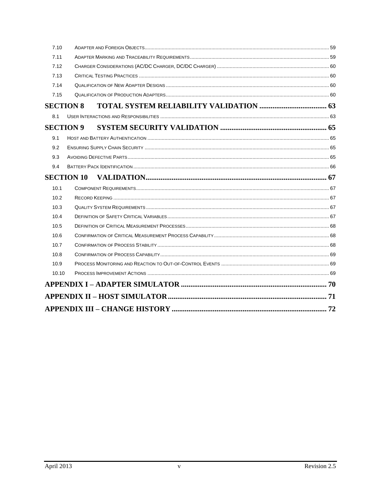| 7.10  |                   |  |  |
|-------|-------------------|--|--|
| 7.11  |                   |  |  |
| 7.12  |                   |  |  |
| 7.13  |                   |  |  |
| 7.14  |                   |  |  |
| 7.15  |                   |  |  |
|       | <b>SECTION 8</b>  |  |  |
| 8.1   |                   |  |  |
|       | <b>SECTION 9</b>  |  |  |
| 9.1   |                   |  |  |
| 9.2   |                   |  |  |
| 9.3   |                   |  |  |
| 9.4   |                   |  |  |
|       |                   |  |  |
|       | <b>SECTION 10</b> |  |  |
| 10.1  |                   |  |  |
| 10.2  |                   |  |  |
| 10.3  |                   |  |  |
| 10.4  |                   |  |  |
| 10.5  |                   |  |  |
| 10.6  |                   |  |  |
| 10.7  |                   |  |  |
| 10.8  |                   |  |  |
| 10.9  |                   |  |  |
| 10.10 |                   |  |  |
|       |                   |  |  |
|       |                   |  |  |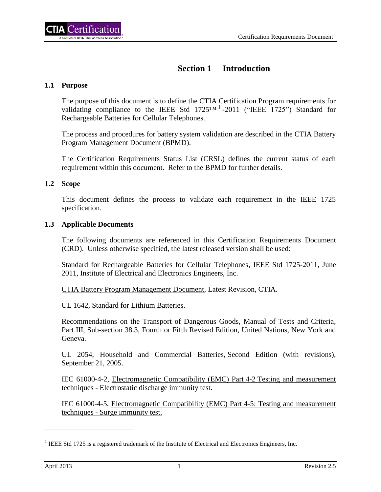# **Section 1 Introduction**

# <span id="page-7-1"></span><span id="page-7-0"></span>**1.1 Purpose**

The purpose of this document is to define the CTIA Certification Program requirements for validating compliance to the IEEE Std  $1725^{TM}$  -2011 ("IEEE 1725") Standard for Rechargeable Batteries for Cellular Telephones.

The process and procedures for battery system validation are described in the CTIA Battery Program Management Document (BPMD).

The Certification Requirements Status List (CRSL) defines the current status of each requirement within this document. Refer to the BPMD for further details.

# <span id="page-7-2"></span>**1.2 Scope**

This document defines the process to validate each requirement in the IEEE 1725 specification.

#### <span id="page-7-3"></span>**1.3 Applicable Documents**

The following documents are referenced in this Certification Requirements Document (CRD). Unless otherwise specified, the latest released version shall be used:

Standard for Rechargeable Batteries for Cellular Telephones, IEEE Std 1725-2011, June 2011, Institute of Electrical and Electronics Engineers, Inc.

CTIA Battery Program Management Document, Latest Revision, CTIA.

UL 1642, Standard for Lithium Batteries.

Recommendations on the Transport of Dangerous Goods, Manual of Tests and Criteria, Part III, Sub-section 38.3, Fourth or Fifth Revised Edition, United Nations, New York and Geneva.

UL 2054, Household and Commercial Batteries, Second Edition (with revisions), September 21, 2005.

IEC 61000-4-2, Electromagnetic Compatibility (EMC) Part 4-2 Testing and measurement techniques - Electrostatic discharge immunity test.

IEC 61000-4-5, Electromagnetic Compatibility (EMC) Part 4-5: Testing and measurement techniques - Surge immunity test.

 $\overline{a}$ 

<sup>&</sup>lt;sup>1</sup> IEEE Std 1725 is a registered trademark of the Institute of Electrical and Electronics Engineers, Inc.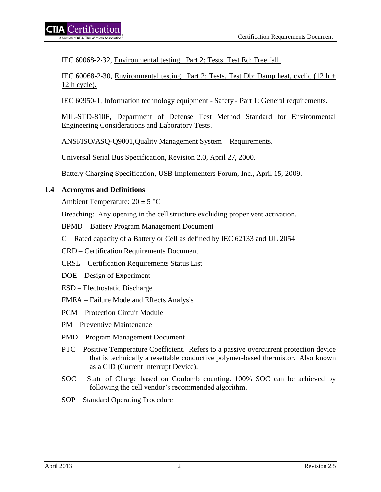IEC 60068-2-32, Environmental testing. Part 2: Tests. Test Ed: Free fall.

IEC 60068-2-30, Environmental testing. Part 2: Tests. Test Db: Damp heat, cyclic  $(12 h +$ 12 h cycle).

IEC 60950-1, Information technology equipment - Safety - Part 1: General requirements.

MIL-STD-810F, Department of Defense Test Method Standard for Environmental Engineering Considerations and Laboratory Tests.

ANSI/ISO/ASQ-Q9001,Quality Management System – Requirements.

Universal Serial Bus Specification, Revision 2.0, April 27, 2000.

Battery Charging Specification, USB Implementers Forum, Inc., April 15, 2009.

# <span id="page-8-0"></span>**1.4 Acronyms and Definitions**

Ambient Temperature:  $20 \pm 5$  °C

Breaching: Any opening in the cell structure excluding proper vent activation.

BPMD – Battery Program Management Document

- C Rated capacity of a Battery or Cell as defined by IEC 62133 and UL 2054
- CRD Certification Requirements Document
- CRSL Certification Requirements Status List
- DOE Design of Experiment
- ESD Electrostatic Discharge

FMEA – Failure Mode and Effects Analysis

PCM – Protection Circuit Module

PM – Preventive Maintenance

- PMD Program Management Document
- PTC Positive Temperature Coefficient. Refers to a passive overcurrent protection device that is technically a resettable conductive polymer-based thermistor. Also known as a CID (Current Interrupt Device).
- SOC State of Charge based on Coulomb counting. 100% SOC can be achieved by following the cell vendor's recommended algorithm.
- SOP Standard Operating Procedure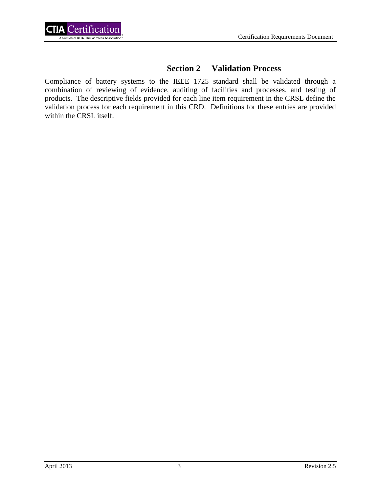

# **Section 2 Validation Process**

<span id="page-9-0"></span>Compliance of battery systems to the IEEE 1725 standard shall be validated through a combination of reviewing of evidence, auditing of facilities and processes, and testing of products. The descriptive fields provided for each line item requirement in the CRSL define the validation process for each requirement in this CRD. Definitions for these entries are provided within the CRSL itself.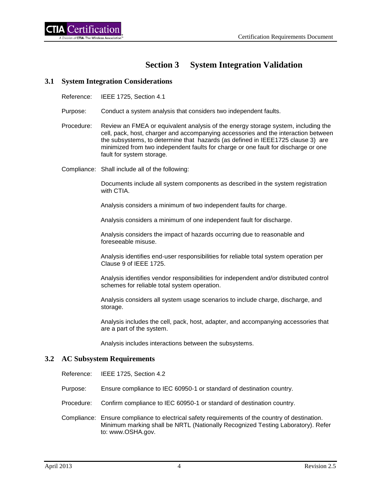# **Section 3 System Integration Validation**

#### <span id="page-10-1"></span><span id="page-10-0"></span>**3.1 System Integration Considerations**

Reference: IEEE 1725, Section 4.1

- Purpose: Conduct a system analysis that considers two independent faults.
- Procedure: Review an FMEA or equivalent analysis of the energy storage system, including the cell, pack, host, charger and accompanying accessories and the interaction between the subsystems, to determine that hazards (as defined in IEEE1725 clause 3) are minimized from two independent faults for charge or one fault for discharge or one fault for system storage.
- Compliance: Shall include all of the following:

Documents include all system components as described in the system registration with CTIA.

Analysis considers a minimum of two independent faults for charge.

Analysis considers a minimum of one independent fault for discharge.

Analysis considers the impact of hazards occurring due to reasonable and foreseeable misuse.

Analysis identifies end-user responsibilities for reliable total system operation per Clause 9 of IEEE 1725.

Analysis identifies vendor responsibilities for independent and/or distributed control schemes for reliable total system operation.

Analysis considers all system usage scenarios to include charge, discharge, and storage.

Analysis includes the cell, pack, host, adapter, and accompanying accessories that are a part of the system.

Analysis includes interactions between the subsystems.

#### <span id="page-10-2"></span>**3.2 AC Subsystem Requirements**

Reference: IEEE 1725, Section 4.2

- Purpose: Ensure compliance to IEC 60950-1 or standard of destination country.
- Procedure: Confirm compliance to IEC 60950-1 or standard of destination country.
- Compliance: Ensure compliance to electrical safety requirements of the country of destination. Minimum marking shall be NRTL (Nationally Recognized Testing Laboratory). Refer to: www.OSHA.gov.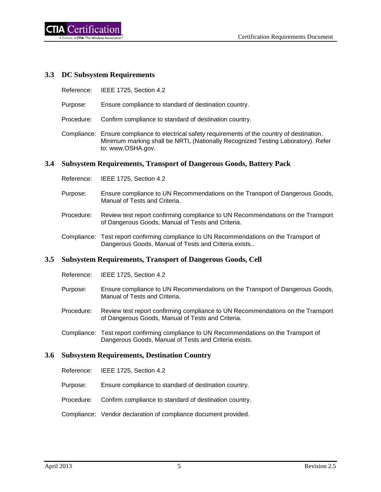# <span id="page-11-0"></span>**3.3 DC Subsystem Requirements**

- Reference: IEEE 1725, Section 4.2
- Purpose: Ensure compliance to standard of destination country.
- Procedure: Confirm compliance to standard of destination country.
- Compliance: Ensure compliance to electrical safety requirements of the country of destination. Minimum marking shall be NRTL (Nationally Recognized Testing Laboratory). Refer to: www.OSHA.gov.

#### <span id="page-11-1"></span>**3.4 Subsystem Requirements, Transport of Dangerous Goods, Battery Pack**

- Reference: IEEE 1725, Section 4.2
- Purpose: Ensure compliance to UN Recommendations on the Transport of Dangerous Goods, Manual of Tests and Criteria.
- Procedure: Review test report confirming compliance to UN Recommendations on the Transport of Dangerous Goods, Manual of Tests and Criteria.
- Compliance: Test report confirming compliance to UN Recommendations on the Transport of Dangerous Goods, Manual of Tests and Criteria exists..

#### <span id="page-11-2"></span>**3.5 Subsystem Requirements, Transport of Dangerous Goods, Cell**

- Reference: IEEE 1725, Section 4.2
- Purpose: Ensure compliance to UN Recommendations on the Transport of Dangerous Goods, Manual of Tests and Criteria.
- Procedure: Review test report confirming compliance to UN Recommendations on the Transport of Dangerous Goods, Manual of Tests and Criteria.
- Compliance: Test report confirming compliance to UN Recommendations on the Transport of Dangerous Goods, Manual of Tests and Criteria exists.

#### <span id="page-11-3"></span>**3.6 Subsystem Requirements, Destination Country**

- Reference: IEEE 1725, Section 4.2
- Purpose: Ensure compliance to standard of destination country.
- Procedure: Confirm compliance to standard of destination country.
- Compliance: Vendor declaration of compliance document provided.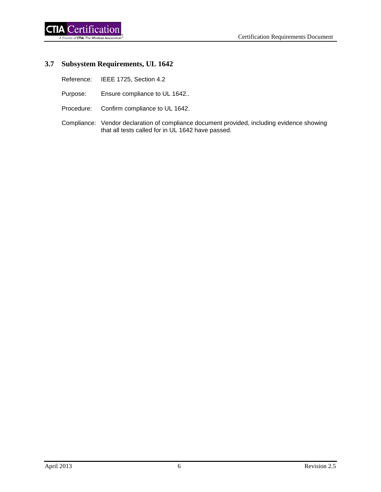# <span id="page-12-0"></span>**3.7 Subsystem Requirements, UL 1642**

- Reference: IEEE 1725, Section 4.2
- Purpose: Ensure compliance to UL 1642..
- Procedure: Confirm compliance to UL 1642.
- Compliance: Vendor declaration of compliance document provided, including evidence showing that all tests called for in UL 1642 have passed.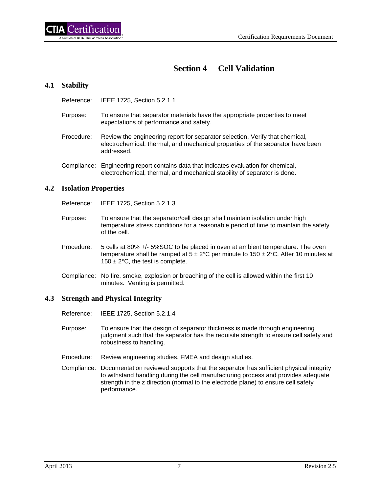# **Section 4 Cell Validation**

# <span id="page-13-1"></span><span id="page-13-0"></span>**4.1 Stability**

Reference: IEEE 1725, Section 5.2.1.1

- Purpose: To ensure that separator materials have the appropriate properties to meet expectations of performance and safety.
- Procedure: Review the engineering report for separator selection. Verify that chemical, electrochemical, thermal, and mechanical properties of the separator have been addressed.
- Compliance: Engineering report contains data that indicates evaluation for chemical, electrochemical, thermal, and mechanical stability of separator is done.

#### <span id="page-13-2"></span>**4.2 Isolation Properties**

Reference: IEEE 1725, Section 5.2.1.3

- Purpose: To ensure that the separator/cell design shall maintain isolation under high temperature stress conditions for a reasonable period of time to maintain the safety of the cell.
- Procedure: 5 cells at 80% +/- 5%SOC to be placed in oven at ambient temperature. The oven temperature shall be ramped at  $5 \pm 2^{\circ}$ C per minute to  $150 \pm 2^{\circ}$ C. After 10 minutes at 150  $\pm$  2°C, the test is complete.
- Compliance: No fire, smoke, explosion or breaching of the cell is allowed within the first 10 minutes. Venting is permitted.

#### <span id="page-13-3"></span>**4.3 Strength and Physical Integrity**

- Reference: IEEE 1725, Section 5.2.1.4
- Purpose: To ensure that the design of separator thickness is made through engineering judgment such that the separator has the requisite strength to ensure cell safety and robustness to handling.
- Procedure: Review engineering studies, FMEA and design studies.
- Compliance: Documentation reviewed supports that the separator has sufficient physical integrity to withstand handling during the cell manufacturing process and provides adequate strength in the z direction (normal to the electrode plane) to ensure cell safety performance.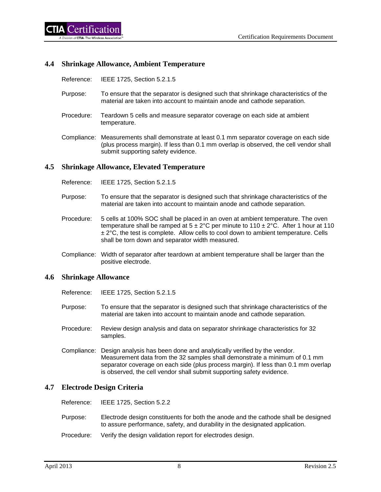#### <span id="page-14-0"></span>**4.4 Shrinkage Allowance, Ambient Temperature**

Reference: IEEE 1725, Section 5.2.1.5

- Purpose: To ensure that the separator is designed such that shrinkage characteristics of the material are taken into account to maintain anode and cathode separation.
- Procedure: Teardown 5 cells and measure separator coverage on each side at ambient temperature.
- Compliance: Measurements shall demonstrate at least 0.1 mm separator coverage on each side (plus process margin). If less than 0.1 mm overlap is observed, the cell vendor shall submit supporting safety evidence.

#### <span id="page-14-1"></span>**4.5 Shrinkage Allowance, Elevated Temperature**

Reference: IEEE 1725, Section 5.2.1.5

- Purpose: To ensure that the separator is designed such that shrinkage characteristics of the material are taken into account to maintain anode and cathode separation.
- Procedure: 5 cells at 100% SOC shall be placed in an oven at ambient temperature. The oven temperature shall be ramped at  $5 \pm 2^{\circ}$ C per minute to  $110 \pm 2^{\circ}$ C. After 1 hour at 110  $± 2°C$ , the test is complete. Allow cells to cool down to ambient temperature. Cells shall be torn down and separator width measured.
- Compliance: Width of separator after teardown at ambient temperature shall be larger than the positive electrode.

#### <span id="page-14-2"></span>**4.6 Shrinkage Allowance**

- Reference: IEEE 1725, Section 5.2.1.5
- Purpose: To ensure that the separator is designed such that shrinkage characteristics of the material are taken into account to maintain anode and cathode separation.
- Procedure: Review design analysis and data on separator shrinkage characteristics for 32 samples.
- Compliance: Design analysis has been done and analytically verified by the vendor. Measurement data from the 32 samples shall demonstrate a minimum of 0.1 mm separator coverage on each side (plus process margin). If less than 0.1 mm overlap is observed, the cell vendor shall submit supporting safety evidence.

#### <span id="page-14-3"></span>**4.7 Electrode Design Criteria**

Reference: IEEE 1725, Section 5.2.2

- Purpose: Electrode design constituents for both the anode and the cathode shall be designed to assure performance, safety, and durability in the designated application.
- Procedure: Verify the design validation report for electrodes design.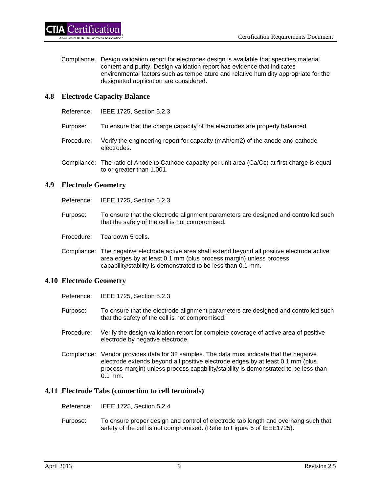Compliance: Design validation report for electrodes design is available that specifies material content and purity. Design validation report has evidence that indicates environmental factors such as temperature and relative humidity appropriate for the designated application are considered.

# <span id="page-15-0"></span>**4.8 Electrode Capacity Balance**

- Reference: IEEE 1725, Section 5.2.3
- Purpose: To ensure that the charge capacity of the electrodes are properly balanced.
- Procedure: Verify the engineering report for capacity (mAh/cm2) of the anode and cathode electrodes.
- Compliance: The ratio of Anode to Cathode capacity per unit area (Ca/Cc) at first charge is equal to or greater than 1.001.

#### <span id="page-15-1"></span>**4.9 Electrode Geometry**

Reference: IEEE 1725, Section 5.2.3

- Purpose: To ensure that the electrode alignment parameters are designed and controlled such that the safety of the cell is not compromised.
- Procedure: Teardown 5 cells.
- Compliance: The negative electrode active area shall extend beyond all positive electrode active area edges by at least 0.1 mm (plus process margin) unless process capability/stability is demonstrated to be less than 0.1 mm.

# <span id="page-15-2"></span>**4.10 Electrode Geometry**

- Reference: IEEE 1725, Section 5.2.3
- Purpose: To ensure that the electrode alignment parameters are designed and controlled such that the safety of the cell is not compromised.
- Procedure: Verify the design validation report for complete coverage of active area of positive electrode by negative electrode.
- Compliance: Vendor provides data for 32 samples. The data must indicate that the negative electrode extends beyond all positive electrode edges by at least 0.1 mm (plus process margin) unless process capability/stability is demonstrated to be less than 0.1 mm.

#### <span id="page-15-3"></span>**4.11 Electrode Tabs (connection to cell terminals)**

Reference: IEEE 1725, Section 5.2.4

Purpose: To ensure proper design and control of electrode tab length and overhang such that safety of the cell is not compromised. (Refer to Figure 5 of IEEE1725).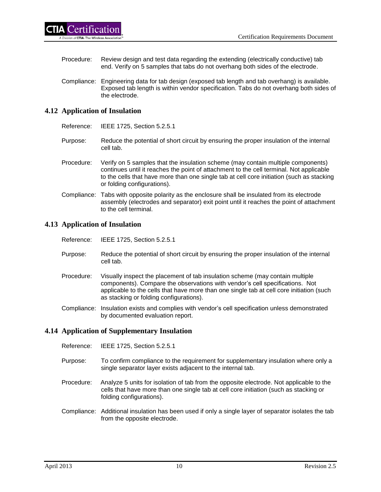- Procedure: Review design and test data regarding the extending (electrically conductive) tab end. Verify on 5 samples that tabs do not overhang both sides of the electrode.
- Compliance: Engineering data for tab design (exposed tab length and tab overhang) is available. Exposed tab length is within vendor specification. Tabs do not overhang both sides of the electrode.

# <span id="page-16-0"></span>**4.12 Application of Insulation**

Reference: IEEE 1725, Section 5.2.5.1

- Purpose: Reduce the potential of short circuit by ensuring the proper insulation of the internal cell tab.
- Procedure: Verify on 5 samples that the insulation scheme (may contain multiple components) continues until it reaches the point of attachment to the cell terminal. Not applicable to the cells that have more than one single tab at cell core initiation (such as stacking or folding configurations).
- Compliance: Tabs with opposite polarity as the enclosure shall be insulated from its electrode assembly (electrodes and separator) exit point until it reaches the point of attachment to the cell terminal.

# <span id="page-16-1"></span>**4.13 Application of Insulation**

- Reference: IEEE 1725, Section 5.2.5.1
- Purpose: Reduce the potential of short circuit by ensuring the proper insulation of the internal cell tab.
- Procedure: Visually inspect the placement of tab insulation scheme (may contain multiple components). Compare the observations with vendor's cell specifications. Not applicable to the cells that have more than one single tab at cell core initiation (such as stacking or folding configurations).
- Compliance: Insulation exists and complies with vendor's cell specification unless demonstrated by documented evaluation report.

# <span id="page-16-2"></span>**4.14 Application of Supplementary Insulation**

- Reference: IEEE 1725, Section 5.2.5.1
- Purpose: To confirm compliance to the requirement for supplementary insulation where only a single separator layer exists adjacent to the internal tab.
- Procedure: Analyze 5 units for isolation of tab from the opposite electrode. Not applicable to the cells that have more than one single tab at cell core initiation (such as stacking or folding configurations).
- Compliance: Additional insulation has been used if only a single layer of separator isolates the tab from the opposite electrode.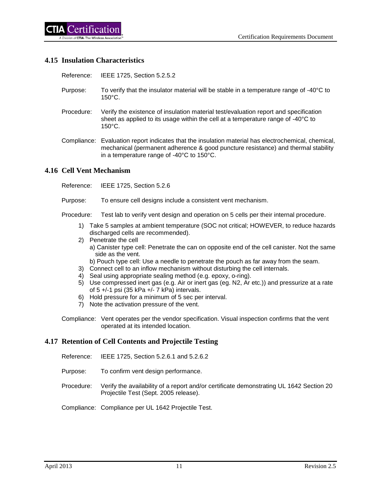# <span id="page-17-0"></span>**4.15 Insulation Characteristics**

Reference: IEEE 1725, Section 5.2.5.2

- Purpose: To verify that the insulator material will be stable in a temperature range of -40°C to 150°C.
- Procedure: Verify the existence of insulation material test/evaluation report and specification sheet as applied to its usage within the cell at a temperature range of -40°C to 150°C.
- Compliance: Evaluation report indicates that the insulation material has electrochemical, chemical, mechanical (permanent adherence & good puncture resistance) and thermal stability in a temperature range of -40°C to 150°C.

#### <span id="page-17-1"></span>**4.16 Cell Vent Mechanism**

Reference: IEEE 1725, Section 5.2.6

Purpose: To ensure cell designs include a consistent vent mechanism.

Procedure: Test lab to verify vent design and operation on 5 cells per their internal procedure.

- 1) Take 5 samples at ambient temperature (SOC not critical; HOWEVER, to reduce hazards discharged cells are recommended).
- 2) Penetrate the cell
	- a) Canister type cell: Penetrate the can on opposite end of the cell canister. Not the same side as the vent.
	- b) Pouch type cell: Use a needle to penetrate the pouch as far away from the seam.
- 3) Connect cell to an inflow mechanism without disturbing the cell internals.
- 4) Seal using appropriate sealing method (e.g. epoxy, o-ring).
- 5) Use compressed inert gas (e.g. Air or inert gas (eg. N2, Ar etc.)) and pressurize at a rate of 5 +/-1 psi (35 kPa +/- 7 kPa) intervals.
- 6) Hold pressure for a minimum of 5 sec per interval.
- 7) Note the activation pressure of the vent.
- Compliance: Vent operates per the vendor specification. Visual inspection confirms that the vent operated at its intended location.

# <span id="page-17-2"></span>**4.17 Retention of Cell Contents and Projectile Testing**

- Reference: IEEE 1725, Section 5.2.6.1 and 5.2.6.2
- Purpose: To confirm vent design performance.
- Procedure: Verify the availability of a report and/or certificate demonstrating UL 1642 Section 20 Projectile Test (Sept. 2005 release).
- Compliance: Compliance per UL 1642 Projectile Test.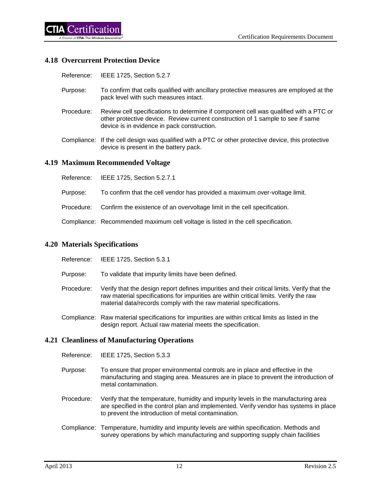### <span id="page-18-0"></span>**4.18 Overcurrent Protection Device**

Reference: IEEE 1725, Section 5.2.7

- Purpose: To confirm that cells qualified with ancillary protective measures are employed at the pack level with such measures intact.
- Procedure: Review cell specifications to determine if component cell was qualified with a PTC or other protective device. Review current construction of 1 sample to see if same device is in evidence in pack construction.
- Compliance: If the cell design was qualified with a PTC or other protective device, this protective device is present in the battery pack.

#### <span id="page-18-1"></span>**4.19 Maximum Recommended Voltage**

- Reference: IEEE 1725, Section 5.2.7.1
- Purpose: To confirm that the cell vendor has provided a maximum over-voltage limit.
- Procedure: Confirm the existence of an overvoltage limit in the cell specification.

Compliance: Recommended maximum cell voltage is listed in the cell specification.

#### <span id="page-18-2"></span>**4.20 Materials Specifications**

- Reference: IEEE 1725, Section 5.3.1
- Purpose: To validate that impurity limits have been defined.
- Procedure: Verify that the design report defines impurities and their critical limits. Verify that the raw material specifications for impurities are within critical limits. Verify the raw material data/records comply with the raw material specifications.
- Compliance: Raw material specifications for impurities are within critical limits as listed in the design report. Actual raw material meets the specification.

#### <span id="page-18-3"></span>**4.21 Cleanliness of Manufacturing Operations**

- Reference: IEEE 1725, Section 5.3.3
- Purpose: To ensure that proper environmental controls are in place and effective in the manufacturing and staging area. Measures are in place to prevent the introduction of metal contamination.
- Procedure: Verify that the temperature, humidity and impurity levels in the manufacturing area are specified in the control plan and implemented. Verify vendor has systems in place to prevent the introduction of metal contamination.
- Compliance: Temperature, humidity and impurity levels are within specification. Methods and survey operations by which manufacturing and supporting supply chain facilities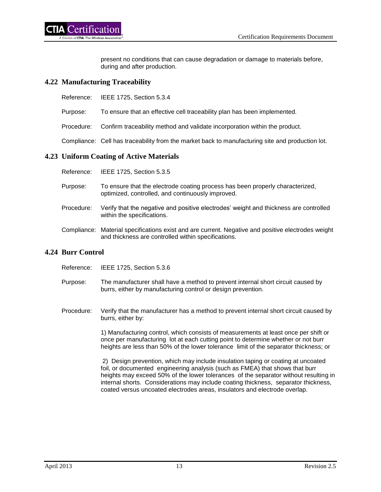present no conditions that can cause degradation or damage to materials before, during and after production.

#### <span id="page-19-0"></span>**4.22 Manufacturing Traceability**

- Reference: IEEE 1725, Section 5.3.4
- Purpose: To ensure that an effective cell traceability plan has been implemented.

Procedure: Confirm traceability method and validate incorporation within the product.

Compliance: Cell has traceability from the market back to manufacturing site and production lot.

#### <span id="page-19-1"></span>**4.23 Uniform Coating of Active Materials**

| Reference: | IEEE 1725, Section 5.3.5                                                                                                                                  |
|------------|-----------------------------------------------------------------------------------------------------------------------------------------------------------|
| Purpose:   | To ensure that the electrode coating process has been properly characterized,<br>optimized, controlled, and continuously improved.                        |
| Procedure: | Verify that the negative and positive electrodes' weight and thickness are controlled<br>within the specifications.                                       |
|            | Compliance: Material specifications exist and are current. Negative and positive electrodes weight<br>and thickness are controlled within specifications. |

#### <span id="page-19-2"></span>**4.24 Burr Control**

Reference: IEEE 1725, Section 5.3.6

- Purpose: The manufacturer shall have a method to prevent internal short circuit caused by burrs, either by manufacturing control or design prevention.
- Procedure: Verify that the manufacturer has a method to prevent internal short circuit caused by burrs, either by:

1) Manufacturing control, which consists of measurements at least once per shift or once per manufacturing lot at each cutting point to determine whether or not burr heights are less than 50% of the lower tolerance limit of the separator thickness; or

 2) Design prevention, which may include insulation taping or coating at uncoated foil, or documented engineering analysis (such as FMEA) that shows that burr heights may exceed 50% of the lower tolerances of the separator without resulting in internal shorts. Considerations may include coating thickness, separator thickness, coated versus uncoated electrodes areas, insulators and electrode overlap.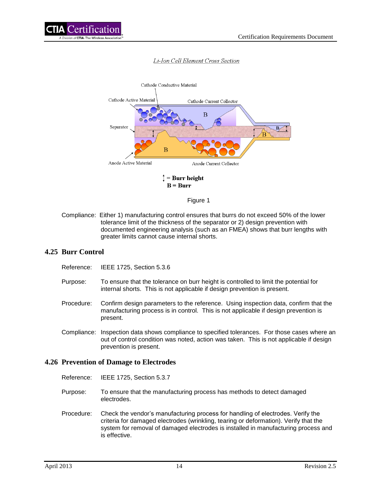

#### Li-Ion Cell Element Cross Section



 $B = Burr$ 

#### Figure 1

Compliance: Either 1) manufacturing control ensures that burrs do not exceed 50% of the lower tolerance limit of the thickness of the separator or 2) design prevention with documented engineering analysis (such as an FMEA) shows that burr lengths with greater limits cannot cause internal shorts.

#### <span id="page-20-0"></span>**4.25 Burr Control**

- Reference: IEEE 1725, Section 5.3.6
- Purpose: To ensure that the tolerance on burr height is controlled to limit the potential for internal shorts. This is not applicable if design prevention is present.
- Procedure: Confirm design parameters to the reference. Using inspection data, confirm that the manufacturing process is in control. This is not applicable if design prevention is present.
- Compliance: Inspection data shows compliance to specified tolerances. For those cases where an out of control condition was noted, action was taken. This is not applicable if design prevention is present.

#### <span id="page-20-1"></span>**4.26 Prevention of Damage to Electrodes**

- Reference: IEEE 1725, Section 5.3.7
- Purpose: To ensure that the manufacturing process has methods to detect damaged electrodes.
- Procedure: Check the vendor's manufacturing process for handling of electrodes. Verify the criteria for damaged electrodes (wrinkling, tearing or deformation). Verify that the system for removal of damaged electrodes is installed in manufacturing process and is effective.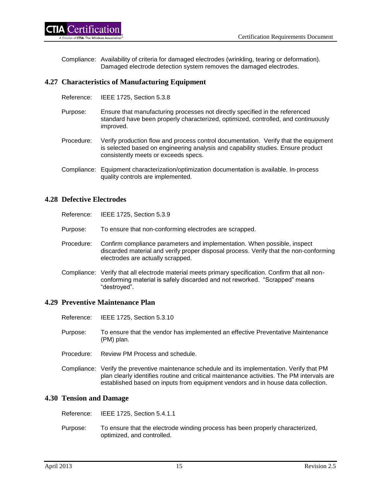ertification!

Compliance: Availability of criteria for damaged electrodes (wrinkling, tearing or deformation). Damaged electrode detection system removes the damaged electrodes.

### <span id="page-21-0"></span>**4.27 Characteristics of Manufacturing Equipment**

- Reference: IEEE 1725, Section 5.3.8
- Purpose: Ensure that manufacturing processes not directly specified in the referenced standard have been properly characterized, optimized, controlled, and continuously improved.
- Procedure: Verify production flow and process control documentation. Verify that the equipment is selected based on engineering analysis and capability studies. Ensure product consistently meets or exceeds specs.
- Compliance: Equipment characterization/optimization documentation is available. In-process quality controls are implemented.

#### <span id="page-21-1"></span>**4.28 Defective Electrodes**

- Reference: IEEE 1725, Section 5.3.9
- Purpose: To ensure that non-conforming electrodes are scrapped.
- Procedure: Confirm compliance parameters and implementation. When possible, inspect discarded material and verify proper disposal process. Verify that the non-conforming electrodes are actually scrapped.
- Compliance: Verify that all electrode material meets primary specification. Confirm that all nonconforming material is safely discarded and not reworked. "Scrapped" means "destroyed".

#### <span id="page-21-2"></span>**4.29 Preventive Maintenance Plan**

- Reference: IEEE 1725, Section 5.3.10
- Purpose: To ensure that the vendor has implemented an effective Preventative Maintenance (PM) plan.
- Procedure: Review PM Process and schedule.
- Compliance: Verify the preventive maintenance schedule and its implementation. Verify that PM plan clearly identifies routine and critical maintenance activities. The PM intervals are established based on inputs from equipment vendors and in house data collection.

#### <span id="page-21-3"></span>**4.30 Tension and Damage**

Reference: IEEE 1725, Section 5.4.1.1

Purpose: To ensure that the electrode winding process has been properly characterized, optimized, and controlled.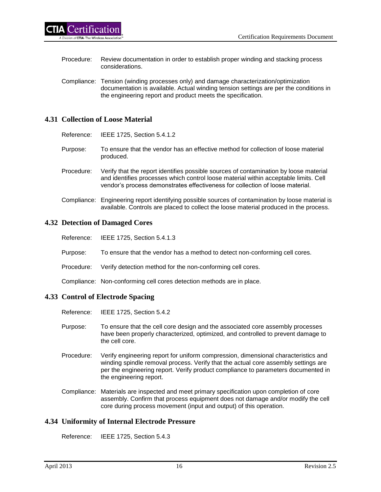- Procedure: Review documentation in order to establish proper winding and stacking process considerations.
- Compliance: Tension (winding processes only) and damage characterization/optimization documentation is available. Actual winding tension settings are per the conditions in the engineering report and product meets the specification.

# <span id="page-22-0"></span>**4.31 Collection of Loose Material**

- Reference: IEEE 1725, Section 5.4.1.2
- Purpose: To ensure that the vendor has an effective method for collection of loose material produced.
- Procedure: Verify that the report identifies possible sources of contamination by loose material and identifies processes which control loose material within acceptable limits. Cell vendor's process demonstrates effectiveness for collection of loose material.
- Compliance: Engineering report identifying possible sources of contamination by loose material is available. Controls are placed to collect the loose material produced in the process.

#### <span id="page-22-1"></span>**4.32 Detection of Damaged Cores**

- Reference: IEEE 1725, Section 5.4.1.3
- Purpose: To ensure that the vendor has a method to detect non-conforming cell cores.
- Procedure: Verify detection method for the non-conforming cell cores.

Compliance: Non-conforming cell cores detection methods are in place.

# <span id="page-22-2"></span>**4.33 Control of Electrode Spacing**

- Reference: IEEE 1725, Section 5.4.2
- Purpose: To ensure that the cell core design and the associated core assembly processes have been properly characterized, optimized, and controlled to prevent damage to the cell core.
- Procedure: Verify engineering report for uniform compression, dimensional characteristics and winding spindle removal process. Verify that the actual core assembly settings are per the engineering report. Verify product compliance to parameters documented in the engineering report.
- Compliance: Materials are inspected and meet primary specification upon completion of core assembly. Confirm that process equipment does not damage and/or modify the cell core during process movement (input and output) of this operation.

# <span id="page-22-3"></span>**4.34 Uniformity of Internal Electrode Pressure**

Reference: IEEE 1725, Section 5.4.3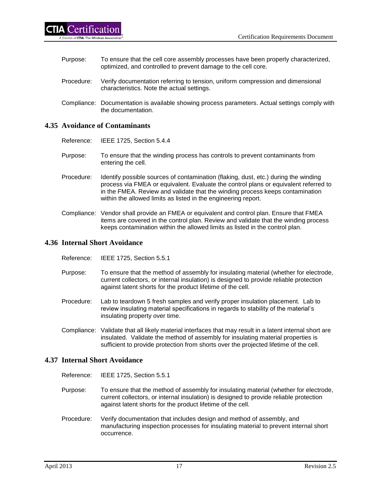| Purpose:   | To ensure that the cell core assembly processes have been properly characterized,<br>optimized, and controlled to prevent damage to the cell core. |
|------------|----------------------------------------------------------------------------------------------------------------------------------------------------|
| Procedure: | Verify documentation referring to tension, uniform compression and dimensional<br>characteristics. Note the actual settings.                       |
|            | Compliance: Documentation is available showing process parameters. Actual settings comply with                                                     |

the documentation.

# <span id="page-23-0"></span>**4.35 Avoidance of Contaminants**

Reference: IEEE 1725, Section 5.4.4

- Purpose: To ensure that the winding process has controls to prevent contaminants from entering the cell.
- Procedure: Identify possible sources of contamination (flaking, dust, etc.) during the winding process via FMEA or equivalent. Evaluate the control plans or equivalent referred to in the FMEA. Review and validate that the winding process keeps contamination within the allowed limits as listed in the engineering report.
- Compliance: Vendor shall provide an FMEA or equivalent and control plan. Ensure that FMEA items are covered in the control plan. Review and validate that the winding process keeps contamination within the allowed limits as listed in the control plan.

#### <span id="page-23-1"></span>**4.36 Internal Short Avoidance**

- Reference: IEEE 1725, Section 5.5.1
- Purpose: To ensure that the method of assembly for insulating material (whether for electrode, current collectors, or internal insulation) is designed to provide reliable protection against latent shorts for the product lifetime of the cell.
- Procedure: Lab to teardown 5 fresh samples and verify proper insulation placement. Lab to review insulating material specifications in regards to stability of the material's insulating property over time.
- Compliance: Validate that all likely material interfaces that may result in a latent internal short are insulated. Validate the method of assembly for insulating material properties is sufficient to provide protection from shorts over the projected lifetime of the cell.

# <span id="page-23-2"></span>**4.37 Internal Short Avoidance**

- Reference: IEEE 1725, Section 5.5.1
- Purpose: To ensure that the method of assembly for insulating material (whether for electrode, current collectors, or internal insulation) is designed to provide reliable protection against latent shorts for the product lifetime of the cell.
- Procedure: Verify documentation that includes design and method of assembly, and manufacturing inspection processes for insulating material to prevent internal short occurrence.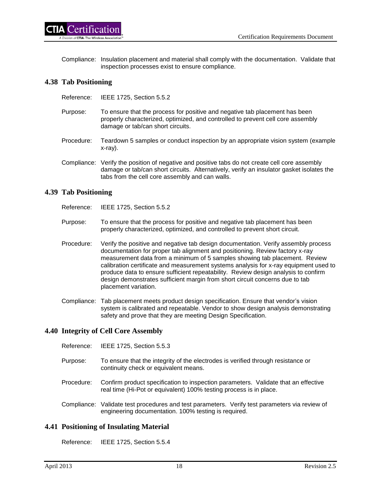

Compliance: Insulation placement and material shall comply with the documentation. Validate that inspection processes exist to ensure compliance.

### <span id="page-24-0"></span>**4.38 Tab Positioning**

- Reference: IEEE 1725, Section 5.5.2
- Purpose: To ensure that the process for positive and negative tab placement has been properly characterized, optimized, and controlled to prevent cell core assembly damage or tab/can short circuits.
- Procedure: Teardown 5 samples or conduct inspection by an appropriate vision system (example x-ray).
- Compliance: Verify the position of negative and positive tabs do not create cell core assembly damage or tab/can short circuits. Alternatively, verify an insulator gasket isolates the tabs from the cell core assembly and can walls.

#### <span id="page-24-1"></span>**4.39 Tab Positioning**

Reference: IEEE 1725, Section 5.5.2

- Purpose: To ensure that the process for positive and negative tab placement has been properly characterized, optimized, and controlled to prevent short circuit.
- Procedure: Verify the positive and negative tab design documentation. Verify assembly process documentation for proper tab alignment and positioning. Review factory x-ray measurement data from a minimum of 5 samples showing tab placement. Review calibration certificate and measurement systems analysis for x-ray equipment used to produce data to ensure sufficient repeatability. Review design analysis to confirm design demonstrates sufficient margin from short circuit concerns due to tab placement variation.
- Compliance: Tab placement meets product design specification. Ensure that vendor's vision system is calibrated and repeatable. Vendor to show design analysis demonstrating safety and prove that they are meeting Design Specification.

# <span id="page-24-2"></span>**4.40 Integrity of Cell Core Assembly**

- Reference: IEEE 1725, Section 5.5.3
- Purpose: To ensure that the integrity of the electrodes is verified through resistance or continuity check or equivalent means.
- Procedure: Confirm product specification to inspection parameters. Validate that an effective real time (Hi-Pot or equivalent) 100% testing process is in place.
- Compliance: Validate test procedures and test parameters. Verify test parameters via review of engineering documentation. 100% testing is required.

# <span id="page-24-3"></span>**4.41 Positioning of Insulating Material**

Reference: IEEE 1725, Section 5.5.4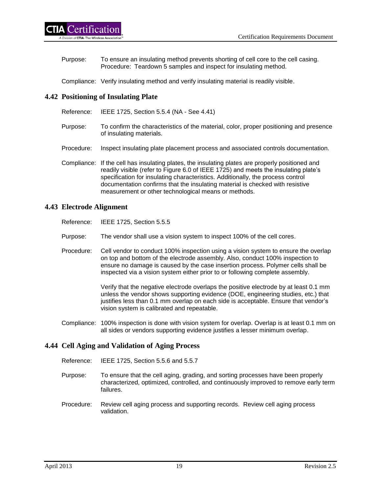Purpose: To ensure an insulating method prevents shorting of cell core to the cell casing. Procedure: Teardown 5 samples and inspect for insulating method.

Compliance: Verify insulating method and verify insulating material is readily visible.

# <span id="page-25-0"></span>**4.42 Positioning of Insulating Plate**

- Reference: IEEE 1725, Section 5.5.4 (NA See 4.41)
- Purpose: To confirm the characteristics of the material, color, proper positioning and presence of insulating materials.
- Procedure: Inspect insulating plate placement process and associated controls documentation.
- Compliance: If the cell has insulating plates, the insulating plates are properly positioned and readily visible (refer to Figure 6.0 of IEEE 1725) and meets the insulating plate's specification for insulating characteristics. Additionally, the process control documentation confirms that the insulating material is checked with resistive measurement or other technological means or methods.

# <span id="page-25-1"></span>**4.43 Electrode Alignment**

- Reference: IEEE 1725, Section 5.5.5
- Purpose: The vendor shall use a vision system to inspect 100% of the cell cores.
- Procedure: Cell vendor to conduct 100% inspection using a vision system to ensure the overlap on top and bottom of the electrode assembly. Also, conduct 100% inspection to ensure no damage is caused by the case insertion process. Polymer cells shall be inspected via a vision system either prior to or following complete assembly.

Verify that the negative electrode overlaps the positive electrode by at least 0.1 mm unless the vendor shows supporting evidence (DOE, engineering studies, etc.) that justifies less than 0.1 mm overlap on each side is acceptable. Ensure that vendor's vision system is calibrated and repeatable.

Compliance: 100% inspection is done with vision system for overlap. Overlap is at least 0.1 mm on all sides or vendors supporting evidence justifies a lesser minimum overlap.

# <span id="page-25-2"></span>**4.44 Cell Aging and Validation of Aging Process**

- Reference: IEEE 1725, Section 5.5.6 and 5.5.7
- Purpose: To ensure that the cell aging, grading, and sorting processes have been properly characterized, optimized, controlled, and continuously improved to remove early term failures.
- Procedure: Review cell aging process and supporting records. Review cell aging process validation.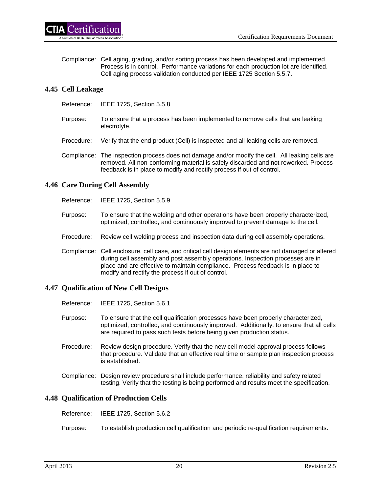

Compliance: Cell aging, grading, and/or sorting process has been developed and implemented. Process is in control. Performance variations for each production lot are identified. Cell aging process validation conducted per IEEE 1725 Section 5.5.7.

# <span id="page-26-0"></span>**4.45 Cell Leakage**

- Reference: IEEE 1725, Section 5.5.8
- Purpose: To ensure that a process has been implemented to remove cells that are leaking electrolyte.
- Procedure: Verify that the end product (Cell) is inspected and all leaking cells are removed.
- Compliance: The inspection process does not damage and/or modify the cell. All leaking cells are removed. All non-conforming material is safely discarded and not reworked. Process feedback is in place to modify and rectify process if out of control.

# <span id="page-26-1"></span>**4.46 Care During Cell Assembly**

Reference: IEEE 1725, Section 5.5.9

- Purpose: To ensure that the welding and other operations have been properly characterized, optimized, controlled, and continuously improved to prevent damage to the cell.
- Procedure: Review cell welding process and inspection data during cell assembly operations.
- Compliance: Cell enclosure, cell case, and critical cell design elements are not damaged or altered during cell assembly and post assembly operations. Inspection processes are in place and are effective to maintain compliance. Process feedback is in place to modify and rectify the process if out of control.

#### <span id="page-26-2"></span>**4.47 Qualification of New Cell Designs**

- Reference: IEEE 1725, Section 5.6.1
- Purpose: To ensure that the cell qualification processes have been properly characterized, optimized, controlled, and continuously improved. Additionally, to ensure that all cells are required to pass such tests before being given production status.
- Procedure: Review design procedure. Verify that the new cell model approval process follows that procedure. Validate that an effective real time or sample plan inspection process is established.
- Compliance: Design review procedure shall include performance, reliability and safety related testing. Verify that the testing is being performed and results meet the specification.

# <span id="page-26-3"></span>**4.48 Qualification of Production Cells**

- Reference: IEEE 1725, Section 5.6.2
- Purpose: To establish production cell qualification and periodic re-qualification requirements.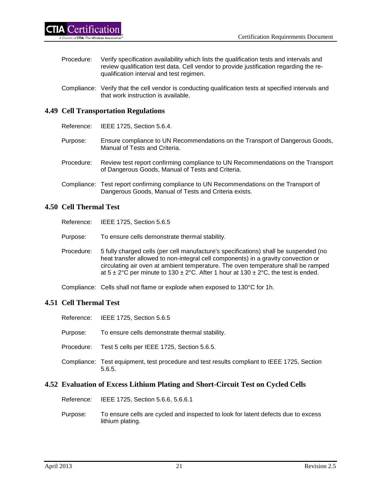- Procedure: Verify specification availability which lists the qualification tests and intervals and review qualification test data. Cell vendor to provide justification regarding the requalification interval and test regimen.
- Compliance: Verify that the cell vendor is conducting qualification tests at specified intervals and that work instruction is available.

# <span id="page-27-0"></span>**4.49 Cell Transportation Regulations**

Reference: IEEE 1725, Section 5.6.4.

- Purpose: Ensure compliance to UN Recommendations on the Transport of Dangerous Goods, Manual of Tests and Criteria.
- Procedure: Review test report confirming compliance to UN Recommendations on the Transport of Dangerous Goods, Manual of Tests and Criteria.
- Compliance: Test report confirming compliance to UN Recommendations on the Transport of Dangerous Goods, Manual of Tests and Criteria exists.

# <span id="page-27-1"></span>**4.50 Cell Thermal Test**

- Reference: IEEE 1725, Section 5.6.5
- Purpose: To ensure cells demonstrate thermal stability.
- Procedure: 5 fully charged cells (per cell manufacture's specifications) shall be suspended (no heat transfer allowed to non-integral cell components) in a gravity convection or circulating air oven at ambient temperature. The oven temperature shall be ramped at  $5 \pm 2^{\circ}$ C per minute to 130  $\pm 2^{\circ}$ C. After 1 hour at 130  $\pm 2^{\circ}$ C, the test is ended.

Compliance: Cells shall not flame or explode when exposed to 130°C for 1h.

# <span id="page-27-2"></span>**4.51 Cell Thermal Test**

- Reference: IEEE 1725, Section 5.6.5
- Purpose: To ensure cells demonstrate thermal stability.
- Procedure: Test 5 cells per IEEE 1725, Section 5.6.5.
- Compliance: Test equipment, test procedure and test results compliant to IEEE 1725, Section 5.6.5.

# <span id="page-27-3"></span>**4.52 Evaluation of Excess Lithium Plating and Short-Circuit Test on Cycled Cells**

Reference: IEEE 1725, Section 5.6.6, 5.6.6.1

Purpose: To ensure cells are cycled and inspected to look for latent defects due to excess lithium plating.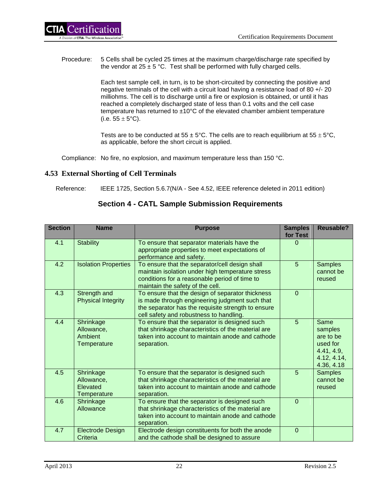Procedure: 5 Cells shall be cycled 25 times at the maximum charge/discharge rate specified by the vendor at  $25 \pm 5$  °C. Test shall be performed with fully charged cells.

> Each test sample cell, in turn, is to be short-circuited by connecting the positive and negative terminals of the cell with a circuit load having a resistance load of 80 +/- 20 milliohms. The cell is to discharge until a fire or explosion is obtained, or until it has reached a completely discharged state of less than 0.1 volts and the cell case temperature has returned to  $\pm 10^{\circ}$ C of the elevated chamber ambient temperature (i.e.  $55 \pm 5^{\circ}$ C).

Tests are to be conducted at 55  $\pm$  5°C. The cells are to reach equilibrium at 55  $\pm$  5°C, as applicable, before the short circuit is applied.

Compliance: No fire, no explosion, and maximum temperature less than 150 °C.

# <span id="page-28-0"></span>**4.53 External Shorting of Cell Terminals**

Reference: IEEE 1725, Section 5.6.7(N/A - See 4.52, IEEE reference deleted in 2011 edition)

# **Section 4 - CATL Sample Submission Requirements**

| <b>Section</b> | <b>Name</b>                                              | <b>Purpose</b>                                                                                                                                                                                      | <b>Samples</b><br>for Test | <b>Reusable?</b>                                                                    |
|----------------|----------------------------------------------------------|-----------------------------------------------------------------------------------------------------------------------------------------------------------------------------------------------------|----------------------------|-------------------------------------------------------------------------------------|
| 4.1            | <b>Stability</b>                                         | To ensure that separator materials have the<br>appropriate properties to meet expectations of<br>performance and safety.                                                                            | $\Omega$                   |                                                                                     |
| 4.2            | <b>Isolation Properties</b>                              | To ensure that the separator/cell design shall<br>maintain isolation under high temperature stress<br>conditions for a reasonable period of time to<br>maintain the safety of the cell.             | 5                          | <b>Samples</b><br>cannot be<br>reused                                               |
| 4.3            | Strength and<br><b>Physical Integrity</b>                | To ensure that the design of separator thickness<br>is made through engineering judgment such that<br>the separator has the requisite strength to ensure<br>cell safety and robustness to handling. | $\overline{0}$             |                                                                                     |
| 4.4            | Shrinkage<br>Allowance,<br>Ambient<br><b>Temperature</b> | To ensure that the separator is designed such<br>that shrinkage characteristics of the material are<br>taken into account to maintain anode and cathode<br>separation.                              | 5                          | Same<br>samples<br>are to be<br>used for<br>4.41, 4.9,<br>4.12, 4.14,<br>4.36, 4.18 |
| 4.5            | Shrinkage<br>Allowance,<br>Elevated<br>Temperature       | To ensure that the separator is designed such<br>that shrinkage characteristics of the material are<br>taken into account to maintain anode and cathode<br>separation.                              | 5                          | <b>Samples</b><br>cannot be<br>reused                                               |
| 4.6            | Shrinkage<br>Allowance                                   | To ensure that the separator is designed such<br>that shrinkage characteristics of the material are<br>taken into account to maintain anode and cathode<br>separation.                              | $\overline{0}$             |                                                                                     |
| 4.7            | <b>Electrode Design</b><br>Criteria                      | Electrode design constituents for both the anode<br>and the cathode shall be designed to assure                                                                                                     | $\overline{0}$             |                                                                                     |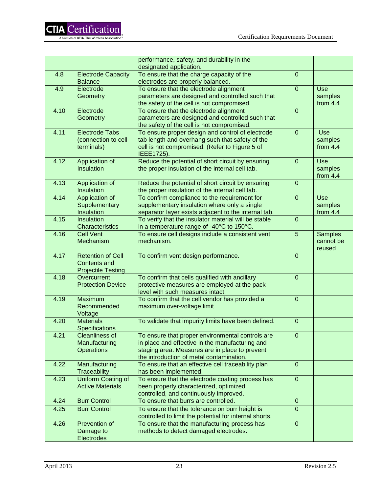|      |                                             | performance, safety, and durability in the                                                  |                |                |
|------|---------------------------------------------|---------------------------------------------------------------------------------------------|----------------|----------------|
|      |                                             | designated application.                                                                     |                |                |
| 4.8  | <b>Electrode Capacity</b><br><b>Balance</b> | To ensure that the charge capacity of the<br>electrodes are properly balanced.              | $\mathbf 0$    |                |
| 4.9  | Electrode                                   | To ensure that the electrode alignment                                                      | $\overline{0}$ | Use            |
|      | <b>Geometry</b>                             | parameters are designed and controlled such that                                            |                | samples        |
|      |                                             | the safety of the cell is not compromised.                                                  |                | from $4.4$     |
| 4.10 | Electrode                                   | To ensure that the electrode alignment                                                      | $\overline{0}$ |                |
|      | Geometry                                    | parameters are designed and controlled such that                                            |                |                |
|      |                                             | the safety of the cell is not compromised.                                                  |                |                |
| 4.11 | <b>Electrode Tabs</b>                       | To ensure proper design and control of electrode                                            | $\overline{0}$ | Use            |
|      | (connection to cell                         | tab length and overhang such that safety of the                                             |                | samples        |
|      | terminals)                                  | cell is not compromised. (Refer to Figure 5 of                                              |                | from $4.4$     |
|      |                                             | IEEE1725).                                                                                  |                |                |
| 4.12 | Application of                              | Reduce the potential of short circuit by ensuring                                           | $\overline{0}$ | Use            |
|      | Insulation                                  | the proper insulation of the internal cell tab.                                             |                | samples        |
|      |                                             |                                                                                             |                | from $4.4$     |
| 4.13 | Application of                              | Reduce the potential of short circuit by ensuring                                           | $\overline{0}$ |                |
|      | Insulation                                  | the proper insulation of the internal cell tab.                                             |                |                |
| 4.14 | Application of                              | To confirm compliance to the requirement for                                                | $\mathbf 0$    | Use            |
|      | Supplementary                               | supplementary insulation where only a single                                                |                | samples        |
|      | Insulation                                  | separator layer exists adjacent to the internal tab.                                        |                | from $4.4$     |
| 4.15 | <b>Insulation</b>                           | To verify that the insulator material will be stable                                        | $\mathbf 0$    |                |
|      | Characteristics                             | in a temperature range of -40°C to 150°C.                                                   |                |                |
| 4.16 | <b>Cell Vent</b>                            | To ensure cell designs include a consistent vent                                            | 5              | <b>Samples</b> |
|      | Mechanism                                   | mechanism.                                                                                  |                | cannot be      |
| 4.17 | <b>Retention of Cell</b>                    | To confirm vent design performance.                                                         | $\mathbf 0$    | reused         |
|      | <b>Contents and</b>                         |                                                                                             |                |                |
|      | <b>Projectile Testing</b>                   |                                                                                             |                |                |
| 4.18 | Overcurrent                                 | To confirm that cells qualified with ancillary                                              | $\mathbf 0$    |                |
|      | <b>Protection Device</b>                    | protective measures are employed at the pack                                                |                |                |
|      |                                             | level with such measures intact.                                                            |                |                |
| 4.19 | Maximum                                     | To confirm that the cell vendor has provided a                                              | $\overline{0}$ |                |
|      | Recommended                                 | maximum over-voltage limit.                                                                 |                |                |
|      | Voltage                                     |                                                                                             |                |                |
| 4.20 | <b>Materials</b>                            | To validate that impurity limits have been defined.                                         | $\mathbf 0$    |                |
|      | <b>Specifications</b>                       |                                                                                             |                |                |
| 4.21 | <b>Cleanliness of</b>                       | To ensure that proper environmental controls are                                            | $\mathbf 0$    |                |
|      | Manufacturing                               | in place and effective in the manufacturing and                                             |                |                |
|      | <b>Operations</b>                           | staging area. Measures are in place to prevent                                              |                |                |
|      |                                             | the introduction of metal contamination.                                                    |                |                |
| 4.22 | Manufacturing<br><b>Traceability</b>        | To ensure that an effective cell traceability plan                                          | $\overline{0}$ |                |
|      | <b>Uniform Coating of</b>                   | has been implemented.                                                                       | $\overline{0}$ |                |
| 4.23 | <b>Active Materials</b>                     | To ensure that the electrode coating process has<br>been properly characterized, optimized, |                |                |
|      |                                             | controlled, and continuously improved.                                                      |                |                |
| 4.24 | <b>Burr Control</b>                         | To ensure that burrs are controlled.                                                        | $\mathbf{0}$   |                |
| 4.25 | <b>Burr Control</b>                         | To ensure that the tolerance on burr height is                                              | $\overline{0}$ |                |
|      |                                             | controlled to limit the potential for internal shorts.                                      |                |                |
| 4.26 | Prevention of                               | To ensure that the manufacturing process has                                                | $\mathbf 0$    |                |
|      | Damage to                                   | methods to detect damaged electrodes.                                                       |                |                |
|      | Electrodes                                  |                                                                                             |                |                |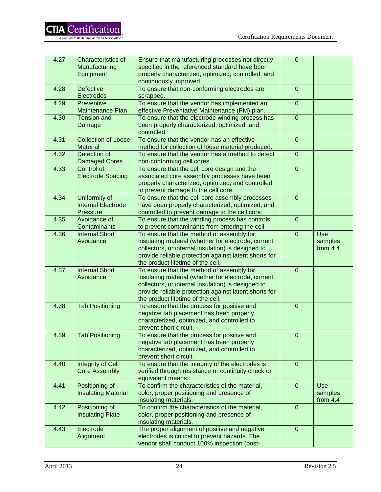| 4.27 | Characteristics of         | Ensure that manufacturing processes not directly      | $\mathbf{0}$   |            |
|------|----------------------------|-------------------------------------------------------|----------------|------------|
|      | Manufacturing              | specified in the referenced standard have been        |                |            |
|      | Equipment                  | properly characterized, optimized, controlled, and    |                |            |
|      |                            | continuously improved.                                |                |            |
| 4.28 | <b>Defective</b>           | To ensure that non-conforming electrodes are          | $\mathbf 0$    |            |
|      | Electrodes                 | scrapped.                                             |                |            |
| 4.29 | Preventive                 | To ensure that the vendor has implemented an          | $\mathbf 0$    |            |
|      | <b>Maintenance Plan</b>    | effective Preventative Maintenance (PM) plan.         |                |            |
| 4.30 | <b>Tension and</b>         | To ensure that the electrode winding process has      | $\overline{0}$ |            |
|      | Damage                     | been properly characterized, optimized, and           |                |            |
|      |                            | controlled.                                           |                |            |
| 4.31 | <b>Collection of Loose</b> | To ensure that the vendor has an effective            | $\mathbf{0}$   |            |
|      | <b>Material</b>            | method for collection of loose material produced.     |                |            |
| 4.32 | Detection of               | To ensure that the vendor has a method to detect      | $\overline{0}$ |            |
|      |                            |                                                       |                |            |
|      | <b>Damaged Cores</b>       | non-conforming cell cores.                            |                |            |
| 4.33 | Control of                 | To ensure that the cell core design and the           | $\overline{0}$ |            |
|      | <b>Electrode Spacing</b>   | associated core assembly processes have been          |                |            |
|      |                            | properly characterized, optimized, and controlled     |                |            |
|      |                            | to prevent damage to the cell core.                   |                |            |
| 4.34 | Uniformity of              | To ensure that the cell core assembly processes       | $\mathbf 0$    |            |
|      | <b>Internal Electrode</b>  | have been properly characterized, optimized, and      |                |            |
|      | Pressure                   | controlled to prevent damage to the cell core.        |                |            |
| 4.35 | Avoidance of               | To ensure that the winding process has controls       | $\mathbf 0$    |            |
|      | Contaminants               | to prevent contaminants from entering the cell.       |                |            |
| 4.36 | <b>Internal Short</b>      | To ensure that the method of assembly for             | $\overline{0}$ | <b>Use</b> |
|      | Avoidance                  | insulating material (whether for electrode, current   |                | samples    |
|      |                            | collectors, or internal insulation) is designed to    |                | from $4.4$ |
|      |                            | provide reliable protection against latent shorts for |                |            |
|      |                            | the product lifetime of the cell.                     |                |            |
| 4.37 | <b>Internal Short</b>      | To ensure that the method of assembly for             | $\mathbf 0$    |            |
|      | Avoidance                  | insulating material (whether for electrode, current   |                |            |
|      |                            | collectors, or internal insulation) is designed to    |                |            |
|      |                            | provide reliable protection against latent shorts for |                |            |
|      |                            | the product lifetime of the cell.                     |                |            |
| 4.38 | <b>Tab Positioning</b>     | To ensure that the process for positive and           | $\mathbf 0$    |            |
|      |                            | negative tab placement has been properly              |                |            |
|      |                            | characterized, optimized, and controlled to           |                |            |
|      |                            | prevent short circuit.                                |                |            |
| 4.39 | <b>Tab Positioning</b>     | To ensure that the process for positive and           | $\mathbf 0$    |            |
|      |                            | negative tab placement has been properly              |                |            |
|      |                            | characterized, optimized, and controlled to           |                |            |
|      |                            | prevent short circuit.                                |                |            |
| 4.40 | Integrity of Cell          | To ensure that the integrity of the electrodes is     | $\Omega$       |            |
|      | <b>Core Assembly</b>       | verified through resistance or continuity check or    |                |            |
|      |                            | equivalent means.                                     |                |            |
| 4.41 | Positioning of             | To confirm the characteristics of the material,       | $\overline{0}$ | <b>Use</b> |
|      | <b>Insulating Material</b> | color, proper positioning and presence of             |                | samples    |
|      |                            | insulating materials.                                 |                | from $4.4$ |
| 4.42 | Positioning of             | To confirm the characteristics of the material,       | $\mathbf{0}$   |            |
|      | <b>Insulating Plate</b>    | color, proper positioning and presence of             |                |            |
|      |                            | insulating materials.                                 |                |            |
| 4.43 | Electrode                  | The proper alignment of positive and negative         | $\overline{0}$ |            |
|      | Alignment                  | electrodes is critical to prevent hazards. The        |                |            |
|      |                            | vendor shall conduct 100% inspection (post-           |                |            |
|      |                            |                                                       |                |            |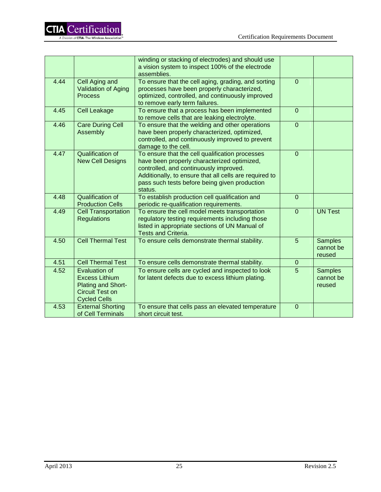|      |                                                                                                                      | winding or stacking of electrodes) and should use<br>a vision system to inspect 100% of the electrode<br>assemblies.                                                                                                                                           |                |                                       |
|------|----------------------------------------------------------------------------------------------------------------------|----------------------------------------------------------------------------------------------------------------------------------------------------------------------------------------------------------------------------------------------------------------|----------------|---------------------------------------|
| 4.44 | Cell Aging and<br><b>Validation of Aging</b><br><b>Process</b>                                                       | To ensure that the cell aging, grading, and sorting<br>processes have been properly characterized,<br>optimized, controlled, and continuously improved<br>to remove early term failures.                                                                       | $\Omega$       |                                       |
| 4.45 | <b>Cell Leakage</b>                                                                                                  | To ensure that a process has been implemented<br>to remove cells that are leaking electrolyte.                                                                                                                                                                 | $\mathbf 0$    |                                       |
| 4.46 | <b>Care During Cell</b><br>Assembly                                                                                  | To ensure that the welding and other operations<br>have been properly characterized, optimized,<br>controlled, and continuously improved to prevent<br>damage to the cell.                                                                                     | $\overline{0}$ |                                       |
| 4.47 | <b>Qualification of</b><br><b>New Cell Designs</b>                                                                   | To ensure that the cell qualification processes<br>have been properly characterized optimized,<br>controlled, and continuously improved.<br>Additionally, to ensure that all cells are required to<br>pass such tests before being given production<br>status. | $\overline{0}$ |                                       |
| 4.48 | <b>Qualification of</b><br><b>Production Cells</b>                                                                   | To establish production cell qualification and<br>periodic re-qualification requirements.                                                                                                                                                                      | $\mathbf{0}$   |                                       |
| 4.49 | <b>Cell Transportation</b><br><b>Regulations</b>                                                                     | To ensure the cell model meets transportation<br>regulatory testing requirements including those<br>listed in appropriate sections of UN Manual of<br><b>Tests and Criteria.</b>                                                                               | $\Omega$       | <b>UN Test</b>                        |
| 4.50 | <b>Cell Thermal Test</b>                                                                                             | To ensure cells demonstrate thermal stability.                                                                                                                                                                                                                 | 5              | <b>Samples</b><br>cannot be<br>reused |
| 4.51 | <b>Cell Thermal Test</b>                                                                                             | To ensure cells demonstrate thermal stability.                                                                                                                                                                                                                 | $\mathbf{0}$   |                                       |
| 4.52 | <b>Evaluation of</b><br><b>Excess Lithium</b><br><b>Plating and Short-</b><br>Circuit Test on<br><b>Cycled Cells</b> | To ensure cells are cycled and inspected to look<br>for latent defects due to excess lithium plating.                                                                                                                                                          | 5              | <b>Samples</b><br>cannot be<br>reused |
| 4.53 | <b>External Shorting</b><br>of Cell Terminals                                                                        | To ensure that cells pass an elevated temperature<br>short circuit test.                                                                                                                                                                                       | $\overline{0}$ |                                       |

**CTIA** Certification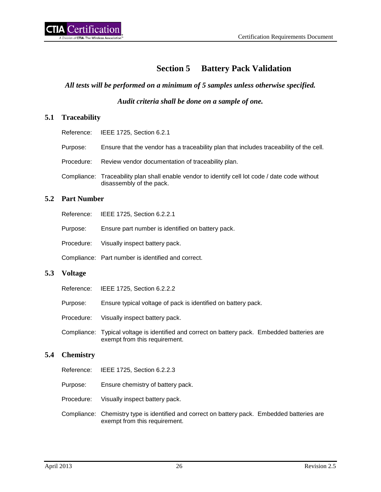# **Section 5 Battery Pack Validation**

### <span id="page-32-0"></span>*All tests will be performed on a minimum of 5 samples unless otherwise specified.*

*Audit criteria shall be done on a sample of one.*

# <span id="page-32-1"></span>**5.1 Traceability**

|            | Reference: IEEE 1725, Section 6.2.1                                                                                         |
|------------|-----------------------------------------------------------------------------------------------------------------------------|
| Purpose:   | Ensure that the vendor has a traceability plan that includes traceability of the cell.                                      |
| Procedure: | Review vendor documentation of traceability plan.                                                                           |
|            | Compliance: Traceability plan shall enable vendor to identify cell lot code / date code without<br>disassembly of the pack. |

# <span id="page-32-2"></span>**5.2 Part Number**

| Reference: |  | IEEE 1725, Section 6.2.2.1 |
|------------|--|----------------------------|
|------------|--|----------------------------|

Purpose: Ensure part number is identified on battery pack.

Procedure: Visually inspect battery pack.

Compliance: Part number is identified and correct.

#### <span id="page-32-3"></span>**5.3 Voltage**

|            | Reference: IEEE 1725, Section 6.2.2.2                                                                                          |  |
|------------|--------------------------------------------------------------------------------------------------------------------------------|--|
| Purpose:   | Ensure typical voltage of pack is identified on battery pack.                                                                  |  |
| Procedure: | Visually inspect battery pack.                                                                                                 |  |
|            | Compliance: Typical voltage is identified and correct on battery pack. Embedded batteries are<br>exempt from this requirement. |  |

# <span id="page-32-4"></span>**5.4 Chemistry**

- Reference: IEEE 1725, Section 6.2.2.3
- Purpose: Ensure chemistry of battery pack.
- Procedure: Visually inspect battery pack.
- Compliance: Chemistry type is identified and correct on battery pack. Embedded batteries are exempt from this requirement.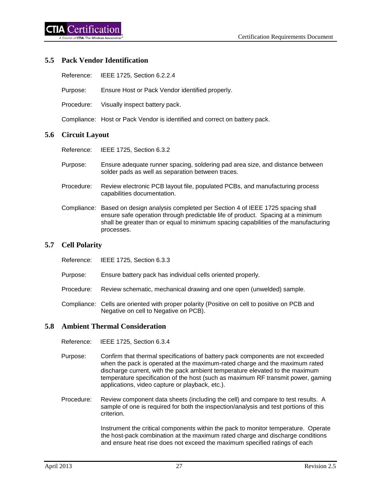# <span id="page-33-0"></span>**5.5 Pack Vendor Identification**

|  |  | Reference: IEEE 1725, Section 6.2.2.4 |
|--|--|---------------------------------------|
|--|--|---------------------------------------|

Purpose: Ensure Host or Pack Vendor identified properly.

Procedure: Visually inspect battery pack.

Compliance: Host or Pack Vendor is identified and correct on battery pack.

#### <span id="page-33-1"></span>**5.6 Circuit Layout**

Reference: IEEE 1725, Section 6.3.2

- Purpose: Ensure adequate runner spacing, soldering pad area size, and distance between solder pads as well as separation between traces.
- Procedure: Review electronic PCB layout file, populated PCBs, and manufacturing process capabilities documentation.
- Compliance: Based on design analysis completed per Section 4 of IEEE 1725 spacing shall ensure safe operation through predictable life of product. Spacing at a minimum shall be greater than or equal to minimum spacing capabilities of the manufacturing processes.

#### <span id="page-33-2"></span>**5.7 Cell Polarity**

- Reference: IEEE 1725, Section 6.3.3
- Purpose: Ensure battery pack has individual cells oriented properly.
- Procedure: Review schematic, mechanical drawing and one open (unwelded) sample.
- Compliance: Cells are oriented with proper polarity (Positive on cell to positive on PCB and Negative on cell to Negative on PCB).

# <span id="page-33-3"></span>**5.8 Ambient Thermal Consideration**

Reference: IEEE 1725, Section 6.3.4

- Purpose: Confirm that thermal specifications of battery pack components are not exceeded when the pack is operated at the maximum-rated charge and the maximum rated discharge current, with the pack ambient temperature elevated to the maximum temperature specification of the host (such as maximum RF transmit power, gaming applications, video capture or playback, etc.).
- Procedure: Review component data sheets (including the cell) and compare to test results. A sample of one is required for both the inspection/analysis and test portions of this criterion.

Instrument the critical components within the pack to monitor temperature. Operate the host-pack combination at the maximum rated charge and discharge conditions and ensure heat rise does not exceed the maximum specified ratings of each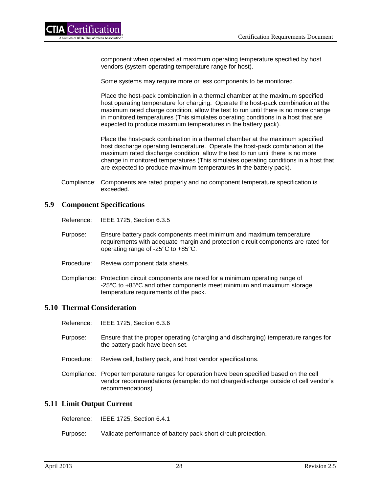component when operated at maximum operating temperature specified by host vendors (system operating temperature range for host).

Some systems may require more or less components to be monitored.

Place the host-pack combination in a thermal chamber at the maximum specified host operating temperature for charging. Operate the host-pack combination at the maximum rated charge condition, allow the test to run until there is no more change in monitored temperatures (This simulates operating conditions in a host that are expected to produce maximum temperatures in the battery pack).

Place the host-pack combination in a thermal chamber at the maximum specified host discharge operating temperature. Operate the host-pack combination at the maximum rated discharge condition, allow the test to run until there is no more change in monitored temperatures (This simulates operating conditions in a host that are expected to produce maximum temperatures in the battery pack).

Compliance: Components are rated properly and no component temperature specification is exceeded.

### <span id="page-34-0"></span>**5.9 Component Specifications**

Reference: IEEE 1725, Section 6.3.5

- Purpose: Ensure battery pack components meet minimum and maximum temperature requirements with adequate margin and protection circuit components are rated for operating range of -25°C to +85°C.
- Procedure: Review component data sheets.
- Compliance: Protection circuit components are rated for a minimum operating range of -25°C to +85°C and other components meet minimum and maximum storage temperature requirements of the pack.

### <span id="page-34-1"></span>**5.10 Thermal Consideration**

Reference: IEEE 1725, Section 6.3.6

- Purpose: Ensure that the proper operating (charging and discharging) temperature ranges for the battery pack have been set.
- Procedure: Review cell, battery pack, and host vendor specifications.
- Compliance: Proper temperature ranges for operation have been specified based on the cell vendor recommendations (example: do not charge/discharge outside of cell vendor's recommendations).

#### <span id="page-34-2"></span>**5.11 Limit Output Current**

Reference: IEEE 1725, Section 6.4.1

Purpose: Validate performance of battery pack short circuit protection.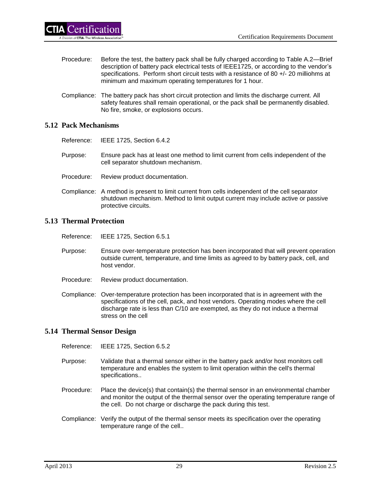- Procedure: Before the test, the battery pack shall be fully charged according to Table A.2—Brief description of battery pack electrical tests of IEEE1725, or according to the vendor's specifications. Perform short circuit tests with a resistance of 80 +/- 20 milliohms at minimum and maximum operating temperatures for 1 hour.
- Compliance: The battery pack has short circuit protection and limits the discharge current. All safety features shall remain operational, or the pack shall be permanently disabled. No fire, smoke, or explosions occurs.

# <span id="page-35-0"></span>**5.12 Pack Mechanisms**

- Reference: IEEE 1725, Section 6.4.2
- Purpose: Ensure pack has at least one method to limit current from cells independent of the cell separator shutdown mechanism.
- Procedure: Review product documentation.
- Compliance: A method is present to limit current from cells independent of the cell separator shutdown mechanism. Method to limit output current may include active or passive protective circuits.

# <span id="page-35-1"></span>**5.13 Thermal Protection**

- Reference: IEEE 1725, Section 6.5.1
- Purpose: Ensure over-temperature protection has been incorporated that will prevent operation outside current, temperature, and time limits as agreed to by battery pack, cell, and host vendor.
- Procedure: Review product documentation.
- Compliance: Over-temperature protection has been incorporated that is in agreement with the specifications of the cell, pack, and host vendors. Operating modes where the cell discharge rate is less than C/10 are exempted, as they do not induce a thermal stress on the cell

# <span id="page-35-2"></span>**5.14 Thermal Sensor Design**

Reference: IEEE 1725, Section 6.5.2

- Purpose: Validate that a thermal sensor either in the battery pack and/or host monitors cell temperature and enables the system to limit operation within the cell's thermal specifications..
- Procedure: Place the device(s) that contain(s) the thermal sensor in an environmental chamber and monitor the output of the thermal sensor over the operating temperature range of the cell. Do not charge or discharge the pack during this test.
- Compliance: Verify the output of the thermal sensor meets its specification over the operating temperature range of the cell..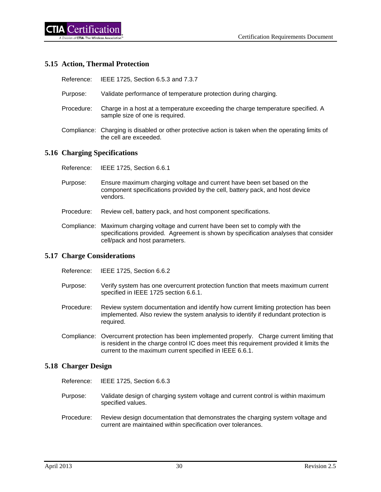## **5.15 Action, Thermal Protection**

| IEEE 1725, Section 6.5.3 and 7.3.7<br>Reference: |  |
|--------------------------------------------------|--|
|--------------------------------------------------|--|

- Purpose: Validate performance of temperature protection during charging.
- Procedure: Charge in a host at a temperature exceeding the charge temperature specified. A sample size of one is required.
- Compliance: Charging is disabled or other protective action is taken when the operating limits of the cell are exceeded.

## **5.16 Charging Specifications**

- Reference: IEEE 1725, Section 6.6.1
- Purpose: Ensure maximum charging voltage and current have been set based on the component specifications provided by the cell, battery pack, and host device vendors.
- Procedure: Review cell, battery pack, and host component specifications.
- Compliance: Maximum charging voltage and current have been set to comply with the specifications provided. Agreement is shown by specification analyses that consider cell/pack and host parameters.

## **5.17 Charge Considerations**

- Reference: IEEE 1725, Section 6.6.2
- Purpose: Verify system has one overcurrent protection function that meets maximum current specified in IEEE 1725 section 6.6.1.
- Procedure: Review system documentation and identify how current limiting protection has been implemented. Also review the system analysis to identify if redundant protection is required.
- Compliance: Overcurrent protection has been implemented properly. Charge current limiting that is resident in the charge control IC does meet this requirement provided it limits the current to the maximum current specified in IEEE 6.6.1.

## **5.18 Charger Design**

- Reference: IEEE 1725, Section 6.6.3
- Purpose: Validate design of charging system voltage and current control is within maximum specified values.
- Procedure: Review design documentation that demonstrates the charging system voltage and current are maintained within specification over tolerances.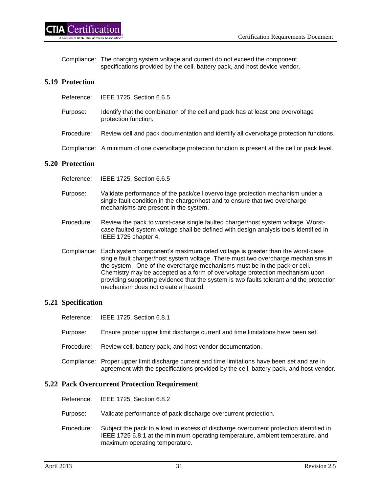Compliance: The charging system voltage and current do not exceed the component specifications provided by the cell, battery pack, and host device vendor.

# **5.19 Protection**

5.20

| Reference:        | IEEE 1725, Section 6.6.5                                                                                |
|-------------------|---------------------------------------------------------------------------------------------------------|
| Purpose:          | Identify that the combination of the cell and pack has at least one overvoltage<br>protection function. |
| Procedure:        | Review cell and pack documentation and identify all overvoltage protection functions.                   |
|                   | Compliance: A minimum of one overvoltage protection function is present at the cell or pack level.      |
| <b>Protection</b> |                                                                                                         |

- Reference: IEEE 1725, Section 6.6.5
- Purpose: Validate performance of the pack/cell overvoltage protection mechanism under a single fault condition in the charger/host and to ensure that two overcharge mechanisms are present in the system.
- Procedure: Review the pack to worst-case single faulted charger/host system voltage. Worstcase faulted system voltage shall be defined with design analysis tools identified in IEEE 1725 chapter 4.
- Compliance: Each system component's maximum rated voltage is greater than the worst-case single fault charger/host system voltage. There must two overcharge mechanisms in the system. One of the overcharge mechanisms must be in the pack or cell. Chemistry may be accepted as a form of overvoltage protection mechanism upon providing supporting evidence that the system is two faults tolerant and the protection mechanism does not create a hazard.

# **5.21 Specification**

|                                                     | Reference: IEEE 1725, Section 6.8.1                                                                                                                                                      |  |
|-----------------------------------------------------|------------------------------------------------------------------------------------------------------------------------------------------------------------------------------------------|--|
| Purpose:                                            | Ensure proper upper limit discharge current and time limitations have been set.                                                                                                          |  |
| Procedure:                                          | Review cell, battery pack, and host vendor documentation.                                                                                                                                |  |
|                                                     | Compliance: Proper upper limit discharge current and time limitations have been set and are in<br>agreement with the specifications provided by the cell, battery pack, and host vendor. |  |
| <b>5.22 Pack Overcurrent Protection Requirement</b> |                                                                                                                                                                                          |  |
|                                                     | Reference: IEEE 1725, Section 6.8.2                                                                                                                                                      |  |
|                                                     |                                                                                                                                                                                          |  |

- Purpose: Validate performance of pack discharge overcurrent protection.
- Procedure: Subject the pack to a load in excess of discharge overcurrent protection identified in IEEE 1725 6.8.1 at the minimum operating temperature, ambient temperature, and maximum operating temperature.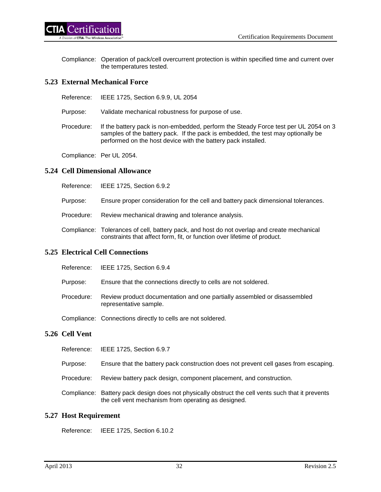Compliance: Operation of pack/cell overcurrent protection is within specified time and current over the temperatures tested.

## **5.23 External Mechanical Force**

Reference: IEEE 1725, Section 6.9.9, UL 2054

Purpose: Validate mechanical robustness for purpose of use.

Procedure: If the battery pack is non-embedded, perform the Steady Force test per UL 2054 on 3 samples of the battery pack. If the pack is embedded, the test may optionally be performed on the host device with the battery pack installed.

Compliance: Per UL 2054.

## **5.24 Cell Dimensional Allowance**

| Reference: |  | IEEE 1725, Section 6.9.2 |
|------------|--|--------------------------|
|------------|--|--------------------------|

- Purpose: Ensure proper consideration for the cell and battery pack dimensional tolerances.
- Procedure: Review mechanical drawing and tolerance analysis.
- Compliance: Tolerances of cell, battery pack, and host do not overlap and create mechanical constraints that affect form, fit, or function over lifetime of product.

## **5.25 Electrical Cell Connections**

|            | Reference: IEEE 1725, Section 6.9.4                                                                |
|------------|----------------------------------------------------------------------------------------------------|
| Purpose:   | Ensure that the connections directly to cells are not soldered.                                    |
| Procedure: | Review product documentation and one partially assembled or disassembled<br>representative sample. |
|            | Compliance: Connections directly to cells are not soldered.                                        |

#### **5.26 Cell Vent**

| Reference: |  | IEEE 1725, Section 6.9.7 |
|------------|--|--------------------------|
|------------|--|--------------------------|

- Purpose: Ensure that the battery pack construction does not prevent cell gases from escaping.
- Procedure: Review battery pack design, component placement, and construction.
- Compliance: Battery pack design does not physically obstruct the cell vents such that it prevents the cell vent mechanism from operating as designed.

## **5.27 Host Requirement**

Reference: IEEE 1725, Section 6.10.2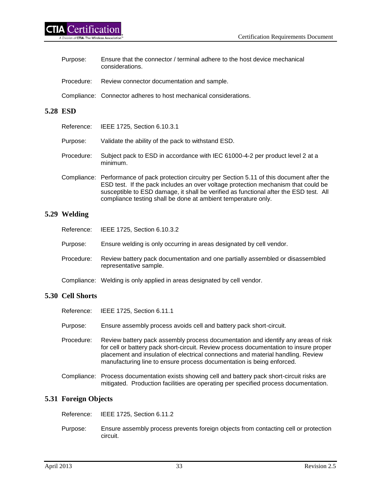| Purpose: | Ensure that the connector / terminal adhere to the host device mechanical<br>considerations. |
|----------|----------------------------------------------------------------------------------------------|
|          | Procedure: Review connector documentation and sample.                                        |
|          | Compliance: Connector adheres to host mechanical considerations.                             |

## **5.28 ESD**

|            | Reference: IEEE 1725, Section 6.10.3.1                                                                                                                                                                                                                                         |
|------------|--------------------------------------------------------------------------------------------------------------------------------------------------------------------------------------------------------------------------------------------------------------------------------|
| Purpose:   | Validate the ability of the pack to withstand ESD.                                                                                                                                                                                                                             |
| Procedure: | Subject pack to ESD in accordance with IEC 61000-4-2 per product level 2 at a<br>minimum.                                                                                                                                                                                      |
|            | Compliance: Performance of pack protection circuitry per Section 5.11 of this document after the<br>ESD test. If the pack includes an over voltage protection mechanism that could be<br>susceptible to ESD damage, it shall be verified as functional after the ESD test. All |

compliance testing shall be done at ambient temperature only.

# **5.29 Welding**

|            | Reference: IEEE 1725, Section 6.10.3.2                                                                  |
|------------|---------------------------------------------------------------------------------------------------------|
| Purpose:   | Ensure welding is only occurring in areas designated by cell vendor.                                    |
| Procedure: | Review battery pack documentation and one partially assembled or disassembled<br>representative sample. |
|            | Compliance: Welding is only applied in areas designated by cell vendor.                                 |

# **5.30 Cell Shorts**

| Reference: | IEEE 1725, Section 6.11.1                                                                                                                                                                                                                                                                                                               |
|------------|-----------------------------------------------------------------------------------------------------------------------------------------------------------------------------------------------------------------------------------------------------------------------------------------------------------------------------------------|
| Purpose:   | Ensure assembly process avoids cell and battery pack short-circuit.                                                                                                                                                                                                                                                                     |
| Procedure: | Review battery pack assembly process documentation and identify any areas of risk<br>for cell or battery pack short-circuit. Review process documentation to insure proper<br>placement and insulation of electrical connections and material handling. Review<br>manufacturing line to ensure process documentation is being enforced. |
|            | Compliance: Process documentation exists showing cell and battery pack short-circuit risks are<br>mitigated. Production facilities are operating per specified process documentation.                                                                                                                                                   |

# **5.31 Foreign Objects**

Reference: IEEE 1725, Section 6.11.2

Purpose: Ensure assembly process prevents foreign objects from contacting cell or protection circuit.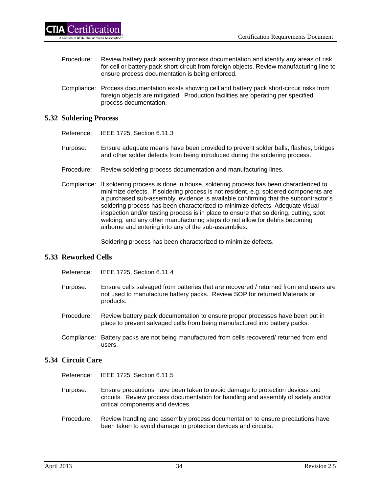- Procedure: Review battery pack assembly process documentation and identify any areas of risk for cell or battery pack short-circuit from foreign objects. Review manufacturing line to ensure process documentation is being enforced.
- Compliance: Process documentation exists showing cell and battery pack short-circuit risks from foreign objects are mitigated. Production facilities are operating per specified process documentation.

## **5.32 Soldering Process**

- Reference: IEEE 1725, Section 6.11.3
- Purpose: Ensure adequate means have been provided to prevent solder balls, flashes, bridges and other solder defects from being introduced during the soldering process.
- Procedure: Review soldering process documentation and manufacturing lines.
- Compliance: If soldering process is done in house, soldering process has been characterized to minimize defects. If soldering process is not resident, e.g. soldered components are a purchased sub-assembly, evidence is available confirming that the subcontractor's soldering process has been characterized to minimize defects. Adequate visual inspection and/or testing process is in place to ensure that soldering, cutting, spot welding, and any other manufacturing steps do not allow for debris becoming airborne and entering into any of the sub-assemblies.

Soldering process has been characterized to minimize defects.

## **5.33 Reworked Cells**

Reference: IEEE 1725, Section 6.11.4

- Purpose: Ensure cells salvaged from batteries that are recovered / returned from end users are not used to manufacture battery packs. Review SOP for returned Materials or products.
- Procedure: Review battery pack documentation to ensure proper processes have been put in place to prevent salvaged cells from being manufactured into battery packs.
- Compliance: Battery packs are not being manufactured from cells recovered/ returned from end users.

## **5.34 Circuit Care**

- Reference: IEEE 1725, Section 6.11.5
- Purpose: Ensure precautions have been taken to avoid damage to protection devices and circuits. Review process documentation for handling and assembly of safety and/or critical components and devices.
- Procedure: Review handling and assembly process documentation to ensure precautions have been taken to avoid damage to protection devices and circuits.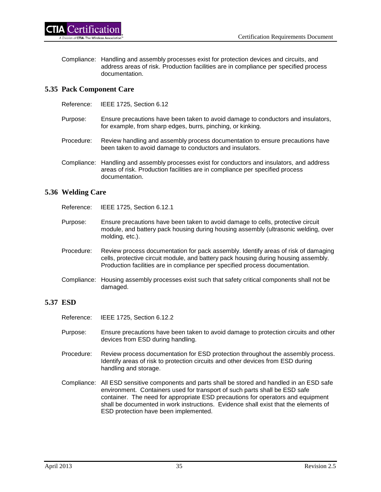Compliance: Handling and assembly processes exist for protection devices and circuits, and address areas of risk. Production facilities are in compliance per specified process documentation.

## **5.35 Pack Component Care**

- Reference: IEEE 1725, Section 6.12
- Purpose: Ensure precautions have been taken to avoid damage to conductors and insulators, for example, from sharp edges, burrs, pinching, or kinking.
- Procedure: Review handling and assembly process documentation to ensure precautions have been taken to avoid damage to conductors and insulators.
- Compliance: Handling and assembly processes exist for conductors and insulators, and address areas of risk. Production facilities are in compliance per specified process documentation.

## **5.36 Welding Care**

Reference: IEEE 1725, Section 6.12.1

- Purpose: Ensure precautions have been taken to avoid damage to cells, protective circuit module, and battery pack housing during housing assembly (ultrasonic welding, over molding, etc.).
- Procedure: Review process documentation for pack assembly. Identify areas of risk of damaging cells, protective circuit module, and battery pack housing during housing assembly. Production facilities are in compliance per specified process documentation.
- Compliance: Housing assembly processes exist such that safety critical components shall not be damaged.

# **5.37 ESD**

- Reference: IEEE 1725, Section 6.12.2
- Purpose: Ensure precautions have been taken to avoid damage to protection circuits and other devices from ESD during handling.
- Procedure: Review process documentation for ESD protection throughout the assembly process. Identify areas of risk to protection circuits and other devices from ESD during handling and storage.
- Compliance: All ESD sensitive components and parts shall be stored and handled in an ESD safe environment. Containers used for transport of such parts shall be ESD safe container. The need for appropriate ESD precautions for operators and equipment shall be documented in work instructions. Evidence shall exist that the elements of ESD protection have been implemented.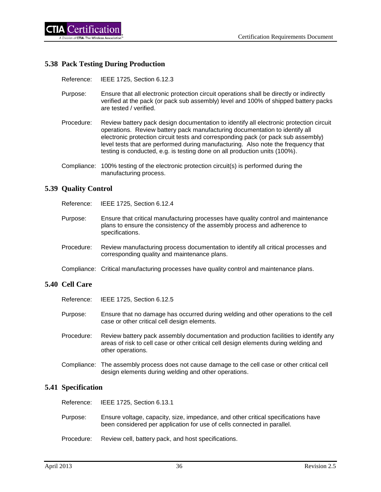

#### **5.38 Pack Testing During Production**

Reference: IEEE 1725, Section 6.12.3

- Purpose: Ensure that all electronic protection circuit operations shall be directly or indirectly verified at the pack (or pack sub assembly) level and 100% of shipped battery packs are tested / verified.
- Procedure: Review battery pack design documentation to identify all electronic protection circuit operations. Review battery pack manufacturing documentation to identify all electronic protection circuit tests and corresponding pack (or pack sub assembly) level tests that are performed during manufacturing. Also note the frequency that testing is conducted, e.g. is testing done on all production units (100%).
- Compliance: 100% testing of the electronic protection circuit(s) is performed during the manufacturing process.

#### **5.39 Quality Control**

Reference: IEEE 1725, Section 6.12.4

- Purpose: Ensure that critical manufacturing processes have quality control and maintenance plans to ensure the consistency of the assembly process and adherence to specifications.
- Procedure: Review manufacturing process documentation to identify all critical processes and corresponding quality and maintenance plans.
- Compliance: Critical manufacturing processes have quality control and maintenance plans.

#### **5.40 Cell Care**

- Reference: IEEE 1725, Section 6.12.5
- Purpose: Ensure that no damage has occurred during welding and other operations to the cell case or other critical cell design elements.
- Procedure: Review battery pack assembly documentation and production facilities to identify any areas of risk to cell case or other critical cell design elements during welding and other operations.
- Compliance: The assembly process does not cause damage to the cell case or other critical cell design elements during welding and other operations.

#### **5.41 Specification**

Reference: IEEE 1725, Section 6.13.1

- Purpose: Ensure voltage, capacity, size, impedance, and other critical specifications have been considered per application for use of cells connected in parallel.
- Procedure: Review cell, battery pack, and host specifications.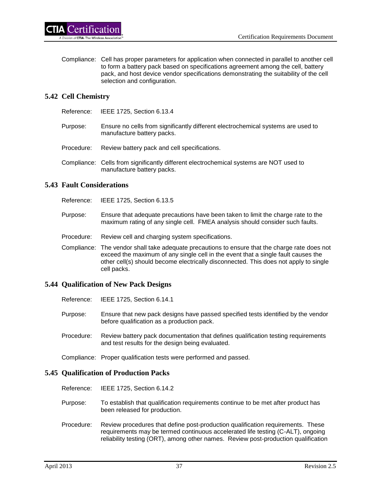Compliance: Cell has proper parameters for application when connected in parallel to another cell to form a battery pack based on specifications agreement among the cell, battery pack, and host device vendor specifications demonstrating the suitability of the cell selection and configuration.

## **5.42 Cell Chemistry**

Reference: IEEE 1725, Section 6.13.4

- Purpose: Ensure no cells from significantly different electrochemical systems are used to manufacture battery packs.
- Procedure: Review battery pack and cell specifications.
- Compliance: Cells from significantly different electrochemical systems are NOT used to manufacture battery packs.

## **5.43 Fault Considerations**

Reference: IEEE 1725, Section 6.13.5

- Purpose: Ensure that adequate precautions have been taken to limit the charge rate to the maximum rating of any single cell. FMEA analysis should consider such faults.
- Procedure: Review cell and charging system specifications.
- Compliance: The vendor shall take adequate precautions to ensure that the charge rate does not exceed the maximum of any single cell in the event that a single fault causes the other cell(s) should become electrically disconnected. This does not apply to single cell packs.

#### **5.44 Qualification of New Pack Designs**

- Reference: IEEE 1725, Section 6.14.1
- Purpose: Ensure that new pack designs have passed specified tests identified by the vendor before qualification as a production pack.
- Procedure: Review battery pack documentation that defines qualification testing requirements and test results for the design being evaluated.

Compliance: Proper qualification tests were performed and passed.

#### **5.45 Qualification of Production Packs**

- Reference: IEEE 1725, Section 6.14.2
- Purpose: To establish that qualification requirements continue to be met after product has been released for production.
- Procedure: Review procedures that define post-production qualification requirements. These requirements may be termed continuous accelerated life testing (C-ALT), ongoing reliability testing (ORT), among other names. Review post-production qualification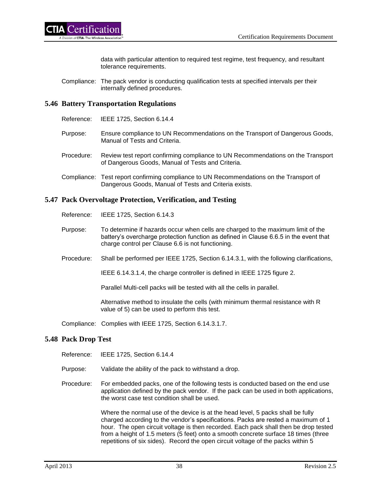data with particular attention to required test regime, test frequency, and resultant tolerance requirements.

Compliance: The pack vendor is conducting qualification tests at specified intervals per their internally defined procedures.

#### **5.46 Battery Transportation Regulations**

- Reference: IEEE 1725, Section 6.14.4
- Purpose: Ensure compliance to UN Recommendations on the Transport of Dangerous Goods, Manual of Tests and Criteria.
- Procedure: Review test report confirming compliance to UN Recommendations on the Transport of Dangerous Goods, Manual of Tests and Criteria.
- Compliance: Test report confirming compliance to UN Recommendations on the Transport of Dangerous Goods, Manual of Tests and Criteria exists.

#### **5.47 Pack Overvoltage Protection, Verification, and Testing**

- Reference: IEEE 1725, Section 6.14.3
- Purpose: To determine if hazards occur when cells are charged to the maximum limit of the battery's overcharge protection function as defined in Clause 6.6.5 in the event that charge control per Clause 6.6 is not functioning.
- Procedure: Shall be performed per IEEE 1725, Section 6.14.3.1, with the following clarifications,

IEEE 6.14.3.1.4, the charge controller is defined in IEEE 1725 figure 2.

Parallel Multi-cell packs will be tested with all the cells in parallel.

Alternative method to insulate the cells (with minimum thermal resistance with R value of 5) can be used to perform this test.

Compliance: Complies with IEEE 1725, Section 6.14.3.1.7.

#### **5.48 Pack Drop Test**

Reference: IEEE 1725, Section 6.14.4

- Purpose: Validate the ability of the pack to withstand a drop.
- Procedure: For embedded packs, one of the following tests is conducted based on the end use application defined by the pack vendor. If the pack can be used in both applications, the worst case test condition shall be used.

Where the normal use of the device is at the head level, 5 packs shall be fully charged according to the vendor's specifications. Packs are rested a maximum of 1 hour. The open circuit voltage is then recorded. Each pack shall then be drop tested from a height of 1.5 meters (5 feet) onto a smooth concrete surface 18 times (three repetitions of six sides). Record the open circuit voltage of the packs within 5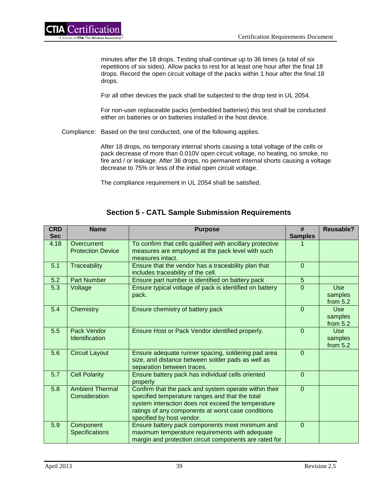minutes after the 18 drops. Testing shall continue up to 36 times (a total of six repetitions of six sides). Allow packs to rest for at least one hour after the final 18 drops. Record the open circuit voltage of the packs within 1 hour after the final 18 drops.

For all other devices the pack shall be subjected to the drop test in UL 2054.

For non-user replaceable packs (embedded batteries) this test shall be conducted either on batteries or on batteries installed in the host device.

Compliance: Based on the test conducted, one of the following applies.

After 18 drops, no temporary internal shorts causing a total voltage of the cells or pack decrease of more than 0.010V open circuit voltage, no heating, no smoke, no fire and / or leakage. After 36 drops, no permanent internal shorts causing a voltage decrease to 75% or less of the initial open circuit voltage.

The compliance requirement in UL 2054 shall be satisfied.

| <b>CRD</b><br><b>Sec</b> | <b>Name</b>                             | <b>Purpose</b>                                                                                                                                                                                                                                    | #<br><b>Samples</b> | <b>Reusable?</b>                    |
|--------------------------|-----------------------------------------|---------------------------------------------------------------------------------------------------------------------------------------------------------------------------------------------------------------------------------------------------|---------------------|-------------------------------------|
| 4.18                     | Overcurrent<br><b>Protection Device</b> | To confirm that cells qualified with ancillary protective<br>measures are employed at the pack level with such<br>measures intact.                                                                                                                |                     |                                     |
| 5.1                      | <b>Traceability</b>                     | Ensure that the vendor has a traceability plan that<br>includes traceability of the cell.                                                                                                                                                         | $\Omega$            |                                     |
| 5.2                      | <b>Part Number</b>                      | Ensure part number is identified on battery pack                                                                                                                                                                                                  | 5                   |                                     |
| 5.3                      | Voltage                                 | Ensure typical voltage of pack is identified on battery<br>pack.                                                                                                                                                                                  | $\Omega$            | Use:<br>samples<br>from $5.2$       |
| 5.4                      | Chemistry                               | Ensure chemistry of battery pack                                                                                                                                                                                                                  | $\Omega$            | <b>Use</b><br>samples<br>from $5.2$ |
| 5.5                      | Pack Vendor<br><b>Identification</b>    | Ensure Host or Pack Vendor identified properly.                                                                                                                                                                                                   | $\Omega$            | <b>Use</b><br>samples<br>from $5.2$ |
| 5.6                      | <b>Circuit Layout</b>                   | Ensure adequate runner spacing, soldering pad area<br>size, and distance between solder pads as well as<br>separation between traces.                                                                                                             | $\mathbf{0}$        |                                     |
| 5.7                      | <b>Cell Polarity</b>                    | Ensure battery pack has individual cells oriented<br>properly                                                                                                                                                                                     | $\overline{0}$      |                                     |
| 5.8                      | <b>Ambient Thermal</b><br>Consideration | Confirm that the pack and system operate within their<br>specified temperature ranges and that the total<br>system interaction does not exceed the temperature<br>ratings of any components at worst case conditions<br>specified by host vendor. | $\mathbf{0}$        |                                     |
| 5.9                      | Component<br>Specifications             | Ensure battery pack components meet minimum and<br>maximum temperature requirements with adequate<br>margin and protection circuit components are rated for                                                                                       | $\Omega$            |                                     |

# **Section 5 - CATL Sample Submission Requirements**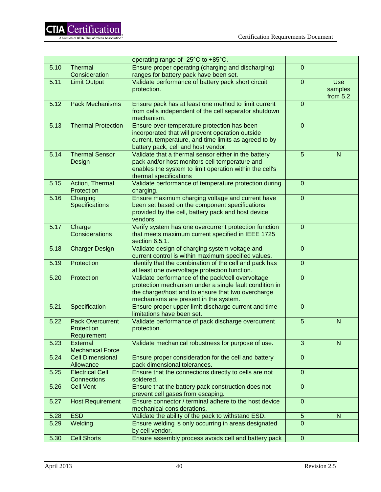|      |                           | operating range of -25°C to +85°C.                                                 |                  |              |
|------|---------------------------|------------------------------------------------------------------------------------|------------------|--------------|
| 5.10 | Thermal                   | Ensure proper operating (charging and discharging)                                 | $\overline{0}$   |              |
|      | Consideration             | ranges for battery pack have been set.                                             |                  |              |
| 5.11 | <b>Limit Output</b>       | Validate performance of battery pack short circuit                                 | $\overline{0}$   | <b>Use</b>   |
|      |                           | protection.                                                                        |                  | samples      |
|      |                           |                                                                                    |                  | from $5.2$   |
| 5.12 | <b>Pack Mechanisms</b>    | Ensure pack has at least one method to limit current                               | $\overline{0}$   |              |
|      |                           | from cells independent of the cell separator shutdown                              |                  |              |
|      |                           | mechanism.                                                                         |                  |              |
| 5.13 | <b>Thermal Protection</b> | Ensure over-temperature protection has been                                        | $\overline{0}$   |              |
|      |                           | incorporated that will prevent operation outside                                   |                  |              |
|      |                           | current, temperature, and time limits as agreed to by                              |                  |              |
|      |                           | battery pack, cell and host vendor.                                                |                  |              |
| 5.14 | <b>Thermal Sensor</b>     | Validate that a thermal sensor either in the battery                               | 5                | $\mathsf{N}$ |
|      | Design                    | pack and/or host monitors cell temperature and                                     |                  |              |
|      |                           | enables the system to limit operation within the cell's                            |                  |              |
|      |                           | thermal specifications                                                             |                  |              |
| 5.15 | Action, Thermal           | Validate performance of temperature protection during                              | $\overline{0}$   |              |
|      | Protection                | charging.                                                                          |                  |              |
| 5.16 | Charging                  | Ensure maximum charging voltage and current have                                   | $\overline{0}$   |              |
|      | Specifications            | been set based on the component specifications                                     |                  |              |
|      |                           | provided by the cell, battery pack and host device                                 |                  |              |
|      |                           | vendors.                                                                           |                  |              |
| 5.17 | Charge                    | Verify system has one overcurrent protection function                              | $\overline{0}$   |              |
|      | Considerations            | that meets maximum current specified in IEEE 1725                                  |                  |              |
|      |                           | section 6.5.1.                                                                     |                  |              |
| 5.18 | <b>Charger Design</b>     | Validate design of charging system voltage and                                     | $\mathbf 0$      |              |
|      |                           | current control is within maximum specified values.                                |                  |              |
| 5.19 | Protection                | Identify that the combination of the cell and pack has                             | $\mathbf 0$      |              |
|      |                           | at least one overvoltage protection function.                                      |                  |              |
| 5.20 | Protection                | Validate performance of the pack/cell overvoltage                                  | $\overline{0}$   |              |
|      |                           | protection mechanism under a single fault condition in                             |                  |              |
|      |                           | the charger/host and to ensure that two overcharge                                 |                  |              |
| 5.21 |                           | mechanisms are present in the system.                                              | $\overline{0}$   |              |
|      | Specification             | Ensure proper upper limit discharge current and time<br>limitations have been set. |                  |              |
| 5.22 | <b>Pack Overcurrent</b>   | Validate performance of pack discharge overcurrent                                 | 5                | N            |
|      | Protection                | protection.                                                                        |                  |              |
|      | Requirement               |                                                                                    |                  |              |
| 5.23 | External                  | Validate mechanical robustness for purpose of use.                                 | $\overline{3}$   | N            |
|      | <b>Mechanical Force</b>   |                                                                                    |                  |              |
| 5.24 | <b>Cell Dimensional</b>   | Ensure proper consideration for the cell and battery                               | $\overline{0}$   |              |
|      | Allowance                 | pack dimensional tolerances.                                                       |                  |              |
| 5.25 | <b>Electrical Cell</b>    | Ensure that the connections directly to cells are not                              | $\mathbf 0$      |              |
|      | Connections               | soldered.                                                                          |                  |              |
| 5.26 | <b>Cell Vent</b>          | Ensure that the battery pack construction does not                                 | $\boldsymbol{0}$ |              |
|      |                           | prevent cell gases from escaping.                                                  |                  |              |
| 5.27 | <b>Host Requirement</b>   | Ensure connector / terminal adhere to the host device                              | $\boldsymbol{0}$ |              |
|      |                           | mechanical considerations.                                                         |                  |              |
| 5.28 | <b>ESD</b>                | Validate the ability of the pack to withstand ESD.                                 | 5                | $\mathsf{N}$ |
| 5.29 | Welding                   | Ensure welding is only occurring in areas designated                               | $\overline{0}$   |              |
|      |                           | by cell vendor.                                                                    |                  |              |
| 5.30 | <b>Cell Shorts</b>        | Ensure assembly process avoids cell and battery pack                               | $\boldsymbol{0}$ |              |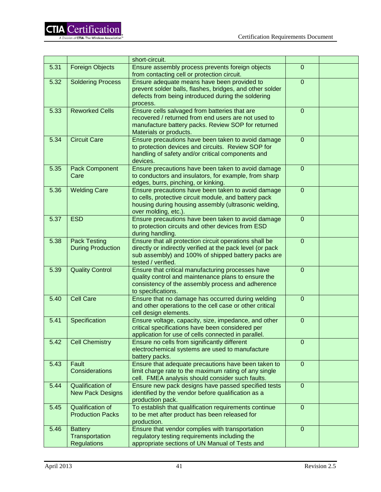|      |                                                        | short-circuit.                                                                                                                                                                                    |                |  |
|------|--------------------------------------------------------|---------------------------------------------------------------------------------------------------------------------------------------------------------------------------------------------------|----------------|--|
| 5.31 | <b>Foreign Objects</b>                                 | Ensure assembly process prevents foreign objects<br>from contacting cell or protection circuit.                                                                                                   | 0              |  |
| 5.32 | <b>Soldering Process</b>                               | Ensure adequate means have been provided to<br>prevent solder balls, flashes, bridges, and other solder<br>defects from being introduced during the soldering<br>process.                         | $\overline{0}$ |  |
| 5.33 | <b>Reworked Cells</b>                                  | Ensure cells salvaged from batteries that are<br>recovered / returned from end users are not used to<br>manufacture battery packs. Review SOP for returned<br>Materials or products.              | $\overline{0}$ |  |
| 5.34 | <b>Circuit Care</b>                                    | Ensure precautions have been taken to avoid damage<br>to protection devices and circuits. Review SOP for<br>handling of safety and/or critical components and<br>devices.                         | $\overline{0}$ |  |
| 5.35 | Pack Component<br>Care                                 | Ensure precautions have been taken to avoid damage<br>to conductors and insulators, for example, from sharp<br>edges, burrs, pinching, or kinking.                                                | $\mathbf 0$    |  |
| 5.36 | <b>Welding Care</b>                                    | Ensure precautions have been taken to avoid damage<br>to cells, protective circuit module, and battery pack<br>housing during housing assembly (ultrasonic welding,<br>over molding, etc.).       | $\mathbf 0$    |  |
| 5.37 | <b>ESD</b>                                             | Ensure precautions have been taken to avoid damage<br>to protection circuits and other devices from ESD<br>during handling.                                                                       | $\overline{0}$ |  |
| 5.38 | <b>Pack Testing</b><br><b>During Production</b>        | Ensure that all protection circuit operations shall be<br>directly or indirectly verified at the pack level (or pack<br>sub assembly) and 100% of shipped battery packs are<br>tested / verified. | $\overline{0}$ |  |
| 5.39 | <b>Quality Control</b>                                 | Ensure that critical manufacturing processes have<br>quality control and maintenance plans to ensure the<br>consistency of the assembly process and adherence<br>to specifications.               | $\overline{0}$ |  |
| 5.40 | <b>Cell Care</b>                                       | Ensure that no damage has occurred during welding<br>and other operations to the cell case or other critical<br>cell design elements.                                                             | $\mathbf 0$    |  |
| 5.41 | Specification                                          | Ensure voltage, capacity, size, impedance, and other<br>critical specifications have been considered per<br>application for use of cells connected in parallel.                                   | $\mathsf 0$    |  |
| 5.42 | <b>Cell Chemistry</b>                                  | Ensure no cells from significantly different<br>electrochemical systems are used to manufacture<br>battery packs.                                                                                 | $\overline{0}$ |  |
| 5.43 | Fault<br>Considerations                                | Ensure that adequate precautions have been taken to<br>limit charge rate to the maximum rating of any single<br>cell. FMEA analysis should consider such faults.                                  | $\overline{0}$ |  |
| 5.44 | Qualification of<br><b>New Pack Designs</b>            | Ensure new pack designs have passed specified tests<br>identified by the vendor before qualification as a<br>production pack.                                                                     | $\mathbf 0$    |  |
| 5.45 | <b>Qualification of</b><br><b>Production Packs</b>     | To establish that qualification requirements continue<br>to be met after product has been released for<br>production.                                                                             | $\overline{0}$ |  |
| 5.46 | <b>Battery</b><br>Transportation<br><b>Regulations</b> | Ensure that vendor complies with transportation<br>regulatory testing requirements including the<br>appropriate sections of UN Manual of Tests and                                                | $\mathbf 0$    |  |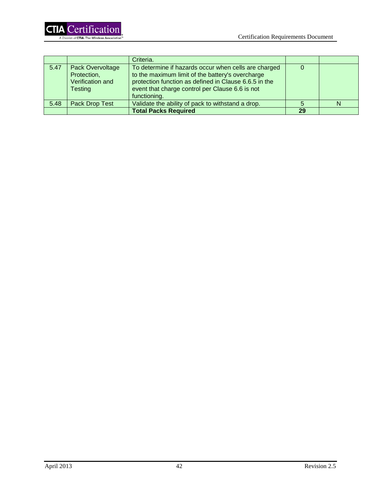

|      |                  | Criteria.                                             |    |   |
|------|------------------|-------------------------------------------------------|----|---|
| 5.47 | Pack Overvoltage | To determine if hazards occur when cells are charged  |    |   |
|      | Protection,      | to the maximum limit of the battery's overcharge      |    |   |
|      | Verification and | protection function as defined in Clause 6.6.5 in the |    |   |
|      | <b>Testing</b>   | event that charge control per Clause 6.6 is not       |    |   |
|      |                  | functioning.                                          |    |   |
| 5.48 | Pack Drop Test   | Validate the ability of pack to withstand a drop.     |    | N |
|      |                  | <b>Total Packs Required</b>                           | 29 |   |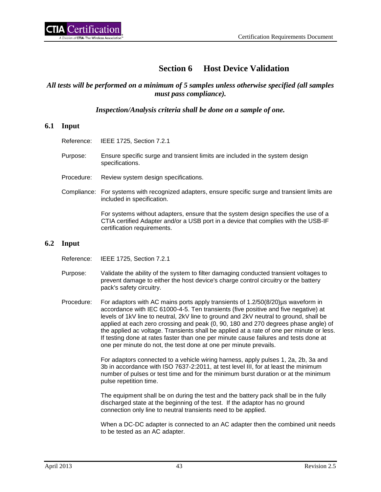# **Section 6 Host Device Validation**

## *All tests will be performed on a minimum of 5 samples unless otherwise specified (all samples must pass compliance).*

*Inspection/Analysis criteria shall be done on a sample of one.*

## **6.1 Input**

- Reference: IEEE 1725, Section 7.2.1
- Purpose: Ensure specific surge and transient limits are included in the system design specifications.
- Procedure: Review system design specifications.
- Compliance: For systems with recognized adapters, ensure specific surge and transient limits are included in specification.

For systems without adapters, ensure that the system design specifies the use of a CTIA certified Adapter and/or a USB port in a device that complies with the USB-IF certification requirements.

#### **6.2 Input**

- Reference: IEEE 1725, Section 7.2.1
- Purpose: Validate the ability of the system to filter damaging conducted transient voltages to prevent damage to either the host device's charge control circuitry or the battery pack's safety circuitry.
- Procedure: For adaptors with AC mains ports apply transients of 1.2/50(8/20)µs waveform in accordance with IEC 61000-4-5. Ten transients (five positive and five negative) at levels of 1kV line to neutral, 2kV line to ground and 2kV neutral to ground, shall be applied at each zero crossing and peak (0, 90, 180 and 270 degrees phase angle) of the applied ac voltage. Transients shall be applied at a rate of one per minute or less. If testing done at rates faster than one per minute cause failures and tests done at one per minute do not, the test done at one per minute prevails.

For adaptors connected to a vehicle wiring harness, apply pulses 1, 2a, 2b, 3a and 3b in accordance with ISO 7637-2:2011, at test level III, for at least the minimum number of pulses or test time and for the minimum burst duration or at the minimum pulse repetition time.

The equipment shall be on during the test and the battery pack shall be in the fully discharged state at the beginning of the test. If the adaptor has no ground connection only line to neutral transients need to be applied.

When a DC-DC adapter is connected to an AC adapter then the combined unit needs to be tested as an AC adapter.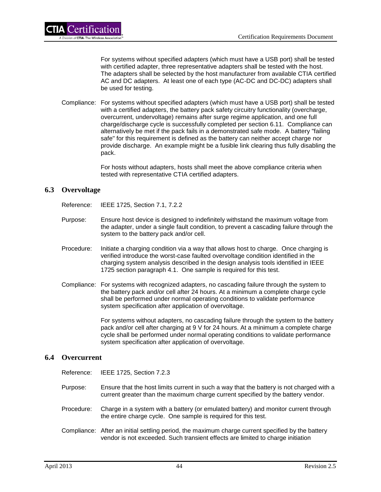For systems without specified adapters (which must have a USB port) shall be tested with certified adapter, three representative adapters shall be tested with the host. The adapters shall be selected by the host manufacturer from available CTIA certified AC and DC adapters. At least one of each type (AC-DC and DC-DC) adapters shall be used for testing.

Compliance: For systems without specified adapters (which must have a USB port) shall be tested with a certified adapters, the battery pack safety circuitry functionality (overcharge, overcurrent, undervoltage) remains after surge regime application, and one full charge/discharge cycle is successfully completed per section 6.11. Compliance can alternatively be met if the pack fails in a demonstrated safe mode. A battery "failing safe" for this requirement is defined as the battery can neither accept charge nor provide discharge. An example might be a fusible link clearing thus fully disabling the pack.

> For hosts without adapters, hosts shall meet the above compliance criteria when tested with representative CTIA certified adapters.

## **6.3 Overvoltage**

Reference: IEEE 1725, Section 7.1, 7.2.2

- Purpose: Ensure host device is designed to indefinitely withstand the maximum voltage from the adapter, under a single fault condition, to prevent a cascading failure through the system to the battery pack and/or cell.
- Procedure: Initiate a charging condition via a way that allows host to charge. Once charging is verified introduce the worst-case faulted overvoltage condition identified in the charging system analysis described in the design analysis tools identified in IEEE 1725 section paragraph 4.1. One sample is required for this test.
- Compliance: For systems with recognized adapters, no cascading failure through the system to the battery pack and/or cell after 24 hours. At a minimum a complete charge cycle shall be performed under normal operating conditions to validate performance system specification after application of overvoltage.

For systems without adapters, no cascading failure through the system to the battery pack and/or cell after charging at 9 V for 24 hours. At a minimum a complete charge cycle shall be performed under normal operating conditions to validate performance system specification after application of overvoltage.

## **6.4 Overcurrent**

Reference: IEEE 1725, Section 7.2.3

- Purpose: Ensure that the host limits current in such a way that the battery is not charged with a current greater than the maximum charge current specified by the battery vendor.
- Procedure: Charge in a system with a battery (or emulated battery) and monitor current through the entire charge cycle. One sample is required for this test.
- Compliance: After an initial settling period, the maximum charge current specified by the battery vendor is not exceeded. Such transient effects are limited to charge initiation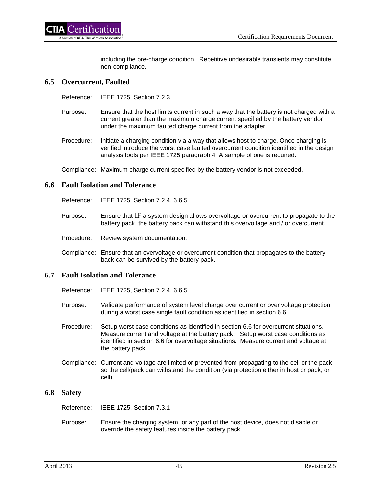including the pre-charge condition. Repetitive undesirable transients may constitute non-compliance.

#### **6.5 Overcurrent, Faulted**

Reference: IEEE 1725, Section 7.2.3

- Purpose: Ensure that the host limits current in such a way that the battery is not charged with a current greater than the maximum charge current specified by the battery vendor under the maximum faulted charge current from the adapter.
- Procedure: Initiate a charging condition via a way that allows host to charge. Once charging is verified introduce the worst case faulted overcurrent condition identified in the design analysis tools per IEEE 1725 paragraph 4 A sample of one is required.

Compliance: Maximum charge current specified by the battery vendor is not exceeded.

#### **6.6 Fault Isolation and Tolerance**

Reference: IEEE 1725, Section 7.2.4, 6.6.5

- Purpose: Ensure that IF a system design allows overvoltage or overcurrent to propagate to the battery pack, the battery pack can withstand this overvoltage and / or overcurrent.
- Procedure: Review system documentation.
- Compliance: Ensure that an overvoltage or overcurrent condition that propagates to the battery back can be survived by the battery pack.

#### **6.7 Fault Isolation and Tolerance**

- Reference: IEEE 1725, Section 7.2.4, 6.6.5
- Purpose: Validate performance of system level charge over current or over voltage protection during a worst case single fault condition as identified in section 6.6.
- Procedure: Setup worst case conditions as identified in section 6.6 for overcurrent situations. Measure current and voltage at the battery pack. Setup worst case conditions as identified in section 6.6 for overvoltage situations. Measure current and voltage at the battery pack.
- Compliance: Current and voltage are limited or prevented from propagating to the cell or the pack so the cell/pack can withstand the condition (via protection either in host or pack, or cell).

#### **6.8 Safety**

Reference: IEEE 1725, Section 7.3.1

Purpose: Ensure the charging system, or any part of the host device, does not disable or override the safety features inside the battery pack.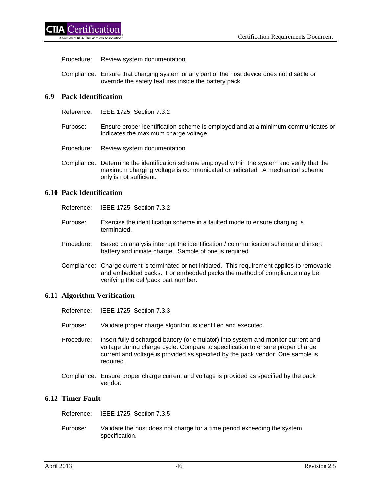Procedure: Review system documentation.

Compliance: Ensure that charging system or any part of the host device does not disable or override the safety features inside the battery pack.

# **6.9 Pack Identification**

Reference: IEEE 1725, Section 7.3.2

- Purpose: Ensure proper identification scheme is employed and at a minimum communicates or indicates the maximum charge voltage.
- Procedure: Review system documentation.
- Compliance: Determine the identification scheme employed within the system and verify that the maximum charging voltage is communicated or indicated. A mechanical scheme only is not sufficient.

#### **6.10 Pack Identification**

| Reference: |  | IEEE 1725, Section 7.3.2 |
|------------|--|--------------------------|
|------------|--|--------------------------|

- Purpose: Exercise the identification scheme in a faulted mode to ensure charging is terminated.
- Procedure: Based on analysis interrupt the identification / communication scheme and insert battery and initiate charge. Sample of one is required.
- Compliance: Charge current is terminated or not initiated. This requirement applies to removable and embedded packs. For embedded packs the method of compliance may be verifying the cell/pack part number.

## **6.11 Algorithm Verification**

Reference: IEEE 1725, Section 7.3.3 Purpose: Validate proper charge algorithm is identified and executed. Procedure: Insert fully discharged battery (or emulator) into system and monitor current and voltage during charge cycle. Compare to specification to ensure proper charge current and voltage is provided as specified by the pack vendor. One sample is required. Compliance: Ensure proper charge current and voltage is provided as specified by the pack vendor.

## **6.12 Timer Fault**

| Reference: | IEEE 1725. Section 7.3.5                                                                   |
|------------|--------------------------------------------------------------------------------------------|
| Purpose:   | Validate the host does not charge for a time period exceeding the system<br>specification. |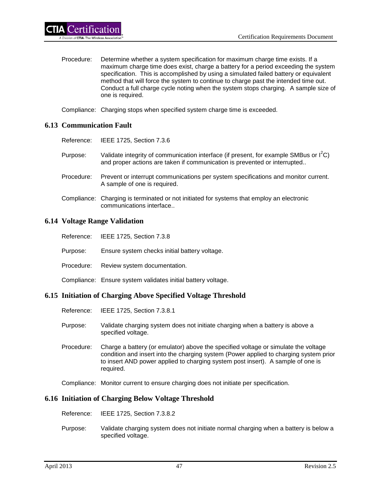- - Procedure: Determine whether a system specification for maximum charge time exists. If a maximum charge time does exist, charge a battery for a period exceeding the system specification. This is accomplished by using a simulated failed battery or equivalent method that will force the system to continue to charge past the intended time out. Conduct a full charge cycle noting when the system stops charging. A sample size of one is required.

Compliance: Charging stops when specified system charge time is exceeded.

#### **6.13 Communication Fault**

ertification<sup>'</sup>

- Reference: IEEE 1725, Section 7.3.6
- Purpose: Validate integrity of communication interface (if present, for example SMBus or  $I^2C$ ) and proper actions are taken if communication is prevented or interrupted..
- Procedure: Prevent or interrupt communications per system specifications and monitor current. A sample of one is required.
- Compliance: Charging is terminated or not initiated for systems that employ an electronic communications interface..

#### **6.14 Voltage Range Validation**

|            | Reference: IEEE 1725, Section 7.3.8                                                                                            |
|------------|--------------------------------------------------------------------------------------------------------------------------------|
| Purpose:   | Ensure system checks initial battery voltage.                                                                                  |
| Procedure: | Review system documentation.                                                                                                   |
|            | Compliance: Ensure system validates initial battery voltage.                                                                   |
|            | THE BOIL IS AND CONTROL TO A STATE OF THE STATE OF THE STATE OF THE STATE OF THE STATE OF THE STATE OF THE STA<br>$\mathbf{m}$ |

## **6.15 Initiation of Charging Above Specified Voltage Threshold**

- Reference: IEEE 1725, Section 7.3.8.1
- Purpose: Validate charging system does not initiate charging when a battery is above a specified voltage.
- Procedure: Charge a battery (or emulator) above the specified voltage or simulate the voltage condition and insert into the charging system (Power applied to charging system prior to insert AND power applied to charging system post insert). A sample of one is required.

Compliance: Monitor current to ensure charging does not initiate per specification.

## **6.16 Initiation of Charging Below Voltage Threshold**

- Reference: IEEE 1725, Section 7.3.8.2
- Purpose: Validate charging system does not initiate normal charging when a battery is below a specified voltage.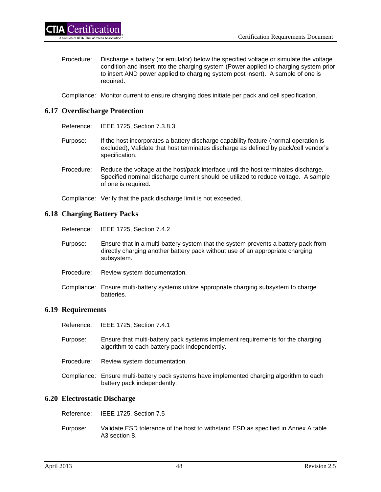Procedure: Discharge a battery (or emulator) below the specified voltage or simulate the voltage condition and insert into the charging system (Power applied to charging system prior to insert AND power applied to charging system post insert). A sample of one is required.

Compliance: Monitor current to ensure charging does initiate per pack and cell specification.

#### **6.17 Overdischarge Protection**

Reference: IEEE 1725, Section 7.3.8.3

- Purpose: If the host incorporates a battery discharge capability feature (normal operation is excluded), Validate that host terminates discharge as defined by pack/cell vendor's specification.
- Procedure: Reduce the voltage at the host/pack interface until the host terminates discharge. Specified nominal discharge current should be utilized to reduce voltage. A sample of one is required.

Compliance: Verify that the pack discharge limit is not exceeded.

#### **6.18 Charging Battery Packs**

- Reference: IEEE 1725, Section 7.4.2
- Purpose: Ensure that in a multi-battery system that the system prevents a battery pack from directly charging another battery pack without use of an appropriate charging subsystem.
- Procedure: Review system documentation.
- Compliance: Ensure multi-battery systems utilize appropriate charging subsystem to charge batteries.

#### **6.19 Requirements**

- Reference: IEEE 1725, Section 7.4.1
- Purpose: Ensure that multi-battery pack systems implement requirements for the charging algorithm to each battery pack independently.
- Procedure: Review system documentation.
- Compliance: Ensure multi-battery pack systems have implemented charging algorithm to each battery pack independently.

#### **6.20 Electrostatic Discharge**

- Reference: IEEE 1725, Section 7.5
- Purpose: Validate ESD tolerance of the host to withstand ESD as specified in Annex A table A3 section 8.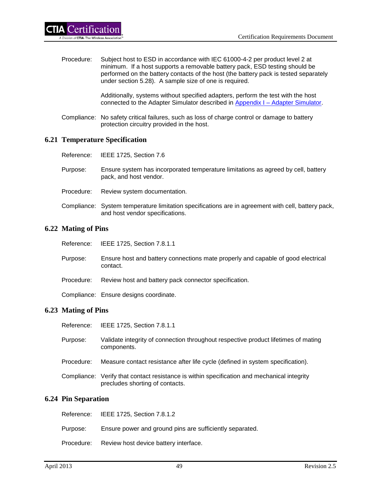Procedure: Subject host to ESD in accordance with IEC 61000-4-2 per product level 2 at minimum. If a host supports a removable battery pack, ESD testing should be performed on the battery contacts of the host (the battery pack is tested separately under section 5.28). A sample size of one is required.

> Additionally, systems without specified adapters, perform the test with the host connected to the Adapter Simulator described in Appendix I – [Adapter Simulator.](#page-76-0)

Compliance: No safety critical failures, such as loss of charge control or damage to battery protection circuitry provided in the host.

## **6.21 Temperature Specification**

| Reference: | IEEE 1725, Section 7.6                                                                                                                |
|------------|---------------------------------------------------------------------------------------------------------------------------------------|
| Purpose:   | Ensure system has incorporated temperature limitations as agreed by cell, battery<br>pack, and host vendor.                           |
| Procedure: | Review system documentation.                                                                                                          |
|            | Compliance: System temperature limitation specifications are in agreement with cell, battery pack,<br>and host vendor specifications. |

#### **6.22 Mating of Pins**

| Reference: |  | IEEE 1725, Section 7.8.1.1 |
|------------|--|----------------------------|
|------------|--|----------------------------|

- Purpose: Ensure host and battery connections mate properly and capable of good electrical contact.
- Procedure: Review host and battery pack connector specification.
- Compliance: Ensure designs coordinate.

#### **6.23 Mating of Pins**

- Reference: IEEE 1725, Section 7.8.1.1
- Purpose: Validate integrity of connection throughout respective product lifetimes of mating components.
- Procedure: Measure contact resistance after life cycle (defined in system specification).
- Compliance: Verify that contact resistance is within specification and mechanical integrity precludes shorting of contacts.

#### **6.24 Pin Separation**

|          | Reference: IEEE 1725, Section 7.8.1.2                    |
|----------|----------------------------------------------------------|
| Purpose: | Ensure power and ground pins are sufficiently separated. |
|          | Procedure: Review host device battery interface.         |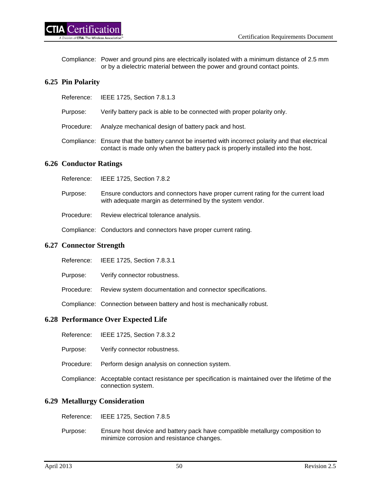Compliance: Power and ground pins are electrically isolated with a minimum distance of 2.5 mm or by a dielectric material between the power and ground contact points.

## **6.25 Pin Polarity**

| Reference: | IEEE 1725, Section 7.8.1.3 |
|------------|----------------------------|
|            |                            |

- Purpose: Verify battery pack is able to be connected with proper polarity only.
- Procedure: Analyze mechanical design of battery pack and host.
- Compliance: Ensure that the battery cannot be inserted with incorrect polarity and that electrical contact is made only when the battery pack is properly installed into the host.

## **6.26 Conductor Ratings**

- Reference: IEEE 1725, Section 7.8.2
- Purpose: Ensure conductors and connectors have proper current rating for the current load with adequate margin as determined by the system vendor.
- Procedure: Review electrical tolerance analysis.

Compliance: Conductors and connectors have proper current rating.

#### **6.27 Connector Strength**

- Reference: IEEE 1725, Section 7.8.3.1
- Purpose: Verify connector robustness.
- Procedure: Review system documentation and connector specifications.

Compliance: Connection between battery and host is mechanically robust.

## **6.28 Performance Over Expected Life**

- Reference: IEEE 1725, Section 7.8.3.2
- Purpose: Verify connector robustness.
- Procedure: Perform design analysis on connection system.
- Compliance: Acceptable contact resistance per specification is maintained over the lifetime of the connection system.

## **6.29 Metallurgy Consideration**

- Reference: IEEE 1725, Section 7.8.5
- Purpose: Ensure host device and battery pack have compatible metallurgy composition to minimize corrosion and resistance changes.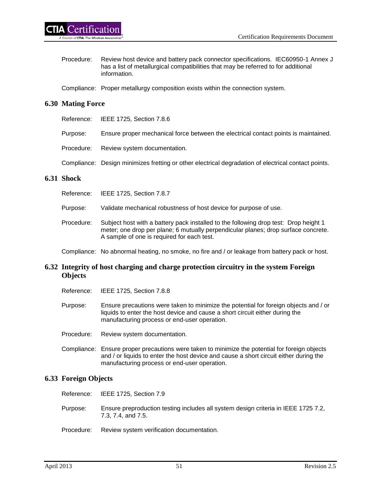- Procedure: Review host device and battery pack connector specifications. IEC60950-1 Annex J has a list of metallurgical compatibilities that may be referred to for additional information.
- Compliance: Proper metallurgy composition exists within the connection system.

## **6.30 Mating Force**

- Reference: IEEE 1725, Section 7.8.6
- Purpose: Ensure proper mechanical force between the electrical contact points is maintained.
- Procedure: Review system documentation.
- Compliance: Design minimizes fretting or other electrical degradation of electrical contact points.

## **6.31 Shock**

- Reference: IEEE 1725, Section 7.8.7
- Purpose: Validate mechanical robustness of host device for purpose of use.
- Procedure: Subject host with a battery pack installed to the following drop test: Drop height 1 meter; one drop per plane; 6 mutually perpendicular planes; drop surface concrete. A sample of one is required for each test.
- Compliance: No abnormal heating, no smoke, no fire and / or leakage from battery pack or host.

## **6.32 Integrity of host charging and charge protection circuitry in the system Foreign Objects**

- Reference: IEEE 1725, Section 7.8.8
- Purpose: Ensure precautions were taken to minimize the potential for foreign objects and / or liquids to enter the host device and cause a short circuit either during the manufacturing process or end-user operation.
- Procedure: Review system documentation.
- Compliance: Ensure proper precautions were taken to minimize the potential for foreign objects and / or liquids to enter the host device and cause a short circuit either during the manufacturing process or end-user operation.

## **6.33 Foreign Objects**

Reference: IEEE 1725, Section 7.9

- Purpose: Ensure preproduction testing includes all system design criteria in IEEE 1725 7.2, 7.3, 7.4, and 7.5.
- Procedure: Review system verification documentation.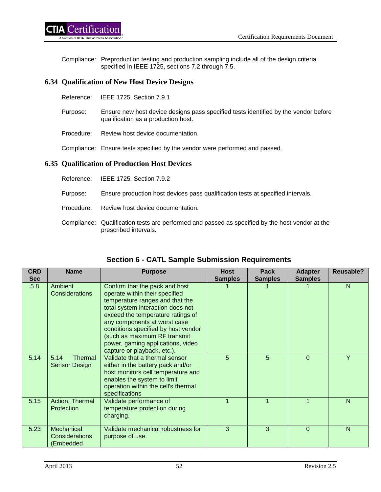Compliance: Preproduction testing and production sampling include all of the design criteria specified in IEEE 1725, sections 7.2 through 7.5.

## **6.34 Qualification of New Host Device Designs**

- Reference: IEEE 1725, Section 7.9.1
- Purpose: Ensure new host device designs pass specified tests identified by the vendor before qualification as a production host.
- Procedure: Review host device documentation.

Compliance: Ensure tests specified by the vendor were performed and passed.

## **6.35 Qualification of Production Host Devices**

- Reference: IEEE 1725, Section 7.9.2
- Purpose: Ensure production host devices pass qualification tests at specified intervals.
- Procedure: Review host device documentation.
- Compliance: Qualification tests are performed and passed as specified by the host vendor at the prescribed intervals.

| <b>CRD</b> | <b>Name</b>                               | <b>Purpose</b>                                                                                                                                                                                                                                                                                                                                           | <b>Host</b>    | <b>Pack</b>    | <b>Adapter</b> | <b>Reusable?</b> |
|------------|-------------------------------------------|----------------------------------------------------------------------------------------------------------------------------------------------------------------------------------------------------------------------------------------------------------------------------------------------------------------------------------------------------------|----------------|----------------|----------------|------------------|
| <b>Sec</b> |                                           |                                                                                                                                                                                                                                                                                                                                                          | <b>Samples</b> | <b>Samples</b> | <b>Samples</b> |                  |
| 5.8        | Ambient<br>Considerations                 | Confirm that the pack and host<br>operate within their specified<br>temperature ranges and that the<br>total system interaction does not<br>exceed the temperature ratings of<br>any components at worst case<br>conditions specified by host vendor<br>(such as maximum RF transmit<br>power, gaming applications, video<br>capture or playback, etc.). |                |                |                | N                |
| 5.14       | 5.14<br>Thermal<br>Sensor Design          | Validate that a thermal sensor<br>either in the battery pack and/or<br>host monitors cell temperature and<br>enables the system to limit<br>operation within the cell's thermal<br>specifications                                                                                                                                                        | 5              | 5              | $\mathbf 0$    | Y                |
| 5.15       | Action, Thermal<br>Protection             | Validate performance of<br>temperature protection during<br>charging.                                                                                                                                                                                                                                                                                    |                |                | 1              | N                |
| 5.23       | Mechanical<br>Considerations<br>(Embedded | Validate mechanical robustness for<br>purpose of use.                                                                                                                                                                                                                                                                                                    | 3              | 3              | $\Omega$       | $\mathsf{N}$     |

# **Section 6 - CATL Sample Submission Requirements**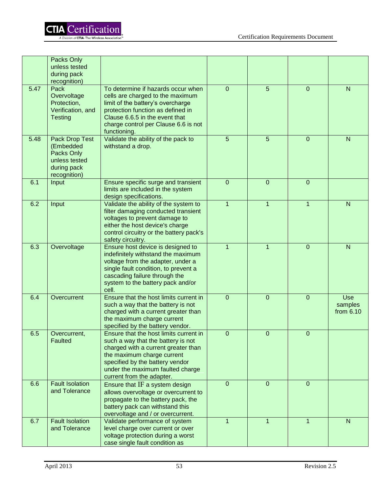

|      | Packs Only<br>unless tested<br>during pack<br>recognition)                                |                                                                                                                                                                                                                                                       |                  |                |                |                                      |
|------|-------------------------------------------------------------------------------------------|-------------------------------------------------------------------------------------------------------------------------------------------------------------------------------------------------------------------------------------------------------|------------------|----------------|----------------|--------------------------------------|
| 5.47 | Pack<br>Overvoltage<br>Protection,<br>Verification, and<br><b>Testing</b>                 | To determine if hazards occur when<br>cells are charged to the maximum<br>limit of the battery's overcharge<br>protection function as defined in<br>Clause 6.6.5 in the event that<br>charge control per Clause 6.6 is not<br>functioning.            | $\mathbf 0$      | 5              | $\overline{0}$ | ${\sf N}$                            |
| 5.48 | Pack Drop Test<br>(Embedded<br>Packs Only<br>unless tested<br>during pack<br>recognition) | Validate the ability of the pack to<br>withstand a drop.                                                                                                                                                                                              | 5                | 5              | $\overline{0}$ | $\mathsf{N}$                         |
| 6.1  | Input                                                                                     | Ensure specific surge and transient<br>limits are included in the system<br>design specifications.                                                                                                                                                    | 0                | $\overline{0}$ | 0              |                                      |
| 6.2  | Input                                                                                     | Validate the ability of the system to<br>filter damaging conducted transient<br>voltages to prevent damage to<br>either the host device's charge<br>control circuitry or the battery pack's<br>safety circuitry.                                      | $\overline{1}$   | $\mathbf{1}$   | $\mathbf{1}$   | ${\sf N}$                            |
| 6.3  | Overvoltage                                                                               | Ensure host device is designed to<br>indefinitely withstand the maximum<br>voltage from the adapter, under a<br>single fault condition, to prevent a<br>cascading failure through the<br>system to the battery pack and/or<br>cell.                   | $\mathbf{1}$     | $\mathbf{1}$   | $\overline{0}$ | $\mathsf{N}$                         |
| 6.4  | Overcurrent                                                                               | Ensure that the host limits current in<br>such a way that the battery is not<br>charged with a current greater than<br>the maximum charge current<br>specified by the battery vendor.                                                                 | $\mathbf 0$      | $\overline{0}$ | $\overline{0}$ | <b>Use</b><br>samples<br>from $6.10$ |
| 6.5  | Overcurrent,<br><b>Faulted</b>                                                            | Ensure that the host limits current in<br>such a way that the battery is not<br>charged with a current greater than<br>the maximum charge current<br>specified by the battery vendor<br>under the maximum faulted charge<br>current from the adapter. | $\mathbf 0$      | 0              | 0              |                                      |
| 6.6  | <b>Fault Isolation</b><br>and Tolerance                                                   | Ensure that IF a system design<br>allows overvoltage or overcurrent to<br>propagate to the battery pack, the<br>battery pack can withstand this<br>overvoltage and / or overcurrent.                                                                  | $\boldsymbol{0}$ | $\mathbf{0}$   | $\overline{0}$ |                                      |
| 6.7  | <b>Fault Isolation</b><br>and Tolerance                                                   | Validate performance of system<br>level charge over current or over<br>voltage protection during a worst<br>case single fault condition as                                                                                                            | $\mathbf{1}$     | $\mathbf{1}$   | $\mathbf 1$    | N                                    |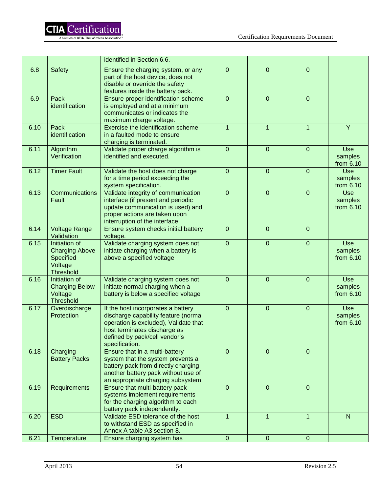|      |                                                                                    | identified in Section 6.6.                                                                                                                                                                             |                  |                |                |                                    |
|------|------------------------------------------------------------------------------------|--------------------------------------------------------------------------------------------------------------------------------------------------------------------------------------------------------|------------------|----------------|----------------|------------------------------------|
| 6.8  | <b>Safety</b>                                                                      | Ensure the charging system, or any<br>part of the host device, does not<br>disable or override the safety<br>features inside the battery pack.                                                         | $\boldsymbol{0}$ | $\overline{0}$ | 0              |                                    |
| 6.9  | Pack<br>identification                                                             | Ensure proper identification scheme<br>is employed and at a minimum<br>communicates or indicates the<br>maximum charge voltage.                                                                        | $\overline{0}$   | $\overline{0}$ | $\overline{0}$ |                                    |
| 6.10 | Pack<br>identification                                                             | Exercise the identification scheme<br>in a faulted mode to ensure<br>charging is terminated.                                                                                                           | $\mathbf{1}$     | $\mathbf{1}$   | $\mathbf{1}$   | Y                                  |
| 6.11 | Algorithm<br>Verification                                                          | Validate proper charge algorithm is<br>identified and executed.                                                                                                                                        | $\mathbf 0$      | $\overline{0}$ | $\mathbf 0$    | Use<br>samples<br>from 6.10        |
| 6.12 | <b>Timer Fault</b>                                                                 | Validate the host does not charge<br>for a time period exceeding the<br>system specification.                                                                                                          | $\mathbf 0$      | $\overline{0}$ | 0              | <b>Use</b><br>samples<br>from 6.10 |
| 6.13 | Communications<br>Fault                                                            | Validate integrity of communication<br>interface (if present and periodic<br>update communication is used) and<br>proper actions are taken upon<br>interruption of the interface.                      | $\overline{0}$   | $\overline{0}$ | $\overline{0}$ | Use<br>samples<br>from 6.10        |
| 6.14 | <b>Voltage Range</b><br>Validation                                                 | Ensure system checks initial battery<br>voltage.                                                                                                                                                       | $\overline{0}$   | $\overline{0}$ | $\overline{0}$ |                                    |
| 6.15 | Initiation of<br><b>Charging Above</b><br>Specified<br>Voltage<br><b>Threshold</b> | Validate charging system does not<br>initiate charging when a battery is<br>above a specified voltage                                                                                                  | $\overline{0}$   | $\overline{0}$ | $\overline{0}$ | Use<br>samples<br>from 6.10        |
| 6.16 | Initiation of<br><b>Charging Below</b><br>Voltage<br><b>Threshold</b>              | Validate charging system does not<br>initiate normal charging when a<br>battery is below a specified voltage                                                                                           | $\mathbf 0$      | $\overline{0}$ | $\overline{0}$ | Use<br>samples<br>from 6.10        |
| 6.17 | Overdischarge<br>Protection                                                        | If the host incorporates a battery<br>discharge capability feature (normal<br>operation is excluded), Validate that<br>host terminates discharge as<br>defined by pack/cell vendor's<br>specification. | $\mathbf 0$      | $\overline{0}$ | $\overline{0}$ | Use<br>samples<br>from 6.10        |
| 6.18 | Charging<br><b>Battery Packs</b>                                                   | Ensure that in a multi-battery<br>system that the system prevents a<br>battery pack from directly charging<br>another battery pack without use of<br>an appropriate charging subsystem.                | $\overline{0}$   | $\overline{0}$ | $\overline{0}$ |                                    |
| 6.19 | Requirements                                                                       | Ensure that multi-battery pack<br>systems implement requirements<br>for the charging algorithm to each<br>battery pack independently.                                                                  | $\mathbf 0$      | $\overline{0}$ | $\overline{0}$ |                                    |
| 6.20 | <b>ESD</b>                                                                         | Validate ESD tolerance of the host<br>to withstand ESD as specified in<br>Annex A table A3 section 8.                                                                                                  | $\mathbf{1}$     | $\mathbf{1}$   | $\mathbf{1}$   | N                                  |
| 6.21 | Temperature                                                                        | Ensure charging system has                                                                                                                                                                             | $\boldsymbol{0}$ | $\overline{0}$ | $\mathbf 0$    |                                    |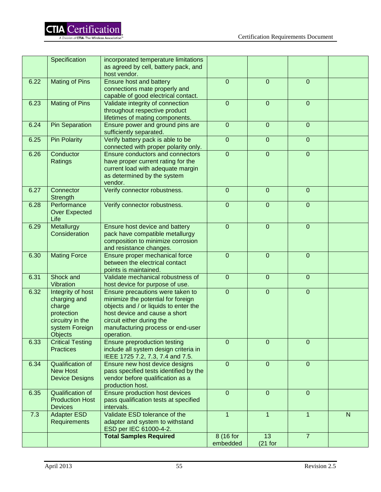|      | Specification                                                                                              | incorporated temperature limitations<br>as agreed by cell, battery pack, and<br>host vendor.                                                                                                                                     |                       |                  |                  |              |
|------|------------------------------------------------------------------------------------------------------------|----------------------------------------------------------------------------------------------------------------------------------------------------------------------------------------------------------------------------------|-----------------------|------------------|------------------|--------------|
| 6.22 | <b>Mating of Pins</b>                                                                                      | Ensure host and battery<br>connections mate properly and<br>capable of good electrical contact.                                                                                                                                  | $\boldsymbol{0}$      | $\mathbf 0$      | $\overline{0}$   |              |
| 6.23 | <b>Mating of Pins</b>                                                                                      | Validate integrity of connection<br>throughout respective product<br>lifetimes of mating components.                                                                                                                             | $\mathbf 0$           | $\overline{0}$   | $\boldsymbol{0}$ |              |
| 6.24 | <b>Pin Separation</b>                                                                                      | Ensure power and ground pins are<br>sufficiently separated.                                                                                                                                                                      | $\mathbf 0$           | $\overline{0}$   | $\mathbf 0$      |              |
| 6.25 | <b>Pin Polarity</b>                                                                                        | Verify battery pack is able to be<br>connected with proper polarity only.                                                                                                                                                        | $\overline{0}$        | $\overline{0}$   | $\boldsymbol{0}$ |              |
| 6.26 | Conductor<br>Ratings                                                                                       | Ensure conductors and connectors<br>have proper current rating for the<br>current load with adequate margin<br>as determined by the system<br>vendor.                                                                            | $\overline{0}$        | $\overline{0}$   | $\mathbf 0$      |              |
| 6.27 | Connector<br>Strength                                                                                      | Verify connector robustness.                                                                                                                                                                                                     | $\mathbf{0}$          | $\overline{0}$   | $\mathbf 0$      |              |
| 6.28 | Performance<br><b>Over Expected</b><br>Life                                                                | Verify connector robustness.                                                                                                                                                                                                     | $\pmb{0}$             | $\overline{0}$   | $\boldsymbol{0}$ |              |
| 6.29 | Metallurgy<br>Consideration                                                                                | Ensure host device and battery<br>pack have compatible metallurgy<br>composition to minimize corrosion<br>and resistance changes.                                                                                                | $\mathbf{0}$          | $\boldsymbol{0}$ | $\mathbf 0$      |              |
| 6.30 | <b>Mating Force</b>                                                                                        | Ensure proper mechanical force<br>between the electrical contact<br>points is maintained.                                                                                                                                        | $\overline{0}$        | $\overline{0}$   | $\mathbf 0$      |              |
| 6.31 | Shock and<br>Vibration                                                                                     | Validate mechanical robustness of<br>host device for purpose of use.                                                                                                                                                             | $\overline{0}$        | $\overline{0}$   | $\mathbf 0$      |              |
| 6.32 | Integrity of host<br>charging and<br>charge<br>protection<br>circuitry in the<br>system Foreign<br>Objects | Ensure precautions were taken to<br>minimize the potential for foreign<br>objects and / or liquids to enter the<br>host device and cause a short<br>circuit either during the<br>manufacturing process or end-user<br>operation. | $\overline{0}$        | $\overline{0}$   | $\boldsymbol{0}$ |              |
| 6.33 | <b>Critical Testing</b><br><b>Practices</b>                                                                | Ensure preproduction testing<br>include all system design criteria in<br>IEEE 1725 7.2, 7.3, 7.4 and 7.5.                                                                                                                        | $\overline{0}$        | $\mathbf 0$      | $\mathbf 0$      |              |
| 6.34 | <b>Qualification of</b><br><b>New Host</b><br><b>Device Designs</b>                                        | Ensure new host device designs<br>pass specified tests identified by the<br>vendor before qualification as a<br>production host.                                                                                                 | $\boldsymbol{0}$      | $\overline{0}$   | $\mathbf 0$      |              |
| 6.35 | Qualification of<br><b>Production Host</b><br><b>Devices</b>                                               | <b>Ensure production host devices</b><br>pass qualification tests at specified<br>intervals.                                                                                                                                     | $\mathbf{0}$          | $\overline{0}$   | $\mathbf 0$      |              |
| 7.3  | <b>Adapter ESD</b><br><b>Requirements</b>                                                                  | Validate ESD tolerance of the<br>adapter and system to withstand<br>ESD per IEC 61000-4-2.                                                                                                                                       | $\mathbf{1}$          | $\mathbf{1}$     | $\mathbf{1}$     | $\mathsf{N}$ |
|      |                                                                                                            | <b>Total Samples Required</b>                                                                                                                                                                                                    | 8 (16 for<br>embedded | 13<br>$(21$ for  | $\overline{7}$   |              |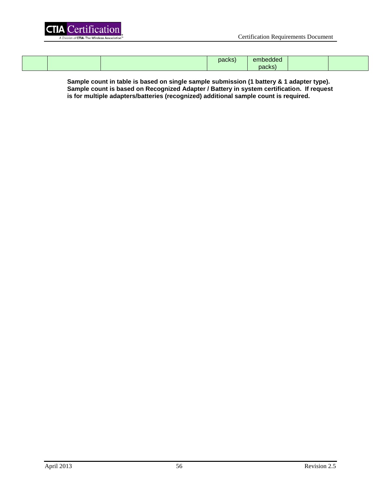

|  | packs) | ام م ام ام م<br>embedded |  |
|--|--------|--------------------------|--|
|  |        | packs                    |  |

**Sample count in table is based on single sample submission (1 battery & 1 adapter type). Sample count is based on Recognized Adapter / Battery in system certification. If request is for multiple adapters/batteries (recognized) additional sample count is required.**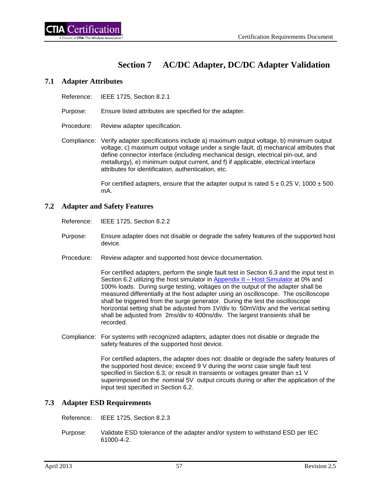# **Section 7 AC/DC Adapter, DC/DC Adapter Validation**

#### **7.1 Adapter Attributes**

Reference: IEEE 1725, Section 8.2.1

Purpose: Ensure listed attributes are specified for the adapter.

Procedure: Review adapter specification.

Compliance: Verify adapter specifications include a) maximum output voltage, b) minimum output voltage, c) maximum output voltage under a single fault, d) mechanical attributes that define connector interface (including mechanical design, electrical pin-out, and metallurgy), e) minimum output current, and f) if applicable, electrical interface attributes for identification, authentication, etc.

> For certified adapters, ensure that the adapter output is rated  $5 \pm 0.25$  V, 1000  $\pm 500$ mA.

#### **7.2 Adapter and Safety Features**

Reference: IEEE 1725, Section 8.2.2

- Purpose: Ensure adapter does not disable or degrade the safety features of the supported host device.
- Procedure: Review adapter and supported host device documentation.

For certified adapters, perform the single fault test in Section 6.3 and the input test in Section 6.2 utilizing the host simulator in [Appendix II –](#page-77-0) Host Simulator at 0% and 100% loads. During surge testing, voltages on the output of the adapter shall be measured differentially at the host adapter using an oscilloscope. The oscilloscope shall be triggered from the surge generator. During the test the oscilloscope horizontal setting shall be adjusted from 1V/div to 50mV/div and the vertical setting shall be adjusted from 2ms/div to 400ns/div. The largest transients shall be recorded.

Compliance: For systems with recognized adapters, adapter does not disable or degrade the safety features of the supported host device.

> For certified adapters, the adapter does not: disable or degrade the safety features of the supported host device; exceed 9 V during the worst case single fault test specified in Section 6.3; or result in transients or voltages greater than ±1 V superimposed on the nominal 5V output circuits during or after the application of the input test specified in Section 6.2.

## **7.3 Adapter ESD Requirements**

Reference: IEEE 1725, Section 8.2.3

Purpose: Validate ESD tolerance of the adapter and/or system to withstand ESD per IEC 61000-4-2.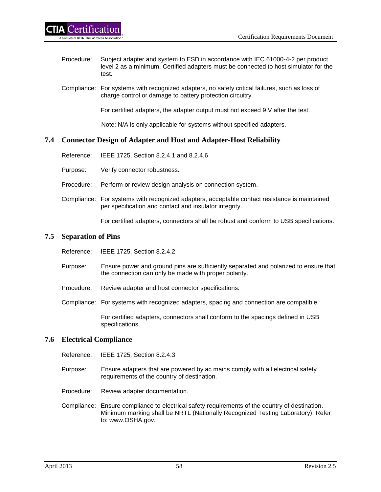- Procedure: Subject adapter and system to ESD in accordance with IEC 61000-4-2 per product level 2 as a minimum. Certified adapters must be connected to host simulator for the test.
- Compliance: For systems with recognized adapters, no safety critical failures, such as loss of charge control or damage to battery protection circuitry.

For certified adapters, the adapter output must not exceed 9 V after the test.

Note: N/A is only applicable for systems without specified adapters.

## **7.4 Connector Design of Adapter and Host and Adapter-Host Reliability**

- Reference: IEEE 1725, Section 8.2.4.1 and 8.2.4.6
- Purpose: Verify connector robustness.
- Procedure: Perform or review design analysis on connection system.
- Compliance: For systems with recognized adapters, acceptable contact resistance is maintained per specification and contact and insulator integrity.

For certified adapters, connectors shall be robust and conform to USB specifications.

#### **7.5 Separation of Pins**

- Reference: IEEE 1725, Section 8.2.4.2
- Purpose: Ensure power and ground pins are sufficiently separated and polarized to ensure that the connection can only be made with proper polarity.
- Procedure: Review adapter and host connector specifications.
- Compliance: For systems with recognized adapters, spacing and connection are compatible.

For certified adapters, connectors shall conform to the spacings defined in USB specifications.

## **7.6 Electrical Compliance**

Reference: IEEE 1725, Section 8.2.4.3

- Purpose: Ensure adapters that are powered by ac mains comply with all electrical safety requirements of the country of destination.
- Procedure: Review adapter documentation.
- Compliance: Ensure compliance to electrical safety requirements of the country of destination. Minimum marking shall be NRTL (Nationally Recognized Testing Laboratory). Refer to: www.OSHA.gov.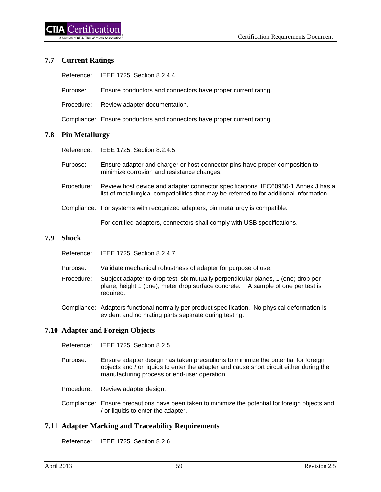## **7.7 Current Ratings**

|            | Reference: IEEE 1725, Section 8.2.4.4                        |
|------------|--------------------------------------------------------------|
| Purpose:   | Ensure conductors and connectors have proper current rating. |
| Procedure: | Review adapter documentation.                                |

Compliance: Ensure conductors and connectors have proper current rating.

## **7.8 Pin Metallurgy**

Reference: IEEE 1725, Section 8.2.4.5

- Purpose: Ensure adapter and charger or host connector pins have proper composition to minimize corrosion and resistance changes.
- Procedure: Review host device and adapter connector specifications. IEC60950-1 Annex J has a list of metallurgical compatibilities that may be referred to for additional information.
- Compliance: For systems with recognized adapters, pin metallurgy is compatible.

For certified adapters, connectors shall comply with USB specifications.

#### **7.9 Shock**

| Reference:<br>IEEE 1725, Section 8.2.4.7 |
|------------------------------------------|
|------------------------------------------|

- Purpose: Validate mechanical robustness of adapter for purpose of use.
- Procedure: Subject adapter to drop test, six mutually perpendicular planes, 1 (one) drop per plane, height 1 (one), meter drop surface concrete. A sample of one per test is required.
- Compliance: Adapters functional normally per product specification. No physical deformation is evident and no mating parts separate during testing.

# **7.10 Adapter and Foreign Objects**

- Reference: IEEE 1725, Section 8.2.5
- Purpose: Ensure adapter design has taken precautions to minimize the potential for foreign objects and / or liquids to enter the adapter and cause short circuit either during the manufacturing process or end-user operation.
- Procedure: Review adapter design.
- Compliance: Ensure precautions have been taken to minimize the potential for foreign objects and / or liquids to enter the adapter.

# **7.11 Adapter Marking and Traceability Requirements**

Reference: IEEE 1725, Section 8.2.6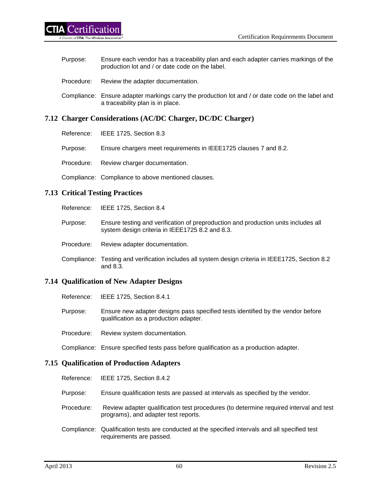| Purpose:   | Ensure each vendor has a traceability plan and each adapter carries markings of the<br>production lot and / or date code on the label. |
|------------|----------------------------------------------------------------------------------------------------------------------------------------|
| Procedure: | Review the adapter documentation.                                                                                                      |
|            | Compliance: Ensure adapter markings carry the production lot and / or date code on the label and<br>a traceability plan is in place.   |

# **7.12 Charger Considerations (AC/DC Charger, DC/DC Charger)**

| Reference: | IEEE 1725, Section 8.3 |  |
|------------|------------------------|--|
|            |                        |  |

Purpose: Ensure chargers meet requirements in IEEE1725 clauses 7 and 8.2.

Procedure: Review charger documentation.

Compliance: Compliance to above mentioned clauses.

## **7.13 Critical Testing Practices**

Reference: IEEE 1725, Section 8.4

Purpose: Ensure testing and verification of preproduction and production units includes all system design criteria in IEEE1725 8.2 and 8.3.

Procedure: Review adapter documentation.

Compliance: Testing and verification includes all system design criteria in IEEE1725, Section 8.2 and 8.3.

## **7.14 Qualification of New Adapter Designs**

Reference: IEEE 1725, Section 8.4.1

| Purpose: | Ensure new adapter designs pass specified tests identified by the vendor before |
|----------|---------------------------------------------------------------------------------|
|          | qualification as a production adapter.                                          |

Procedure: Review system documentation.

Compliance: Ensure specified tests pass before qualification as a production adapter.

## **7.15 Qualification of Production Adapters**

| Reference: |  | IEEE 1725, Section 8.4.2 |
|------------|--|--------------------------|
|------------|--|--------------------------|

- Purpose: Ensure qualification tests are passed at intervals as specified by the vendor.
- Procedure: Review adapter qualification test procedures (to determine required interval and test programs), and adapter test reports.
- Compliance: Qualification tests are conducted at the specified intervals and all specified test requirements are passed.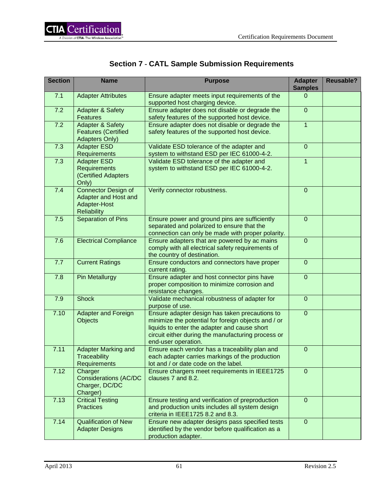|  |  |  |  |  | <b>Section 7 - CATL Sample Submission Requirements</b> |
|--|--|--|--|--|--------------------------------------------------------|
|--|--|--|--|--|--------------------------------------------------------|

| <b>Section</b> | <b>Name</b>                                                                        | <b>Purpose</b>                                                                                                                                                                                                                     | <b>Adapter</b><br><b>Samples</b> | <b>Reusable?</b> |
|----------------|------------------------------------------------------------------------------------|------------------------------------------------------------------------------------------------------------------------------------------------------------------------------------------------------------------------------------|----------------------------------|------------------|
| 7.1            | <b>Adapter Attributes</b>                                                          | Ensure adapter meets input requirements of the<br>supported host charging device.                                                                                                                                                  | $\Omega$                         |                  |
| 7.2            | <b>Adapter &amp; Safety</b><br><b>Features</b>                                     | Ensure adapter does not disable or degrade the<br>safety features of the supported host device.                                                                                                                                    | $\overline{0}$                   |                  |
| 7.2            | <b>Adapter &amp; Safety</b><br><b>Features (Certified</b><br><b>Adapters Only)</b> | Ensure adapter does not disable or degrade the<br>safety features of the supported host device.                                                                                                                                    | $\mathbf{1}$                     |                  |
| 7.3            | <b>Adapter ESD</b><br>Requirements                                                 | Validate ESD tolerance of the adapter and<br>system to withstand ESD per IEC 61000-4-2.                                                                                                                                            | $\mathbf 0$                      |                  |
| 7.3            | <b>Adapter ESD</b><br><b>Requirements</b><br>(Certified Adapters<br>Only)          | Validate ESD tolerance of the adapter and<br>system to withstand ESD per IEC 61000-4-2.                                                                                                                                            | $\mathbf{1}$                     |                  |
| 7.4            | Connector Design of<br>Adapter and Host and<br>Adapter-Host<br><b>Reliability</b>  | Verify connector robustness.                                                                                                                                                                                                       | $\mathbf{0}$                     |                  |
| 7.5            | <b>Separation of Pins</b>                                                          | Ensure power and ground pins are sufficiently<br>separated and polarized to ensure that the<br>connection can only be made with proper polarity.                                                                                   | $\mathbf 0$                      |                  |
| 7.6            | <b>Electrical Compliance</b>                                                       | Ensure adapters that are powered by ac mains<br>comply with all electrical safety requirements of<br>the country of destination.                                                                                                   | $\overline{0}$                   |                  |
| 7.7            | <b>Current Ratings</b>                                                             | Ensure conductors and connectors have proper<br>current rating.                                                                                                                                                                    | $\overline{0}$                   |                  |
| 7.8            | <b>Pin Metallurgy</b>                                                              | Ensure adapter and host connector pins have<br>proper composition to minimize corrosion and<br>resistance changes.                                                                                                                 | $\overline{0}$                   |                  |
| 7.9            | <b>Shock</b>                                                                       | Validate mechanical robustness of adapter for<br>purpose of use.                                                                                                                                                                   | $\mathbf 0$                      |                  |
| 7.10           | <b>Adapter and Foreign</b><br><b>Objects</b>                                       | Ensure adapter design has taken precautions to<br>minimize the potential for foreign objects and / or<br>liquids to enter the adapter and cause short<br>circuit either during the manufacturing process or<br>end-user operation. | $\overline{0}$                   |                  |
| 7.11           | <b>Adapter Marking and</b><br><b>Traceability</b><br>Requirements                  | Ensure each vendor has a traceability plan and<br>each adapter carries markings of the production<br>lot and / or date code on the label.                                                                                          | $\pmb{0}$                        |                  |
| 7.12           | Charger<br><b>Considerations (AC/DC</b><br>Charger, DC/DC<br>Charger)              | Ensure chargers meet requirements in IEEE1725<br>clauses 7 and 8.2.                                                                                                                                                                | $\mathbf 0$                      |                  |
| 7.13           | <b>Critical Testing</b><br><b>Practices</b>                                        | Ensure testing and verification of preproduction<br>and production units includes all system design<br>criteria in IEEE1725 8.2 and 8.3.                                                                                           | $\overline{0}$                   |                  |
| 7.14           | <b>Qualification of New</b><br><b>Adapter Designs</b>                              | Ensure new adapter designs pass specified tests<br>identified by the vendor before qualification as a<br>production adapter.                                                                                                       | $\mathbf{0}$                     |                  |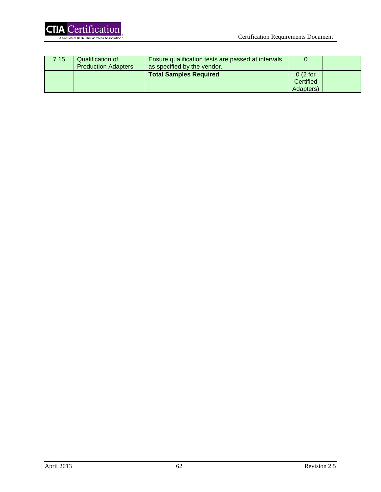

| 7.15 | Qualification of<br><b>Production Adapters</b> | Ensure qualification tests are passed at intervals<br>as specified by the vendor. |                                   |  |
|------|------------------------------------------------|-----------------------------------------------------------------------------------|-----------------------------------|--|
|      |                                                | <b>Total Samples Required</b>                                                     | 0(2 for<br>Certified<br>Adapters) |  |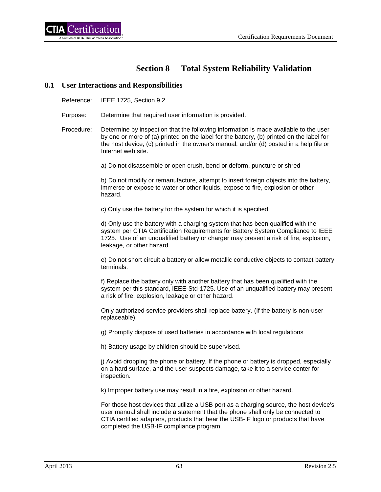# **Section 8 Total System Reliability Validation**

#### **8.1 User Interactions and Responsibilities**

Reference: IEEE 1725, Section 9.2

Purpose: Determine that required user information is provided.

Procedure: Determine by inspection that the following information is made available to the user by one or more of (a) printed on the label for the battery, (b) printed on the label for the host device, (c) printed in the owner's manual, and/or (d) posted in a help file or Internet web site.

a) Do not disassemble or open crush, bend or deform, puncture or shred

b) Do not modify or remanufacture, attempt to insert foreign objects into the battery, immerse or expose to water or other liquids, expose to fire, explosion or other hazard.

c) Only use the battery for the system for which it is specified

d) Only use the battery with a charging system that has been qualified with the system per CTIA Certification Requirements for Battery System Compliance to IEEE 1725. Use of an unqualified battery or charger may present a risk of fire, explosion, leakage, or other hazard.

e) Do not short circuit a battery or allow metallic conductive objects to contact battery terminals.

f) Replace the battery only with another battery that has been qualified with the system per this standard, IEEE-Std-1725. Use of an unqualified battery may present a risk of fire, explosion, leakage or other hazard.

Only authorized service providers shall replace battery. (If the battery is non-user replaceable).

g) Promptly dispose of used batteries in accordance with local regulations

h) Battery usage by children should be supervised.

j) Avoid dropping the phone or battery. If the phone or battery is dropped, especially on a hard surface, and the user suspects damage, take it to a service center for inspection.

k) Improper battery use may result in a fire, explosion or other hazard.

For those host devices that utilize a USB port as a charging source, the host device's user manual shall include a statement that the phone shall only be connected to CTIA certified adapters, products that bear the USB-IF logo or products that have completed the USB-IF compliance program.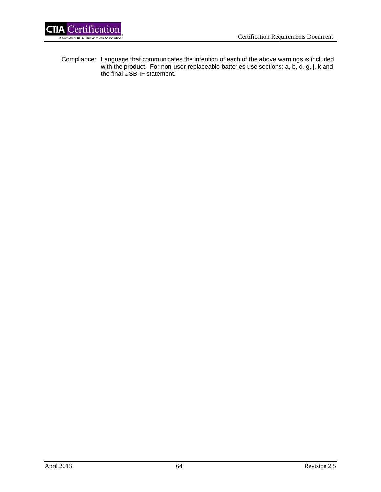

Compliance: Language that communicates the intention of each of the above warnings is included with the product. For non-user-replaceable batteries use sections: a, b, d, g, j, k and the final USB-IF statement.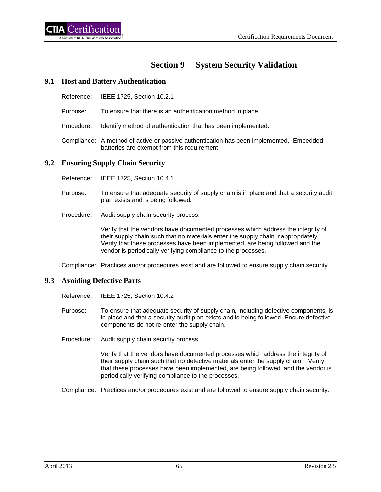# **Section 9 System Security Validation**

## **9.1 Host and Battery Authentication**

- Reference: IEEE 1725, Section 10.2.1
- Purpose: To ensure that there is an authentication method in place
- Procedure: Identify method of authentication that has been implemented.
- Compliance: A method of active or passive authentication has been implemented. Embedded batteries are exempt from this requirement.

## **9.2 Ensuring Supply Chain Security**

- Reference: IEEE 1725, Section 10.4.1
- Purpose: To ensure that adequate security of supply chain is in place and that a security audit plan exists and is being followed.
- Procedure: Audit supply chain security process.

Verify that the vendors have documented processes which address the integrity of their supply chain such that no materials enter the supply chain inappropriately. Verify that these processes have been implemented, are being followed and the vendor is periodically verifying compliance to the processes.

Compliance: Practices and/or procedures exist and are followed to ensure supply chain security.

# **9.3 Avoiding Defective Parts**

- Reference: IEEE 1725, Section 10.4.2
- Purpose: To ensure that adequate security of supply chain, including defective components, is in place and that a security audit plan exists and is being followed. Ensure defective components do not re-enter the supply chain.
- Procedure: Audit supply chain security process.

Verify that the vendors have documented processes which address the integrity of their supply chain such that no defective materials enter the supply chain. Verify that these processes have been implemented, are being followed, and the vendor is periodically verifying compliance to the processes.

Compliance: Practices and/or procedures exist and are followed to ensure supply chain security.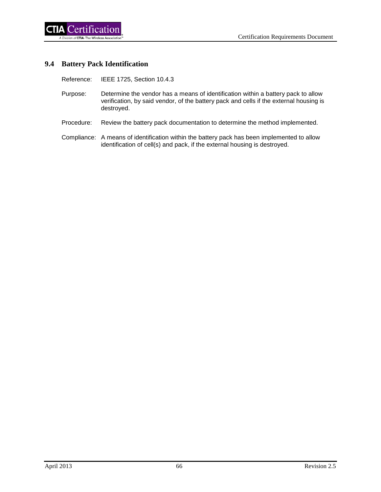## **9.4 Battery Pack Identification**

Reference: IEEE 1725, Section 10.4.3

- Purpose: Determine the vendor has a means of identification within a battery pack to allow verification, by said vendor, of the battery pack and cells if the external housing is destroyed.
- Procedure: Review the battery pack documentation to determine the method implemented.
- Compliance: A means of identification within the battery pack has been implemented to allow identification of cell(s) and pack, if the external housing is destroyed.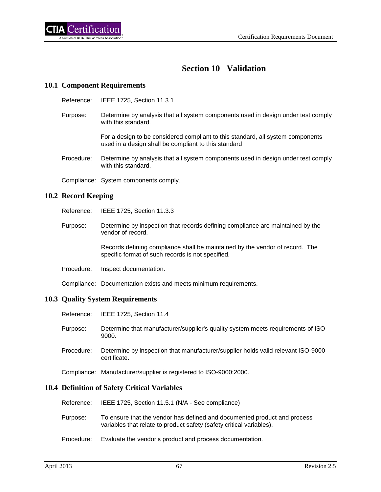# **Section 10 Validation**

# **10.1 Component Requirements**

- Reference: IEEE 1725, Section 11.3.1
- Purpose: Determine by analysis that all system components used in design under test comply with this standard.

For a design to be considered compliant to this standard, all system components used in a design shall be compliant to this standard

- Procedure: Determine by analysis that all system components used in design under test comply with this standard.
- Compliance: System components comply.

### **10.2 Record Keeping**

- Reference: IEEE 1725, Section 11.3.3
- Purpose: Determine by inspection that records defining compliance are maintained by the vendor of record.

Records defining compliance shall be maintained by the vendor of record. The specific format of such records is not specified.

Procedure: Inspect documentation.

Compliance: Documentation exists and meets minimum requirements.

#### **10.3 Quality System Requirements**

- Reference: IEEE 1725, Section 11.4
- Purpose: Determine that manufacturer/supplier's quality system meets requirements of ISO-9000.
- Procedure: Determine by inspection that manufacturer/supplier holds valid relevant ISO-9000 certificate.

Compliance: Manufacturer/supplier is registered to ISO-9000:2000.

#### **10.4 Definition of Safety Critical Variables**

- Reference: IEEE 1725, Section 11.5.1 (N/A See compliance)
- Purpose: To ensure that the vendor has defined and documented product and process variables that relate to product safety (safety critical variables).
- Procedure: Evaluate the vendor's product and process documentation.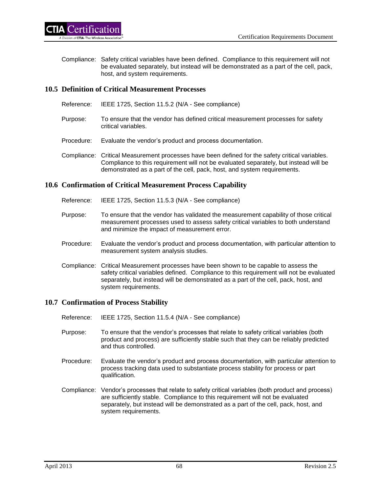Compliance: Safety critical variables have been defined. Compliance to this requirement will not be evaluated separately, but instead will be demonstrated as a part of the cell, pack, host, and system requirements.

# **10.5 Definition of Critical Measurement Processes**

- Reference: IEEE 1725, Section 11.5.2 (N/A See compliance)
- Purpose: To ensure that the vendor has defined critical measurement processes for safety critical variables.
- Procedure: Evaluate the vendor's product and process documentation.
- Compliance: Critical Measurement processes have been defined for the safety critical variables. Compliance to this requirement will not be evaluated separately, but instead will be demonstrated as a part of the cell, pack, host, and system requirements.

### **10.6 Confirmation of Critical Measurement Process Capability**

- Reference: IEEE 1725, Section 11.5.3 (N/A See compliance)
- Purpose: To ensure that the vendor has validated the measurement capability of those critical measurement processes used to assess safety critical variables to both understand and minimize the impact of measurement error.
- Procedure: Evaluate the vendor's product and process documentation, with particular attention to measurement system analysis studies.
- Compliance: Critical Measurement processes have been shown to be capable to assess the safety critical variables defined. Compliance to this requirement will not be evaluated separately, but instead will be demonstrated as a part of the cell, pack, host, and system requirements.

## **10.7 Confirmation of Process Stability**

- Reference: IEEE 1725, Section 11.5.4 (N/A See compliance)
- Purpose: To ensure that the vendor's processes that relate to safety critical variables (both product and process) are sufficiently stable such that they can be reliably predicted and thus controlled.
- Procedure: Evaluate the vendor's product and process documentation, with particular attention to process tracking data used to substantiate process stability for process or part qualification.
- Compliance: Vendor's processes that relate to safety critical variables (both product and process) are sufficiently stable. Compliance to this requirement will not be evaluated separately, but instead will be demonstrated as a part of the cell, pack, host, and system requirements.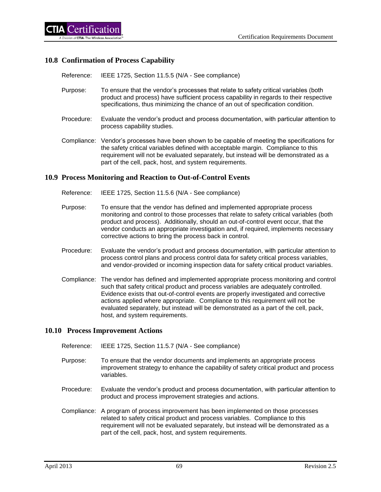### **10.8 Confirmation of Process Capability**

Reference: IEEE 1725, Section 11.5.5 (N/A - See compliance)

- Purpose: To ensure that the vendor's processes that relate to safety critical variables (both product and process) have sufficient process capability in regards to their respective specifications, thus minimizing the chance of an out of specification condition.
- Procedure: Evaluate the vendor's product and process documentation, with particular attention to process capability studies.
- Compliance: Vendor's processes have been shown to be capable of meeting the specifications for the safety critical variables defined with acceptable margin. Compliance to this requirement will not be evaluated separately, but instead will be demonstrated as a part of the cell, pack, host, and system requirements.

#### **10.9 Process Monitoring and Reaction to Out-of-Control Events**

- Reference: IEEE 1725, Section 11.5.6 (N/A See compliance)
- Purpose: To ensure that the vendor has defined and implemented appropriate process monitoring and control to those processes that relate to safety critical variables (both product and process). Additionally, should an out-of-control event occur, that the vendor conducts an appropriate investigation and, if required, implements necessary corrective actions to bring the process back in control.
- Procedure: Evaluate the vendor's product and process documentation, with particular attention to process control plans and process control data for safety critical process variables, and vendor-provided or incoming inspection data for safety critical product variables.
- Compliance: The vendor has defined and implemented appropriate process monitoring and control such that safety critical product and process variables are adequately controlled. Evidence exists that out-of-control events are properly investigated and corrective actions applied where appropriate. Compliance to this requirement will not be evaluated separately, but instead will be demonstrated as a part of the cell, pack, host, and system requirements.

#### **10.10 Process Improvement Actions**

- Reference: IEEE 1725, Section 11.5.7 (N/A See compliance)
- Purpose: To ensure that the vendor documents and implements an appropriate process improvement strategy to enhance the capability of safety critical product and process variables.
- Procedure: Evaluate the vendor's product and process documentation, with particular attention to product and process improvement strategies and actions.
- Compliance: A program of process improvement has been implemented on those processes related to safety critical product and process variables. Compliance to this requirement will not be evaluated separately, but instead will be demonstrated as a part of the cell, pack, host, and system requirements.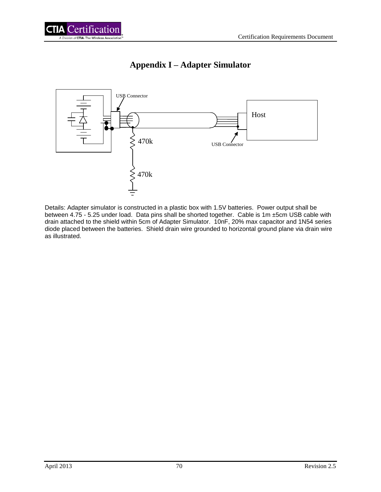



# **Appendix I – Adapter Simulator**

Details: Adapter simulator is constructed in a plastic box with 1.5V batteries. Power output shall be between 4.75 - 5.25 under load. Data pins shall be shorted together. Cable is 1m ±5cm USB cable with drain attached to the shield within 5cm of Adapter Simulator. 10nF, 20% max capacitor and 1N54 series diode placed between the batteries. Shield drain wire grounded to horizontal ground plane via drain wire as illustrated.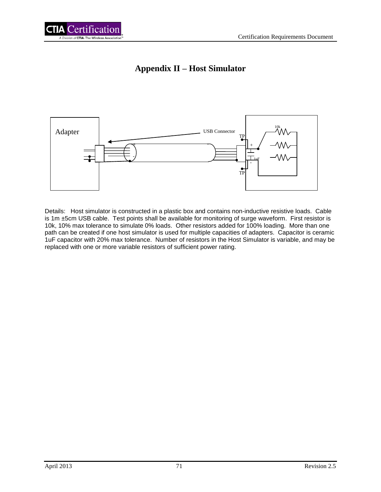

# **Appendix II – Host Simulator**



Details: Host simulator is constructed in a plastic box and contains non-inductive resistive loads. Cable is 1m ±5cm USB cable. Test points shall be available for monitoring of surge waveform. First resistor is 10k, 10% max tolerance to simulate 0% loads. Other resistors added for 100% loading. More than one path can be created if one host simulator is used for multiple capacities of adapters. Capacitor is ceramic 1uF capacitor with 20% max tolerance. Number of resistors in the Host Simulator is variable, and may be replaced with one or more variable resistors of sufficient power rating.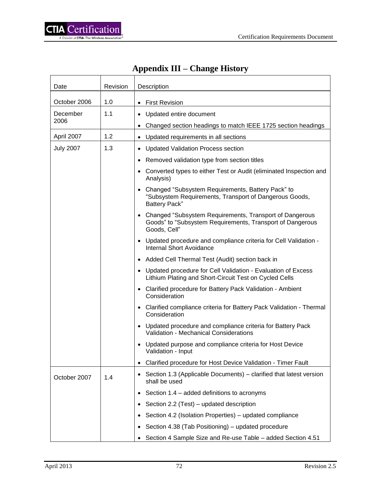| <b>Appendix III – Change History</b> |  |  |
|--------------------------------------|--|--|
|                                      |  |  |

| Date             | Revision | Description                                                                                                                            |
|------------------|----------|----------------------------------------------------------------------------------------------------------------------------------------|
| October 2006     | 1.0      | <b>First Revision</b><br>$\bullet$                                                                                                     |
| December         | 1.1      | Updated entire document<br>$\bullet$                                                                                                   |
| 2006             |          | Changed section headings to match IEEE 1725 section headings                                                                           |
| April 2007       | 1.2      | Updated requirements in all sections                                                                                                   |
| <b>July 2007</b> | 1.3      | <b>Updated Validation Process section</b>                                                                                              |
|                  |          | Removed validation type from section titles<br>٠                                                                                       |
|                  |          | Converted types to either Test or Audit (eliminated Inspection and<br>Analysis)                                                        |
|                  |          | • Changed "Subsystem Requirements, Battery Pack" to<br>"Subsystem Requirements, Transport of Dangerous Goods,<br><b>Battery Pack"</b>  |
|                  |          | • Changed "Subsystem Requirements, Transport of Dangerous<br>Goods" to "Subsystem Requirements, Transport of Dangerous<br>Goods, Cell" |
|                  |          | • Updated procedure and compliance criteria for Cell Validation -<br><b>Internal Short Avoidance</b>                                   |
|                  |          | Added Cell Thermal Test (Audit) section back in<br>$\bullet$                                                                           |
|                  |          | Updated procedure for Cell Validation - Evaluation of Excess<br>$\bullet$<br>Lithium Plating and Short-Circuit Test on Cycled Cells    |
|                  |          | Clarified procedure for Battery Pack Validation - Ambient<br>$\bullet$<br>Consideration                                                |
|                  |          | • Clarified compliance criteria for Battery Pack Validation - Thermal<br>Consideration                                                 |
|                  |          | • Updated procedure and compliance criteria for Battery Pack<br><b>Validation - Mechanical Considerations</b>                          |
|                  |          | Updated purpose and compliance criteria for Host Device<br>Validation - Input                                                          |
|                  |          | Clarified procedure for Host Device Validation - Timer Fault                                                                           |
| October 2007     | 1.4      | Section 1.3 (Applicable Documents) – clarified that latest version<br>shall be used                                                    |
|                  |          | Section 1.4 – added definitions to acronyms<br>$\bullet$                                                                               |
|                  |          | Section 2.2 (Test) – updated description                                                                                               |
|                  |          | Section 4.2 (Isolation Properties) – updated compliance                                                                                |
|                  |          | Section 4.38 (Tab Positioning) – updated procedure                                                                                     |
|                  |          | Section 4 Sample Size and Re-use Table - added Section 4.51                                                                            |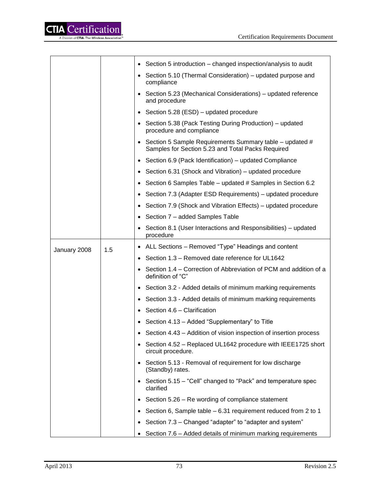

|              |     | Section 5 introduction – changed inspection/analysis to audit<br>$\bullet$                                   |
|--------------|-----|--------------------------------------------------------------------------------------------------------------|
|              |     | Section 5.10 (Thermal Consideration) – updated purpose and<br>compliance                                     |
|              |     | Section 5.23 (Mechanical Considerations) – updated reference<br>$\bullet$<br>and procedure                   |
|              |     | Section 5.28 (ESD) – updated procedure<br>$\bullet$                                                          |
|              |     | Section 5.38 (Pack Testing During Production) – updated<br>٠<br>procedure and compliance                     |
|              |     | Section 5 Sample Requirements Summary table – updated #<br>Samples for Section 5.23 and Total Packs Required |
|              |     | Section 6.9 (Pack Identification) – updated Compliance<br>$\bullet$                                          |
|              |     | Section 6.31 (Shock and Vibration) – updated procedure                                                       |
|              |     | Section 6 Samples Table – updated # Samples in Section 6.2                                                   |
|              |     | Section 7.3 (Adapter ESD Requirements) – updated procedure<br>٠                                              |
|              |     | Section 7.9 (Shock and Vibration Effects) - updated procedure<br>٠                                           |
|              |     | Section 7 - added Samples Table<br>$\bullet$                                                                 |
|              |     | Section 8.1 (User Interactions and Responsibilities) – updated<br>procedure                                  |
| January 2008 | 1.5 | ALL Sections – Removed "Type" Headings and content<br>٠                                                      |
|              |     | Section 1.3 - Removed date reference for UL1642<br>$\bullet$                                                 |
|              |     | Section 1.4 – Correction of Abbreviation of PCM and addition of a<br>definition of "C"                       |
|              |     | Section 3.2 - Added details of minimum marking requirements<br>$\bullet$                                     |
|              |     | Section 3.3 - Added details of minimum marking requirements                                                  |
|              |     | Section 4.6 - Clarification                                                                                  |
|              |     | Section 4.13 - Added "Supplementary" to Title                                                                |
|              |     | Section 4.43 – Addition of vision inspection of insertion process                                            |
|              |     | Section 4.52 - Replaced UL1642 procedure with IEEE1725 short<br>$\bullet$<br>circuit procedure.              |
|              |     | Section 5.13 - Removal of requirement for low discharge<br>(Standby) rates.                                  |
|              |     | Section 5.15 - "Cell" changed to "Pack" and temperature spec<br>clarified                                    |
|              |     | Section 5.26 - Re wording of compliance statement                                                            |
|              |     | Section 6, Sample table - 6.31 requirement reduced from 2 to 1                                               |
|              |     | Section 7.3 - Changed "adapter" to "adapter and system"                                                      |
|              |     | Section 7.6 – Added details of minimum marking requirements                                                  |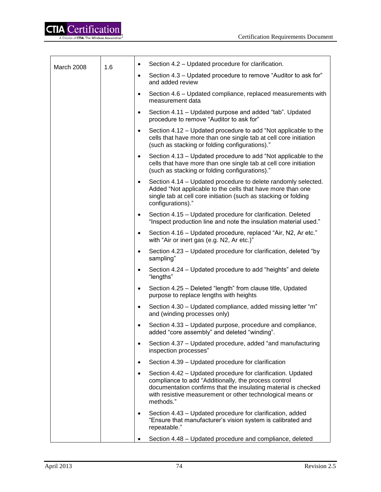| March 2008 | 1.6 | $\bullet$ | Section 4.2 - Updated procedure for clarification.                                                                                                                                                                                                               |                                                                                                           |
|------------|-----|-----------|------------------------------------------------------------------------------------------------------------------------------------------------------------------------------------------------------------------------------------------------------------------|-----------------------------------------------------------------------------------------------------------|
|            |     | $\bullet$ | Section 4.3 – Updated procedure to remove "Auditor to ask for"<br>and added review                                                                                                                                                                               |                                                                                                           |
|            |     | $\bullet$ | Section 4.6 – Updated compliance, replaced measurements with<br>measurement data                                                                                                                                                                                 |                                                                                                           |
|            |     | $\bullet$ | Section 4.11 – Updated purpose and added "tab". Updated<br>procedure to remove "Auditor to ask for"                                                                                                                                                              |                                                                                                           |
|            |     | $\bullet$ | Section 4.12 – Updated procedure to add "Not applicable to the<br>cells that have more than one single tab at cell core initiation<br>(such as stacking or folding configurations)."                                                                             |                                                                                                           |
|            |     | $\bullet$ | Section 4.13 – Updated procedure to add "Not applicable to the<br>cells that have more than one single tab at cell core initiation<br>(such as stacking or folding configurations)."                                                                             |                                                                                                           |
|            |     | $\bullet$ | Section 4.14 - Updated procedure to delete randomly selected.<br>Added "Not applicable to the cells that have more than one<br>single tab at cell core initiation (such as stacking or folding<br>configurations)."                                              |                                                                                                           |
|            |     | $\bullet$ | Section 4.15 - Updated procedure for clarification. Deleted<br>"Inspect production line and note the insulation material used."                                                                                                                                  |                                                                                                           |
|            |     | $\bullet$ | Section 4.16 – Updated procedure, replaced "Air, N2, Ar etc."<br>with "Air or inert gas (e.g. N2, Ar etc.)"                                                                                                                                                      |                                                                                                           |
|            |     | $\bullet$ | Section 4.23 – Updated procedure for clarification, deleted "by<br>sampling"                                                                                                                                                                                     |                                                                                                           |
|            |     | $\bullet$ | Section 4.24 – Updated procedure to add "heights" and delete<br>"lengths"                                                                                                                                                                                        |                                                                                                           |
|            |     | $\bullet$ | Section 4.25 - Deleted "length" from clause title, Updated<br>purpose to replace lengths with heights                                                                                                                                                            |                                                                                                           |
|            |     | $\bullet$ | Section 4.30 – Updated compliance, added missing letter "m"<br>and (winding processes only)                                                                                                                                                                      |                                                                                                           |
|            |     |           | $\bullet$                                                                                                                                                                                                                                                        | Section 4.33 - Updated purpose, procedure and compliance,<br>added "core assembly" and deleted "winding". |
|            |     | ٠         | Section 4.37 - Updated procedure, added "and manufacturing<br>inspection processes"                                                                                                                                                                              |                                                                                                           |
|            |     | $\bullet$ | Section 4.39 - Updated procedure for clarification                                                                                                                                                                                                               |                                                                                                           |
|            |     | $\bullet$ | Section 4.42 – Updated procedure for clarification. Updated<br>compliance to add "Additionally, the process control<br>documentation confirms that the insulating material is checked<br>with resistive measurement or other technological means or<br>methods." |                                                                                                           |
|            |     | $\bullet$ | Section 4.43 - Updated procedure for clarification, added<br>"Ensure that manufacturer's vision system is calibrated and<br>repeatable."                                                                                                                         |                                                                                                           |
|            |     |           | Section 4.48 - Updated procedure and compliance, deleted                                                                                                                                                                                                         |                                                                                                           |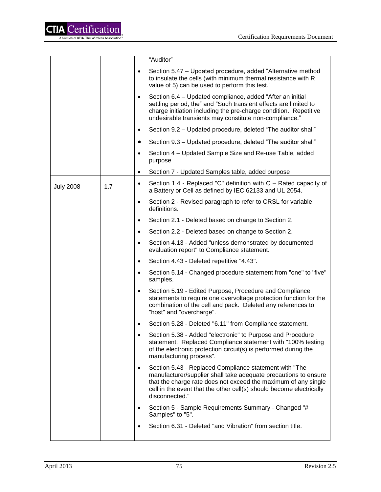

|                  |     |           | "Auditor"                                                                                                                                                                                                                                                                            |
|------------------|-----|-----------|--------------------------------------------------------------------------------------------------------------------------------------------------------------------------------------------------------------------------------------------------------------------------------------|
|                  |     |           | Section 5.47 – Updated procedure, added "Alternative method"<br>to insulate the cells (with minimum thermal resistance with R<br>value of 5) can be used to perform this test."                                                                                                      |
|                  |     | ٠         | Section 6.4 – Updated compliance, added "After an initial<br>settling period, the" and "Such transient effects are limited to<br>charge initiation including the pre-charge condition. Repetitive<br>undesirable transients may constitute non-compliance."                          |
|                  |     | ٠         | Section 9.2 – Updated procedure, deleted "The auditor shall"                                                                                                                                                                                                                         |
|                  |     |           | Section 9.3 - Updated procedure, deleted "The auditor shall"                                                                                                                                                                                                                         |
|                  |     |           | Section 4 - Updated Sample Size and Re-use Table, added<br>purpose                                                                                                                                                                                                                   |
|                  |     |           | Section 7 - Updated Samples table, added purpose                                                                                                                                                                                                                                     |
| <b>July 2008</b> | 1.7 | $\bullet$ | Section 1.4 - Replaced "C" definition with C - Rated capacity of<br>a Battery or Cell as defined by IEC 62133 and UL 2054.                                                                                                                                                           |
|                  |     | ٠         | Section 2 - Revised paragraph to refer to CRSL for variable<br>definitions.                                                                                                                                                                                                          |
|                  |     | $\bullet$ | Section 2.1 - Deleted based on change to Section 2.                                                                                                                                                                                                                                  |
|                  |     | ٠         | Section 2.2 - Deleted based on change to Section 2.                                                                                                                                                                                                                                  |
|                  |     | $\bullet$ | Section 4.13 - Added "unless demonstrated by documented<br>evaluation report" to Compliance statement.                                                                                                                                                                               |
|                  |     | $\bullet$ | Section 4.43 - Deleted repetitive "4.43".                                                                                                                                                                                                                                            |
|                  |     | $\bullet$ | Section 5.14 - Changed procedure statement from "one" to "five"<br>samples.                                                                                                                                                                                                          |
|                  |     | $\bullet$ | Section 5.19 - Edited Purpose, Procedure and Compliance<br>statements to require one overvoltage protection function for the<br>combination of the cell and pack. Deleted any references to<br>"host" and "overcharge".                                                              |
|                  |     |           | Section 5.28 - Deleted "6.11" from Compliance statement.                                                                                                                                                                                                                             |
|                  |     |           | Section 5.38 - Added "electronic" to Purpose and Procedure<br>statement. Replaced Compliance statement with "100% testing<br>of the electronic protection circuit(s) is performed during the<br>manufacturing process".                                                              |
|                  |     | $\bullet$ | Section 5.43 - Replaced Compliance statement with "The<br>manufacturer/supplier shall take adequate precautions to ensure<br>that the charge rate does not exceed the maximum of any single<br>cell in the event that the other cell(s) should become electrically<br>disconnected." |
|                  |     |           | Section 5 - Sample Requirements Summary - Changed "#<br>Samples" to "5".                                                                                                                                                                                                             |
|                  |     | $\bullet$ | Section 6.31 - Deleted "and Vibration" from section title.                                                                                                                                                                                                                           |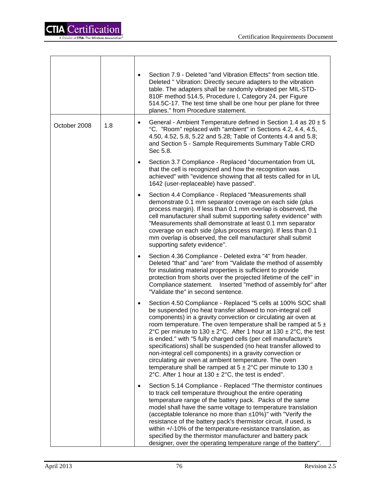|              |     | Section 7.9 - Deleted "and Vibration Effects" from section title.<br>$\bullet$<br>Deleted " Vibration: Directly secure adapters to the vibration<br>table. The adapters shall be randomly vibrated per MIL-STD-<br>810F method 514.5, Procedure I, Category 24, per Figure<br>514.5C-17. The test time shall be one hour per plane for three<br>planes." from Procedure statement.                                                                                                                                                                                                                                                                                                                                                                               |
|--------------|-----|------------------------------------------------------------------------------------------------------------------------------------------------------------------------------------------------------------------------------------------------------------------------------------------------------------------------------------------------------------------------------------------------------------------------------------------------------------------------------------------------------------------------------------------------------------------------------------------------------------------------------------------------------------------------------------------------------------------------------------------------------------------|
| October 2008 | 1.8 | General - Ambient Temperature defined in Section 1.4 as $20 \pm 5$<br>°C. "Room" replaced with "ambient" in Sections 4.2, 4.4, 4.5,<br>4.50, 4.52, 5.8, 5.22 and 5.28; Table of Contents 4.4 and 5.8;<br>and Section 5 - Sample Requirements Summary Table CRD<br>Sec 5.8.                                                                                                                                                                                                                                                                                                                                                                                                                                                                                       |
|              |     | Section 3.7 Compliance - Replaced "documentation from UL<br>$\bullet$<br>that the cell is recognized and how the recognition was<br>achieved" with "evidence showing that all tests called for in UL<br>1642 (user-replaceable) have passed".                                                                                                                                                                                                                                                                                                                                                                                                                                                                                                                    |
|              |     | Section 4.4 Compliance - Replaced "Measurements shall<br>$\bullet$<br>demonstrate 0.1 mm separator coverage on each side (plus<br>process margin). If less than 0.1 mm overlap is observed, the<br>cell manufacturer shall submit supporting safety evidence" with<br>"Measurements shall demonstrate at least 0.1 mm separator<br>coverage on each side (plus process margin). If less than 0.1<br>mm overlap is observed, the cell manufacturer shall submit<br>supporting safety evidence".                                                                                                                                                                                                                                                                   |
|              |     | Section 4.36 Compliance - Deleted extra "4" from header.<br>٠<br>Deleted "that" and "are" from "Validate the method of assembly<br>for insulating material properties is sufficient to provide<br>protection from shorts over the projected lifetime of the cell" in<br>Compliance statement.  Inserted "method of assembly for" after<br>"Validate the" in second sentence.                                                                                                                                                                                                                                                                                                                                                                                     |
|              |     | Section 4.50 Compliance - Replaced "5 cells at 100% SOC shall<br>$\bullet$<br>be suspended (no heat transfer allowed to non-integral cell<br>components) in a gravity convection or circulating air oven at<br>room temperature. The oven temperature shall be ramped at $5 \pm$<br>2°C per minute to 130 $\pm$ 2°C. After 1 hour at 130 $\pm$ 2°C, the test<br>is ended." with "5 fully charged cells (per cell manufacture's<br>specifications) shall be suspended (no heat transfer allowed to<br>non-integral cell components) in a gravity convection or<br>circulating air oven at ambient temperature. The oven<br>temperature shall be ramped at $5 \pm 2^{\circ}$ C per minute to 130 $\pm$<br>2°C. After 1 hour at $130 \pm 2$ °C, the test is ended". |
|              |     | Section 5.14 Compliance - Replaced "The thermistor continues<br>to track cell temperature throughout the entire operating<br>temperature range of the battery pack. Packs of the same<br>model shall have the same voltage to temperature translation<br>(acceptable tolerance no more than ±10%)" with "Verify the<br>resistance of the battery pack's thermistor circuit, if used, is<br>within $+/-10\%$ of the temperature-resistance translation, as<br>specified by the thermistor manufacturer and battery pack<br>designer, over the operating temperature range of the battery".                                                                                                                                                                        |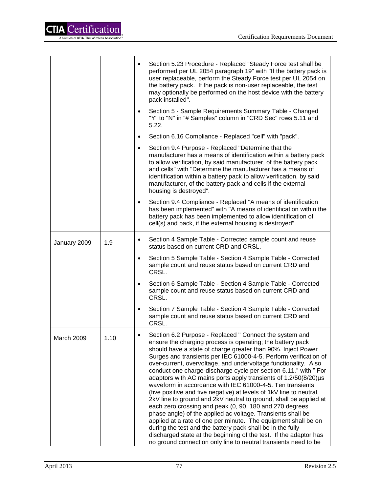

|              |      | Section 5.23 Procedure - Replaced "Steady Force test shall be<br>performed per UL 2054 paragraph 19" with "If the battery pack is<br>user replaceable, perform the Steady Force test per UL 2054 on<br>the battery pack. If the pack is non-user replaceable, the test<br>may optionally be performed on the host device with the battery<br>pack installed".                                                                                                                                                                                                                                                                                                                                                                                                                                                                                                                                                                                                                                                                                                                       |
|--------------|------|-------------------------------------------------------------------------------------------------------------------------------------------------------------------------------------------------------------------------------------------------------------------------------------------------------------------------------------------------------------------------------------------------------------------------------------------------------------------------------------------------------------------------------------------------------------------------------------------------------------------------------------------------------------------------------------------------------------------------------------------------------------------------------------------------------------------------------------------------------------------------------------------------------------------------------------------------------------------------------------------------------------------------------------------------------------------------------------|
|              |      | Section 5 - Sample Requirements Summary Table - Changed<br>$\bullet$<br>"Y" to "N" in "# Samples" column in "CRD Sec" rows 5.11 and<br>5.22.                                                                                                                                                                                                                                                                                                                                                                                                                                                                                                                                                                                                                                                                                                                                                                                                                                                                                                                                        |
|              |      | Section 6.16 Compliance - Replaced "cell" with "pack".<br>$\bullet$                                                                                                                                                                                                                                                                                                                                                                                                                                                                                                                                                                                                                                                                                                                                                                                                                                                                                                                                                                                                                 |
|              |      | Section 9.4 Purpose - Replaced "Determine that the<br>$\bullet$<br>manufacturer has a means of identification within a battery pack<br>to allow verification, by said manufacturer, of the battery pack<br>and cells" with "Determine the manufacturer has a means of<br>identification within a battery pack to allow verification, by said<br>manufacturer, of the battery pack and cells if the external<br>housing is destroyed".                                                                                                                                                                                                                                                                                                                                                                                                                                                                                                                                                                                                                                               |
|              |      | Section 9.4 Compliance - Replaced "A means of identification<br>has been implemented" with "A means of identification within the<br>battery pack has been implemented to allow identification of<br>cell(s) and pack, if the external housing is destroyed".                                                                                                                                                                                                                                                                                                                                                                                                                                                                                                                                                                                                                                                                                                                                                                                                                        |
| January 2009 | 1.9  | Section 4 Sample Table - Corrected sample count and reuse<br>status based on current CRD and CRSL.                                                                                                                                                                                                                                                                                                                                                                                                                                                                                                                                                                                                                                                                                                                                                                                                                                                                                                                                                                                  |
|              |      | Section 5 Sample Table - Section 4 Sample Table - Corrected<br>sample count and reuse status based on current CRD and<br>CRSL.                                                                                                                                                                                                                                                                                                                                                                                                                                                                                                                                                                                                                                                                                                                                                                                                                                                                                                                                                      |
|              |      | Section 6 Sample Table - Section 4 Sample Table - Corrected<br>$\bullet$<br>sample count and reuse status based on current CRD and<br>CRSL.                                                                                                                                                                                                                                                                                                                                                                                                                                                                                                                                                                                                                                                                                                                                                                                                                                                                                                                                         |
|              |      | Section 7 Sample Table - Section 4 Sample Table - Corrected<br>sample count and reuse status based on current CRD and<br>CRSL.                                                                                                                                                                                                                                                                                                                                                                                                                                                                                                                                                                                                                                                                                                                                                                                                                                                                                                                                                      |
| March 2009   | 1.10 | Section 6.2 Purpose - Replaced " Connect the system and<br>ensure the charging process is operating; the battery pack<br>should have a state of charge greater than 90%. Inject Power<br>Surges and transients per IEC 61000-4-5. Perform verification of<br>over-current, overvoltage, and undervoltage functionality. Also<br>conduct one charge-discharge cycle per section 6.11." with " For<br>adaptors with AC mains ports apply transients of $1.2/50(8/20)\mu s$<br>waveform in accordance with IEC 61000-4-5. Ten transients<br>(five positive and five negative) at levels of 1kV line to neutral,<br>2kV line to ground and 2kV neutral to ground, shall be applied at<br>each zero crossing and peak (0, 90, 180 and 270 degrees<br>phase angle) of the applied ac voltage. Transients shall be<br>applied at a rate of one per minute. The equipment shall be on<br>during the test and the battery pack shall be in the fully<br>discharged state at the beginning of the test. If the adaptor has<br>no ground connection only line to neutral transients need to be |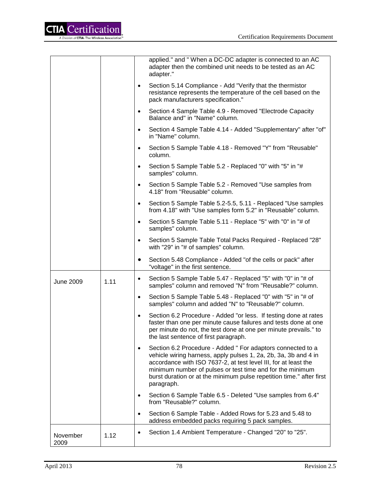

|                  |      | applied." and " When a DC-DC adapter is connected to an AC<br>adapter then the combined unit needs to be tested as an AC<br>adapter."                                                                                                                                                                                                                             |
|------------------|------|-------------------------------------------------------------------------------------------------------------------------------------------------------------------------------------------------------------------------------------------------------------------------------------------------------------------------------------------------------------------|
|                  |      | Section 5.14 Compliance - Add "Verify that the thermistor<br>$\bullet$<br>resistance represents the temperature of the cell based on the<br>pack manufacturers specification."                                                                                                                                                                                    |
|                  |      | Section 4 Sample Table 4.9 - Removed "Electrode Capacity<br>٠<br>Balance and" in "Name" column.                                                                                                                                                                                                                                                                   |
|                  |      | Section 4 Sample Table 4.14 - Added "Supplementary" after "of"<br>in "Name" column.                                                                                                                                                                                                                                                                               |
|                  |      | Section 5 Sample Table 4.18 - Removed "Y" from "Reusable"<br>$\bullet$<br>column.                                                                                                                                                                                                                                                                                 |
|                  |      | Section 5 Sample Table 5.2 - Replaced "0" with "5" in "#<br>$\bullet$<br>samples" column.                                                                                                                                                                                                                                                                         |
|                  |      | Section 5 Sample Table 5.2 - Removed "Use samples from<br>$\bullet$<br>4.18" from "Reusable" column.                                                                                                                                                                                                                                                              |
|                  |      | Section 5 Sample Table 5.2-5.5, 5.11 - Replaced "Use samples<br>$\bullet$<br>from 4.18" with "Use samples form 5.2" in "Reusable" column.                                                                                                                                                                                                                         |
|                  |      | Section 5 Sample Table 5.11 - Replace "5" with "0" in "# of<br>$\bullet$<br>samples" column.                                                                                                                                                                                                                                                                      |
|                  |      | Section 5 Sample Table Total Packs Required - Replaced "28"<br>$\bullet$<br>with "29" in "# of samples" column.                                                                                                                                                                                                                                                   |
|                  |      | Section 5.48 Compliance - Added "of the cells or pack" after<br>٠<br>"voltage" in the first sentence.                                                                                                                                                                                                                                                             |
| June 2009        | 1.11 | Section 5 Sample Table 5.47 - Replaced "5" with "0" in "# of<br>$\bullet$<br>samples" column and removed "N" from "Reusable?" column.                                                                                                                                                                                                                             |
|                  |      | Section 5 Sample Table 5.48 - Replaced "0" with "5" in "# of<br>$\bullet$<br>samples" column and added "N" to "Reusable?" column.                                                                                                                                                                                                                                 |
|                  |      | Section 6.2 Procedure - Added "or less. If testing done at rates<br>$\bullet$<br>faster than one per minute cause failures and tests done at one<br>per minute do not, the test done at one per minute prevails." to<br>the last sentence of first paragraph.                                                                                                     |
|                  |      | Section 6.2 Procedure - Added " For adaptors connected to a<br>$\bullet$<br>vehicle wiring harness, apply pulses 1, 2a, 2b, 3a, 3b and 4 in<br>accordance with ISO 7637-2, at test level III, for at least the<br>minimum number of pulses or test time and for the minimum<br>burst duration or at the minimum pulse repetition time." after first<br>paragraph. |
|                  |      | Section 6 Sample Table 6.5 - Deleted "Use samples from 6.4"<br>from "Reusable?" column.                                                                                                                                                                                                                                                                           |
|                  |      | Section 6 Sample Table - Added Rows for 5.23 and 5.48 to<br>$\bullet$<br>address embedded packs requiring 5 pack samples.                                                                                                                                                                                                                                         |
| November<br>2009 | 1.12 | Section 1.4 Ambient Temperature - Changed "20" to "25".<br>$\bullet$                                                                                                                                                                                                                                                                                              |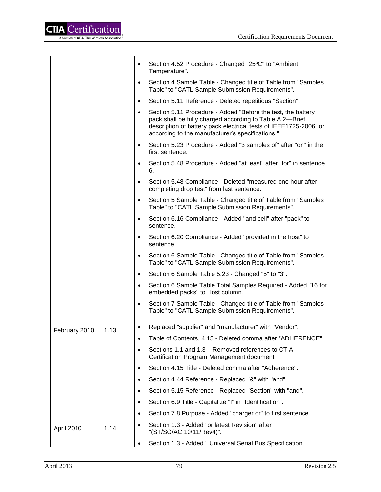

|               |      | $\bullet$ | Section 4.52 Procedure - Changed "25°C" to "Ambient<br>Temperature".                                                                                                                                                                              |
|---------------|------|-----------|---------------------------------------------------------------------------------------------------------------------------------------------------------------------------------------------------------------------------------------------------|
|               |      | $\bullet$ | Section 4 Sample Table - Changed title of Table from "Samples"<br>Table" to "CATL Sample Submission Requirements".                                                                                                                                |
|               |      | $\bullet$ | Section 5.11 Reference - Deleted repetitious "Section".                                                                                                                                                                                           |
|               |      | $\bullet$ | Section 5.11 Procedure - Added "Before the test, the battery<br>pack shall be fully charged according to Table A.2-Brief<br>description of battery pack electrical tests of IEEE1725-2006, or<br>according to the manufacturer's specifications." |
|               |      | $\bullet$ | Section 5.23 Procedure - Added "3 samples of" after "on" in the<br>first sentence.                                                                                                                                                                |
|               |      | $\bullet$ | Section 5.48 Procedure - Added "at least" after "for" in sentence<br>6.                                                                                                                                                                           |
|               |      | $\bullet$ | Section 5.48 Compliance - Deleted "measured one hour after<br>completing drop test" from last sentence.                                                                                                                                           |
|               |      | $\bullet$ | Section 5 Sample Table - Changed title of Table from "Samples"<br>Table" to "CATL Sample Submission Requirements".                                                                                                                                |
|               |      | $\bullet$ | Section 6.16 Compliance - Added "and cell" after "pack" to<br>sentence.                                                                                                                                                                           |
|               |      | $\bullet$ | Section 6.20 Compliance - Added "provided in the host" to<br>sentence.                                                                                                                                                                            |
|               |      | $\bullet$ | Section 6 Sample Table - Changed title of Table from "Samples"<br>Table" to "CATL Sample Submission Requirements".                                                                                                                                |
|               |      | $\bullet$ | Section 6 Sample Table 5.23 - Changed "5" to "3".                                                                                                                                                                                                 |
|               |      | $\bullet$ | Section 6 Sample Table Total Samples Required - Added "16 for<br>embedded packs" to Host column.                                                                                                                                                  |
|               |      | $\bullet$ | Section 7 Sample Table - Changed title of Table from "Samples"<br>Table" to "CATL Sample Submission Requirements".                                                                                                                                |
| February 2010 | 1.13 | ٠         | Replaced "supplier" and "manufacturer" with "Vendor".                                                                                                                                                                                             |
|               |      | $\bullet$ | Table of Contents, 4.15 - Deleted comma after "ADHERENCE".                                                                                                                                                                                        |
|               |      | $\bullet$ | Sections 1.1 and 1.3 – Removed references to CTIA<br>Certification Program Management document                                                                                                                                                    |
|               |      | $\bullet$ | Section 4.15 Title - Deleted comma after "Adherence".                                                                                                                                                                                             |
|               |      | $\bullet$ | Section 4.44 Reference - Replaced "&" with "and".                                                                                                                                                                                                 |
|               |      | $\bullet$ | Section 5.15 Reference - Replaced "Section" with "and".                                                                                                                                                                                           |
|               |      | $\bullet$ | Section 6.9 Title - Capitalize "I" in "Identification".                                                                                                                                                                                           |
|               |      | $\bullet$ | Section 7.8 Purpose - Added "charger or" to first sentence.                                                                                                                                                                                       |
| April 2010    | 1.14 |           | Section 1.3 - Added "or latest Revision" after<br>"(ST/SG/AC.10/11/Rev4)".                                                                                                                                                                        |
|               |      |           | Section 1.3 - Added " Universal Serial Bus Specification,                                                                                                                                                                                         |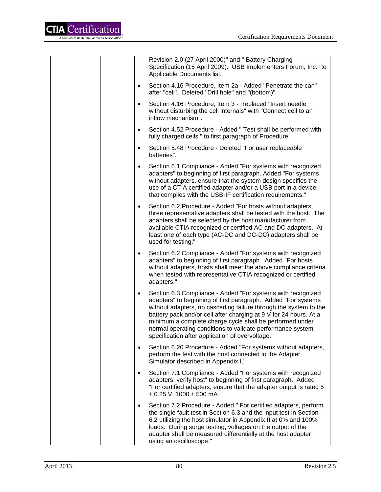

|           | Revision 2.0 (27 April 2000)" and " Battery Charging<br>Specification (15 April 2009). USB Implementers Forum, Inc." to<br>Applicable Documents list.                                                                                                                                                                                                                                                                                               |
|-----------|-----------------------------------------------------------------------------------------------------------------------------------------------------------------------------------------------------------------------------------------------------------------------------------------------------------------------------------------------------------------------------------------------------------------------------------------------------|
| $\bullet$ | Section 4.16 Procedure, Item 2a - Added "Penetrate the can"<br>after "cell". Deleted "Drill hole" and "(bottom)".                                                                                                                                                                                                                                                                                                                                   |
| $\bullet$ | Section 4.16 Procedure, Item 3 - Replaced "Insert needle<br>without disturbing the cell internals" with "Connect cell to an<br>inflow mechanism".                                                                                                                                                                                                                                                                                                   |
| $\bullet$ | Section 4.52 Procedure - Added " Test shall be performed with<br>fully charged cells." to first paragraph of Procedure                                                                                                                                                                                                                                                                                                                              |
| $\bullet$ | Section 5.48 Procedure - Deleted "For user replaceable<br>batteries".                                                                                                                                                                                                                                                                                                                                                                               |
| $\bullet$ | Section 6.1 Compliance - Added "For systems with recognized<br>adapters" to beginning of first paragraph. Added "For systems<br>without adapters, ensure that the system design specifies the<br>use of a CTIA certified adapter and/or a USB port in a device<br>that complies with the USB-IF certification requirements."                                                                                                                        |
| $\bullet$ | Section 6.2 Procedure - Added "For hosts without adapters,<br>three representative adapters shall be tested with the host. The<br>adapters shall be selected by the host manufacturer from<br>available CTIA recognized or certified AC and DC adapters. At<br>least one of each type (AC-DC and DC-DC) adapters shall be<br>used for testing."                                                                                                     |
| $\bullet$ | Section 6.2 Compliance - Added "For systems with recognized<br>adapters" to beginning of first paragraph. Added "For hosts<br>without adapters, hosts shall meet the above compliance criteria<br>when tested with representative CTIA recognized or certified<br>adapters."                                                                                                                                                                        |
| $\bullet$ | Section 6.3 Compliance - Added "For systems with recognized<br>adapters" to beginning of first paragraph. Added "For systems<br>without adapters, no cascading failure through the system to the<br>battery pack and/or cell after charging at 9 V for 24 hours. At a<br>minimum a complete charge cycle shall be performed under<br>normal operating conditions to validate performance system<br>specification after application of overvoltage." |
| $\bullet$ | Section 6.20 Procedure - Added "For systems without adapters,<br>perform the test with the host connected to the Adapter<br>Simulator described in Appendix I."                                                                                                                                                                                                                                                                                     |
| $\bullet$ | Section 7.1 Compliance - Added "For systems with recognized<br>adapters, verify host" to beginning of first paragraph. Added<br>"For certified adapters, ensure that the adapter output is rated 5<br>$\pm$ 0.25 V, 1000 $\pm$ 500 mA."                                                                                                                                                                                                             |
| $\bullet$ | Section 7.2 Procedure - Added " For certified adapters, perform<br>the single fault test in Section 6.3 and the input test in Section<br>6.2 utilizing the host simulator in Appendix II at 0% and 100%<br>loads. During surge testing, voltages on the output of the<br>adapter shall be measured differentially at the host adapter<br>using an oscilloscope."                                                                                    |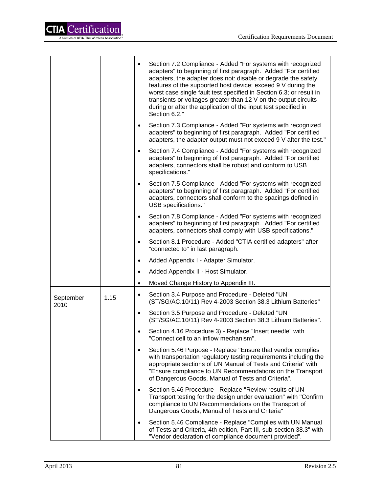

|                   |      | $\bullet$ | Section 7.2 Compliance - Added "For systems with recognized<br>adapters" to beginning of first paragraph. Added "For certified<br>adapters, the adapter does not: disable or degrade the safety<br>features of the supported host device; exceed 9 V during the<br>worst case single fault test specified in Section 6.3; or result in |
|-------------------|------|-----------|----------------------------------------------------------------------------------------------------------------------------------------------------------------------------------------------------------------------------------------------------------------------------------------------------------------------------------------|
|                   |      |           | transients or voltages greater than 12 V on the output circuits<br>during or after the application of the input test specified in<br>Section 6.2."                                                                                                                                                                                     |
|                   |      | $\bullet$ | Section 7.3 Compliance - Added "For systems with recognized<br>adapters" to beginning of first paragraph. Added "For certified<br>adapters, the adapter output must not exceed 9 V after the test."                                                                                                                                    |
|                   |      | $\bullet$ | Section 7.4 Compliance - Added "For systems with recognized<br>adapters" to beginning of first paragraph. Added "For certified<br>adapters, connectors shall be robust and conform to USB<br>specifications."                                                                                                                          |
|                   |      | $\bullet$ | Section 7.5 Compliance - Added "For systems with recognized<br>adapters" to beginning of first paragraph. Added "For certified<br>adapters, connectors shall conform to the spacings defined in<br>USB specifications."                                                                                                                |
|                   |      | $\bullet$ | Section 7.8 Compliance - Added "For systems with recognized<br>adapters" to beginning of first paragraph. Added "For certified<br>adapters, connectors shall comply with USB specifications."                                                                                                                                          |
|                   |      | $\bullet$ | Section 8.1 Procedure - Added "CTIA certified adapters" after<br>"connected to" in last paragraph.                                                                                                                                                                                                                                     |
|                   |      | $\bullet$ | Added Appendix I - Adapter Simulator.                                                                                                                                                                                                                                                                                                  |
|                   |      | $\bullet$ | Added Appendix II - Host Simulator.                                                                                                                                                                                                                                                                                                    |
|                   |      | $\bullet$ | Moved Change History to Appendix III.                                                                                                                                                                                                                                                                                                  |
| September<br>2010 | 1.15 | $\bullet$ | Section 3.4 Purpose and Procedure - Deleted "UN<br>(ST/SG/AC.10/11) Rev 4-2003 Section 38.3 Lithium Batteries"                                                                                                                                                                                                                         |
|                   |      | $\bullet$ | Section 3.5 Purpose and Procedure - Deleted "UN<br>(ST/SG/AC.10/11) Rev 4-2003 Section 38.3 Lithium Batteries".                                                                                                                                                                                                                        |
|                   |      | $\bullet$ | Section 4.16 Procedure 3) - Replace "Insert needle" with<br>"Connect cell to an inflow mechanism".                                                                                                                                                                                                                                     |
|                   |      | $\bullet$ | Section 5.46 Purpose - Replace "Ensure that vendor complies<br>with transportation regulatory testing requirements including the<br>appropriate sections of UN Manual of Tests and Criteria" with<br>"Ensure compliance to UN Recommendations on the Transport<br>of Dangerous Goods, Manual of Tests and Criteria".                   |
|                   |      | $\bullet$ | Section 5.46 Procedure - Replace "Review results of UN<br>Transport testing for the design under evaluation" with "Confirm<br>compliance to UN Recommendations on the Transport of<br>Dangerous Goods, Manual of Tests and Criteria"                                                                                                   |
|                   |      | ٠         | Section 5.46 Compliance - Replace "Complies with UN Manual<br>of Tests and Criteria, 4th edition, Part III, sub-section 38.3" with<br>"Vendor declaration of compliance document provided".                                                                                                                                            |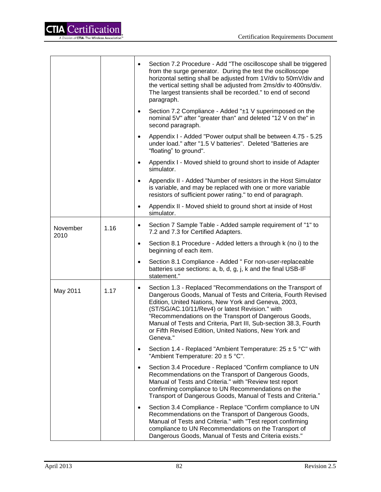

|                  |           | Section 7.2 Procedure - Add "The oscilloscope shall be triggered<br>from the surge generator. During the test the oscilloscope<br>horizontal setting shall be adjusted from 1V/div to 50mV/div and<br>the vertical setting shall be adjusted from 2ms/div to 400ns/div.<br>The largest transients shall be recorded." to end of second<br>paragraph.                                                                                                   |
|------------------|-----------|--------------------------------------------------------------------------------------------------------------------------------------------------------------------------------------------------------------------------------------------------------------------------------------------------------------------------------------------------------------------------------------------------------------------------------------------------------|
|                  |           | Section 7.2 Compliance - Added "±1 V superimposed on the<br>$\bullet$<br>nominal 5V" after "greater than" and deleted "12 V on the" in<br>second paragraph.                                                                                                                                                                                                                                                                                            |
|                  |           | Appendix I - Added "Power output shall be between 4.75 - 5.25<br>$\bullet$<br>under load." after "1.5 V batteries". Deleted "Batteries are<br>"floating" to ground".                                                                                                                                                                                                                                                                                   |
|                  |           | Appendix I - Moved shield to ground short to inside of Adapter<br>$\bullet$<br>simulator.                                                                                                                                                                                                                                                                                                                                                              |
|                  |           | Appendix II - Added "Number of resistors in the Host Simulator<br>$\bullet$<br>is variable, and may be replaced with one or more variable<br>resistors of sufficient power rating." to end of paragraph.                                                                                                                                                                                                                                               |
|                  |           | Appendix II - Moved shield to ground short at inside of Host<br>simulator.                                                                                                                                                                                                                                                                                                                                                                             |
| November<br>2010 | 1.16      | Section 7 Sample Table - Added sample requirement of "1" to<br>$\bullet$<br>7.2 and 7.3 for Certified Adapters.                                                                                                                                                                                                                                                                                                                                        |
|                  | $\bullet$ | Section 8.1 Procedure - Added letters a through k (no i) to the<br>beginning of each item.                                                                                                                                                                                                                                                                                                                                                             |
|                  |           | Section 8.1 Compliance - Added " For non-user-replaceable<br>$\bullet$<br>batteries use sections: a, b, d, g, j, k and the final USB-IF<br>statement."                                                                                                                                                                                                                                                                                                 |
| May 2011         | 1.17      | Section 1.3 - Replaced "Recommendations on the Transport of<br>$\bullet$<br>Dangerous Goods, Manual of Tests and Criteria, Fourth Revised<br>Edition, United Nations, New York and Geneva, 2003,<br>(ST/SG/AC.10/11/Rev4) or latest Revision." with<br>"Recommendations on the Transport of Dangerous Goods,<br>Manual of Tests and Criteria, Part III, Sub-section 38.3, Fourth<br>or Fifth Revised Edition, United Nations, New York and<br>Geneva." |
|                  |           | Section 1.4 - Replaced "Ambient Temperature: $25 \pm 5$ °C" with<br>$\bullet$<br>"Ambient Temperature: 20 ± 5 °C".                                                                                                                                                                                                                                                                                                                                     |
|                  |           | Section 3.4 Procedure - Replaced "Confirm compliance to UN<br>$\bullet$<br>Recommendations on the Transport of Dangerous Goods,<br>Manual of Tests and Criteria." with "Review test report<br>confirming compliance to UN Recommendations on the<br>Transport of Dangerous Goods, Manual of Tests and Criteria."                                                                                                                                       |
|                  |           | Section 3.4 Compliance - Replace "Confirm compliance to UN<br>٠<br>Recommendations on the Transport of Dangerous Goods,<br>Manual of Tests and Criteria." with "Test report confirming<br>compliance to UN Recommendations on the Transport of<br>Dangerous Goods, Manual of Tests and Criteria exists."                                                                                                                                               |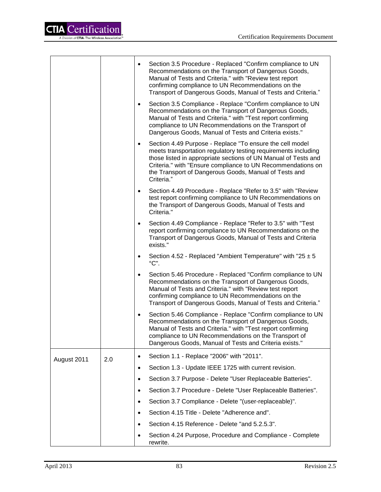|             |     | $\bullet$ | Section 3.5 Procedure - Replaced "Confirm compliance to UN<br>Recommendations on the Transport of Dangerous Goods,<br>Manual of Tests and Criteria." with "Review test report<br>confirming compliance to UN Recommendations on the<br>Transport of Dangerous Goods, Manual of Tests and Criteria."                                |
|-------------|-----|-----------|------------------------------------------------------------------------------------------------------------------------------------------------------------------------------------------------------------------------------------------------------------------------------------------------------------------------------------|
|             |     | $\bullet$ | Section 3.5 Compliance - Replace "Confirm compliance to UN<br>Recommendations on the Transport of Dangerous Goods,<br>Manual of Tests and Criteria." with "Test report confirming<br>compliance to UN Recommendations on the Transport of<br>Dangerous Goods, Manual of Tests and Criteria exists."                                |
|             |     | $\bullet$ | Section 4.49 Purpose - Replace "To ensure the cell model<br>meets transportation regulatory testing requirements including<br>those listed in appropriate sections of UN Manual of Tests and<br>Criteria." with "Ensure compliance to UN Recommendations on<br>the Transport of Dangerous Goods, Manual of Tests and<br>Criteria." |
|             |     | $\bullet$ | Section 4.49 Procedure - Replace "Refer to 3.5" with "Review<br>test report confirming compliance to UN Recommendations on<br>the Transport of Dangerous Goods, Manual of Tests and<br>Criteria."                                                                                                                                  |
|             |     | $\bullet$ | Section 4.49 Compliance - Replace "Refer to 3.5" with "Test<br>report confirming compliance to UN Recommendations on the<br>Transport of Dangerous Goods, Manual of Tests and Criteria<br>exists."                                                                                                                                 |
|             |     | $\bullet$ | Section 4.52 - Replaced "Ambient Temperature" with "25 $\pm$ 5<br>$^{\circ}$ C".                                                                                                                                                                                                                                                   |
|             |     | $\bullet$ | Section 5.46 Procedure - Replaced "Confirm compliance to UN<br>Recommendations on the Transport of Dangerous Goods,<br>Manual of Tests and Criteria." with "Review test report<br>confirming compliance to UN Recommendations on the<br>Transport of Dangerous Goods, Manual of Tests and Criteria."                               |
|             |     | $\bullet$ | Section 5.46 Compliance - Replace "Confirm compliance to UN<br>Recommendations on the Transport of Dangerous Goods,<br>Manual of Tests and Criteria." with "Test report confirming<br>compliance to UN Recommendations on the Transport of<br>Dangerous Goods, Manual of Tests and Criteria exists."                               |
| August 2011 | 2.0 | $\bullet$ | Section 1.1 - Replace "2006" with "2011".                                                                                                                                                                                                                                                                                          |
|             |     | $\bullet$ | Section 1.3 - Update IEEE 1725 with current revision.                                                                                                                                                                                                                                                                              |
|             |     | $\bullet$ | Section 3.7 Purpose - Delete "User Replaceable Batteries".                                                                                                                                                                                                                                                                         |
|             |     | $\bullet$ | Section 3.7 Procedure - Delete "User Replaceable Batteries".                                                                                                                                                                                                                                                                       |
|             |     | $\bullet$ | Section 3.7 Compliance - Delete "(user-replaceable)".                                                                                                                                                                                                                                                                              |
|             |     | $\bullet$ | Section 4.15 Title - Delete "Adherence and".                                                                                                                                                                                                                                                                                       |
|             |     | $\bullet$ | Section 4.15 Reference - Delete "and 5.2.5.3".                                                                                                                                                                                                                                                                                     |
|             |     |           | Section 4.24 Purpose, Procedure and Compliance - Complete<br>rewrite.                                                                                                                                                                                                                                                              |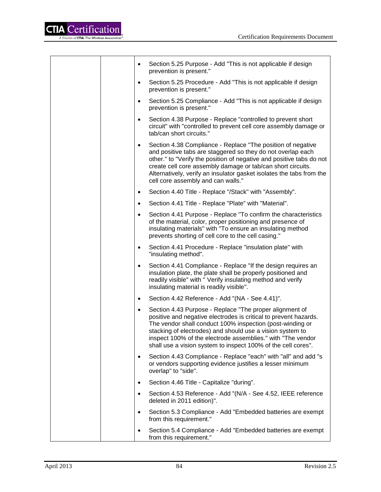

| Section 5.25 Purpose - Add "This is not applicable if design<br>$\bullet$<br>prevention is present."                                                                                                                                                                                                                                                                                               |
|----------------------------------------------------------------------------------------------------------------------------------------------------------------------------------------------------------------------------------------------------------------------------------------------------------------------------------------------------------------------------------------------------|
| Section 5.25 Procedure - Add "This is not applicable if design<br>$\bullet$<br>prevention is present."                                                                                                                                                                                                                                                                                             |
| Section 5.25 Compliance - Add "This is not applicable if design<br>$\bullet$<br>prevention is present."                                                                                                                                                                                                                                                                                            |
| Section 4.38 Purpose - Replace "controlled to prevent short<br>$\bullet$<br>circuit" with "controlled to prevent cell core assembly damage or<br>tab/can short circuits."                                                                                                                                                                                                                          |
| Section 4.38 Compliance - Replace "The position of negative<br>$\bullet$<br>and positive tabs are staggered so they do not overlap each<br>other." to "Verify the position of negative and positive tabs do not<br>create cell core assembly damage or tab/can short circuits.<br>Alternatively, verify an insulator gasket isolates the tabs from the<br>cell core assembly and can walls."       |
| Section 4.40 Title - Replace "/Stack" with "Assembly".<br>٠                                                                                                                                                                                                                                                                                                                                        |
| Section 4.41 Title - Replace "Plate" with "Material".<br>$\bullet$                                                                                                                                                                                                                                                                                                                                 |
| Section 4.41 Purpose - Replace "To confirm the characteristics<br>$\bullet$<br>of the material, color, proper positioning and presence of<br>insulating materials" with "To ensure an insulating method<br>prevents shorting of cell core to the cell casing."                                                                                                                                     |
| Section 4.41 Procedure - Replace "insulation plate" with<br>٠<br>"insulating method".                                                                                                                                                                                                                                                                                                              |
| Section 4.41 Compliance - Replace "If the design requires an<br>٠<br>insulation plate, the plate shall be properly positioned and<br>readily visible" with " Verify insulating method and verify<br>insulating material is readily visible".                                                                                                                                                       |
| Section 4.42 Reference - Add "(NA - See 4.41)".<br>$\bullet$                                                                                                                                                                                                                                                                                                                                       |
| Section 4.43 Purpose - Replace "The proper alignment of<br>$\bullet$<br>positive and negative electrodes is critical to prevent hazards.<br>The vendor shall conduct 100% inspection (post-winding or<br>stacking of electrodes) and should use a vision system to<br>inspect 100% of the electrode assemblies." with "The vendor<br>shall use a vision system to inspect 100% of the cell cores". |
| Section 4.43 Compliance - Replace "each" with "all" and add "s<br>٠<br>or vendors supporting evidence justifies a lesser minimum<br>overlap" to "side".                                                                                                                                                                                                                                            |
| Section 4.46 Title - Capitalize "during".                                                                                                                                                                                                                                                                                                                                                          |
| Section 4.53 Reference - Add "(N/A - See 4.52, IEEE reference<br>٠<br>deleted in 2011 edition)".                                                                                                                                                                                                                                                                                                   |
| Section 5.3 Compliance - Add "Embedded batteries are exempt<br>from this requirement."                                                                                                                                                                                                                                                                                                             |
| Section 5.4 Compliance - Add "Embedded batteries are exempt<br>from this requirement."                                                                                                                                                                                                                                                                                                             |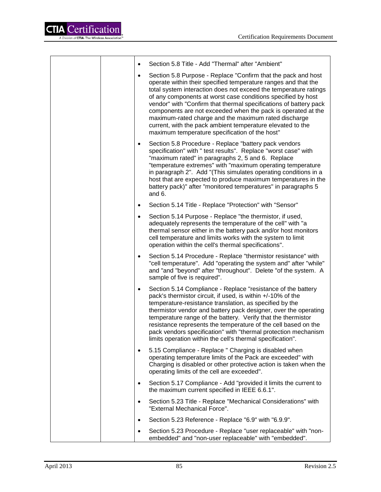| $\bullet$ | Section 5.8 Title - Add "Thermal" after "Ambient"                                                                                                                                                                                                                                                                                                                                                                                                                                                                                                                                |
|-----------|----------------------------------------------------------------------------------------------------------------------------------------------------------------------------------------------------------------------------------------------------------------------------------------------------------------------------------------------------------------------------------------------------------------------------------------------------------------------------------------------------------------------------------------------------------------------------------|
| $\bullet$ | Section 5.8 Purpose - Replace "Confirm that the pack and host<br>operate within their specified temperature ranges and that the<br>total system interaction does not exceed the temperature ratings<br>of any components at worst case conditions specified by host<br>vendor" with "Confirm that thermal specifications of battery pack<br>components are not exceeded when the pack is operated at the<br>maximum-rated charge and the maximum rated discharge<br>current, with the pack ambient temperature elevated to the<br>maximum temperature specification of the host" |
| $\bullet$ | Section 5.8 Procedure - Replace "battery pack vendors<br>specification" with " test results". Replace "worst case" with<br>"maximum rated" in paragraphs 2, 5 and 6. Replace<br>"temperature extremes" with "maximum operating temperature<br>in paragraph 2". Add "(This simulates operating conditions in a<br>host that are expected to produce maximum temperatures in the<br>battery pack)" after "monitored temperatures" in paragraphs 5<br>and 6.                                                                                                                        |
| $\bullet$ | Section 5.14 Title - Replace "Protection" with "Sensor"                                                                                                                                                                                                                                                                                                                                                                                                                                                                                                                          |
| $\bullet$ | Section 5.14 Purpose - Replace "the thermistor, if used,<br>adequately represents the temperature of the cell" with "a<br>thermal sensor either in the battery pack and/or host monitors<br>cell temperature and limits works with the system to limit<br>operation within the cell's thermal specifications".                                                                                                                                                                                                                                                                   |
| $\bullet$ | Section 5.14 Procedure - Replace "thermistor resistance" with<br>"cell temperature". Add "operating the system and" after "while"<br>and "and "beyond" after "throughout". Delete "of the system. A<br>sample of five is required".                                                                                                                                                                                                                                                                                                                                              |
| $\bullet$ | Section 5.14 Compliance - Replace "resistance of the battery<br>pack's thermistor circuit, if used, is within +/-10% of the<br>temperature-resistance translation, as specified by the<br>thermistor vendor and battery pack designer, over the operating<br>temperature range of the battery. Verify that the thermistor<br>resistance represents the temperature of the cell based on the<br>pack vendors specification" with "thermal protection mechanism<br>limits operation within the cell's thermal specification".                                                      |
| $\bullet$ | 5.15 Compliance - Replace " Charging is disabled when<br>operating temperature limits of the Pack are exceeded" with<br>Charging is disabled or other protective action is taken when the<br>operating limits of the cell are exceeded".                                                                                                                                                                                                                                                                                                                                         |
| $\bullet$ | Section 5.17 Compliance - Add "provided it limits the current to<br>the maximum current specified in IEEE 6.6.1".                                                                                                                                                                                                                                                                                                                                                                                                                                                                |
| $\bullet$ | Section 5.23 Title - Replace "Mechanical Considerations" with<br>"External Mechanical Force".                                                                                                                                                                                                                                                                                                                                                                                                                                                                                    |
| $\bullet$ | Section 5.23 Reference - Replace "6.9" with "6.9.9".                                                                                                                                                                                                                                                                                                                                                                                                                                                                                                                             |
| $\bullet$ | Section 5.23 Procedure - Replace "user replaceable" with "non-<br>embedded" and "non-user replaceable" with "embedded".                                                                                                                                                                                                                                                                                                                                                                                                                                                          |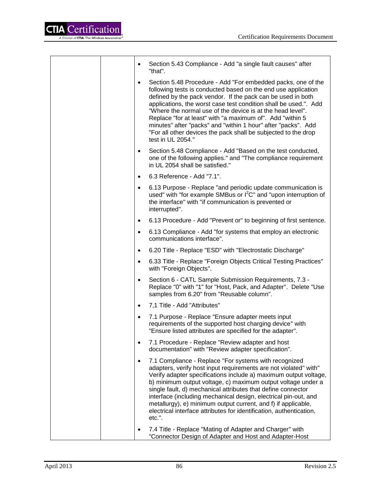Ē

| $\bullet$ | Section 5.43 Compliance - Add "a single fault causes" after<br>"that".                                                                                                                                                                                                                                                                                                                                                                                                                                                                              |
|-----------|-----------------------------------------------------------------------------------------------------------------------------------------------------------------------------------------------------------------------------------------------------------------------------------------------------------------------------------------------------------------------------------------------------------------------------------------------------------------------------------------------------------------------------------------------------|
| $\bullet$ | Section 5.48 Procedure - Add "For embedded packs, one of the<br>following tests is conducted based on the end use application<br>defined by the pack vendor. If the pack can be used in both<br>applications, the worst case test condition shall be used.". Add<br>"Where the normal use of the device is at the head level".<br>Replace "for at least" with "a maximum of". Add "within 5<br>minutes" after "packs" and "within 1 hour" after "packs". Add<br>"For all other devices the pack shall be subjected to the drop<br>test in UL 2054." |
| $\bullet$ | Section 5.48 Compliance - Add "Based on the test conducted,<br>one of the following applies." and "The compliance requirement<br>in UL 2054 shall be satisfied."                                                                                                                                                                                                                                                                                                                                                                                    |
| $\bullet$ | 6.3 Reference - Add "7.1".                                                                                                                                                                                                                                                                                                                                                                                                                                                                                                                          |
| $\bullet$ | 6.13 Purpose - Replace "and periodic update communication is<br>used" with "for example SMBus or $I^2C$ " and "upon interruption of<br>the interface" with "if communication is prevented or<br>interrupted".                                                                                                                                                                                                                                                                                                                                       |
| $\bullet$ | 6.13 Procedure - Add "Prevent or" to beginning of first sentence.                                                                                                                                                                                                                                                                                                                                                                                                                                                                                   |
| $\bullet$ | 6.13 Compliance - Add "for systems that employ an electronic<br>communications interface".                                                                                                                                                                                                                                                                                                                                                                                                                                                          |
| $\bullet$ | 6.20 Title - Replace "ESD" with "Electrostatic Discharge"                                                                                                                                                                                                                                                                                                                                                                                                                                                                                           |
| $\bullet$ | 6.33 Title - Replace "Foreign Objects Critical Testing Practices"<br>with "Foreign Objects".                                                                                                                                                                                                                                                                                                                                                                                                                                                        |
| $\bullet$ | Section 6 - CATL Sample Submission Requirements, 7.3 -<br>Replace "0" with "1" for "Host, Pack, and Adapter". Delete "Use<br>samples from 6.20" from "Reusable column".                                                                                                                                                                                                                                                                                                                                                                             |
| $\bullet$ | 7,1 Title - Add "Attributes"                                                                                                                                                                                                                                                                                                                                                                                                                                                                                                                        |
| $\bullet$ | 7.1 Purpose - Replace "Ensure adapter meets input<br>requirements of the supported host charging device" with<br>"Ensure listed attributes are specified for the adapter".                                                                                                                                                                                                                                                                                                                                                                          |
| $\bullet$ | 7.1 Procedure - Replace "Review adapter and host<br>documentation" with "Review adapter specification".                                                                                                                                                                                                                                                                                                                                                                                                                                             |
| $\bullet$ | 7.1 Compliance - Replace "For systems with recognized<br>adapters, verify host input requirements are not violated" with"<br>Verify adapter specifications include a) maximum output voltage,<br>b) minimum output voltage, c) maximum output voltage under a<br>single fault, d) mechanical attributes that define connector<br>interface (including mechanical design, electrical pin-out, and<br>metallurgy), e) minimum output current, and f) if applicable,<br>electrical interface attributes for identification, authentication,<br>etc.".  |
|           | 7.4 Title - Replace "Mating of Adapter and Charger" with<br>"Connector Design of Adapter and Host and Adapter-Host                                                                                                                                                                                                                                                                                                                                                                                                                                  |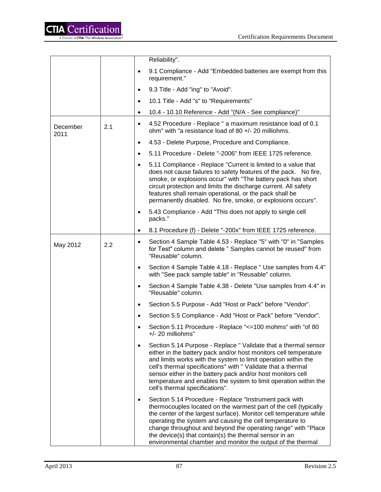|                  |     |           | Reliability".                                                                                                                                                                                                                                                                                                                                                                                                                                          |
|------------------|-----|-----------|--------------------------------------------------------------------------------------------------------------------------------------------------------------------------------------------------------------------------------------------------------------------------------------------------------------------------------------------------------------------------------------------------------------------------------------------------------|
|                  |     | $\bullet$ | 9.1 Compliance - Add "Embedded batteries are exempt from this<br>requirement."                                                                                                                                                                                                                                                                                                                                                                         |
|                  |     | $\bullet$ | 9.3 Title - Add "ing" to "Avoid".                                                                                                                                                                                                                                                                                                                                                                                                                      |
|                  |     | $\bullet$ | 10.1 Title - Add "s" to "Requirements"                                                                                                                                                                                                                                                                                                                                                                                                                 |
|                  |     | ٠         | 10.4 - 10.10 Reference - Add "(N/A - See compliance)"                                                                                                                                                                                                                                                                                                                                                                                                  |
| December<br>2011 | 2.1 | $\bullet$ | 4.52 Procedure - Replace " a maximum resistance load of 0.1<br>ohm" with "a resistance load of 80 +/- 20 milliohms.                                                                                                                                                                                                                                                                                                                                    |
|                  |     | $\bullet$ | 4.53 - Delete Purpose, Procedure and Compliance.                                                                                                                                                                                                                                                                                                                                                                                                       |
|                  |     | $\bullet$ | 5.11 Procedure - Delete "-2006" from IEEE 1725 reference.                                                                                                                                                                                                                                                                                                                                                                                              |
|                  |     | $\bullet$ | 5.11 Compliance - Replace "Current is limited to a value that<br>does not cause failures to safety features of the pack. No fire,<br>smoke, or explosions occur" with "The battery pack has short<br>circuit protection and limits the discharge current. All safety<br>features shall remain operational, or the pack shall be<br>permanently disabled. No fire, smoke, or explosions occurs".                                                        |
|                  |     |           | 5.43 Compliance - Add "This does not apply to single cell<br>packs."                                                                                                                                                                                                                                                                                                                                                                                   |
|                  |     |           | 8.1 Procedure (f) - Delete "-200x" from IEEE 1725 reference.                                                                                                                                                                                                                                                                                                                                                                                           |
| May 2012         | 2.2 | $\bullet$ | Section 4 Sample Table 4.53 - Replace "5" with "0" in "Samples<br>for Test" column and delete " Samples cannot be reused" from<br>"Reusable" column.                                                                                                                                                                                                                                                                                                   |
|                  |     |           | Section 4 Sample Table 4.18 - Replace " Use samples from 4.4"<br>with "See pack sample table" in "Reusable" column.                                                                                                                                                                                                                                                                                                                                    |
|                  |     |           | Section 4 Sample Table 4.38 - Delete "Use samples from 4.4" in<br>"Reusable" column.                                                                                                                                                                                                                                                                                                                                                                   |
|                  |     | $\bullet$ | Section 5.5 Purpose - Add "Host or Pack" before "Vendor".                                                                                                                                                                                                                                                                                                                                                                                              |
|                  |     | $\bullet$ | Section 5.5 Compliance - Add "Host or Pack" before "Vendor".                                                                                                                                                                                                                                                                                                                                                                                           |
|                  |     |           | Section 5.11 Procedure - Replace "<=100 mohms" with "of 80<br>+/- 20 milliohms"                                                                                                                                                                                                                                                                                                                                                                        |
|                  |     | $\bullet$ | Section 5.14 Purpose - Replace " Validate that a thermal sensor<br>either in the battery pack and/or host monitors cell temperature<br>and limits works with the system to limit operation within the<br>cell's thermal specifications" with " Validate that a thermal<br>sensor either in the battery pack and/or host monitors cell<br>temperature and enables the system to limit operation within the<br>cell's thermal specifications".           |
|                  |     | $\bullet$ | Section 5.14 Procedure - Replace "Instrument pack with<br>thermocouples located on the warmest part of the cell (typically<br>the center of the largest surface). Monitor cell temperature while<br>operating the system and causing the cell temperature to<br>change throughout and beyond the operating range" with "Place<br>the device(s) that contain(s) the thermal sensor in an<br>environmental chamber and monitor the output of the thermal |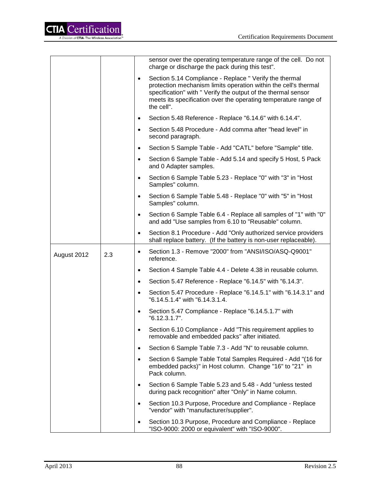

|             |     |           | sensor over the operating temperature range of the cell. Do not<br>charge or discharge the pack during this test".                                                                                                                                                          |
|-------------|-----|-----------|-----------------------------------------------------------------------------------------------------------------------------------------------------------------------------------------------------------------------------------------------------------------------------|
|             |     | $\bullet$ | Section 5.14 Compliance - Replace " Verify the thermal<br>protection mechanism limits operation within the cell's thermal<br>specification" with " Verify the output of the thermal sensor<br>meets its specification over the operating temperature range of<br>the cell". |
|             |     | $\bullet$ | Section 5.48 Reference - Replace "6.14.6" with 6.14.4".                                                                                                                                                                                                                     |
|             |     | $\bullet$ | Section 5.48 Procedure - Add comma after "head level" in<br>second paragraph.                                                                                                                                                                                               |
|             |     | $\bullet$ | Section 5 Sample Table - Add "CATL" before "Sample" title.                                                                                                                                                                                                                  |
|             |     | $\bullet$ | Section 6 Sample Table - Add 5.14 and specify 5 Host, 5 Pack<br>and 0 Adapter samples.                                                                                                                                                                                      |
|             |     | $\bullet$ | Section 6 Sample Table 5.23 - Replace "0" with "3" in "Host"<br>Samples" column.                                                                                                                                                                                            |
|             |     | $\bullet$ | Section 6 Sample Table 5.48 - Replace "0" with "5" in "Host<br>Samples" column.                                                                                                                                                                                             |
|             |     | $\bullet$ | Section 6 Sample Table 6.4 - Replace all samples of "1" with "0"<br>and add "Use samples from 6.10 to "Reusable" column.                                                                                                                                                    |
|             |     | $\bullet$ | Section 8.1 Procedure - Add "Only authorized service providers<br>shall replace battery. (If the battery is non-user replaceable).                                                                                                                                          |
|             |     |           |                                                                                                                                                                                                                                                                             |
| August 2012 | 2.3 | $\bullet$ | Section 1.3 - Remove "2000" from "ANSI/ISO/ASQ-Q9001"<br>reference.                                                                                                                                                                                                         |
|             |     | $\bullet$ | Section 4 Sample Table 4.4 - Delete 4.38 in reusable column.                                                                                                                                                                                                                |
|             |     | $\bullet$ | Section 5.47 Reference - Replace "6.14.5" with "6.14.3".                                                                                                                                                                                                                    |
|             |     | $\bullet$ | Section 5.47 Procedure - Replace "6.14.5.1" with "6.14.3.1" and<br>"6.14.5.1.4" with "6.14.3.1.4.                                                                                                                                                                           |
|             |     | $\bullet$ | Section 5.47 Compliance - Replace "6.14.5.1.7" with<br>"6.12.3.1.7".                                                                                                                                                                                                        |
|             |     | $\bullet$ | Section 6.10 Compliance - Add "This requirement applies to<br>removable and embedded packs" after initiated.                                                                                                                                                                |
|             |     | $\bullet$ | Section 6 Sample Table 7.3 - Add "N" to reusable column.                                                                                                                                                                                                                    |
|             |     | $\bullet$ | Section 6 Sample Table Total Samples Required - Add "(16 for<br>embedded packs)" in Host column. Change "16" to "21" in<br>Pack column.                                                                                                                                     |
|             |     | $\bullet$ | Section 6 Sample Table 5.23 and 5.48 - Add "unless tested<br>during pack recognition" after "Only" in Name column.                                                                                                                                                          |
|             |     | $\bullet$ | Section 10.3 Purpose, Procedure and Compliance - Replace<br>"vendor" with "manufacturer/supplier".                                                                                                                                                                          |